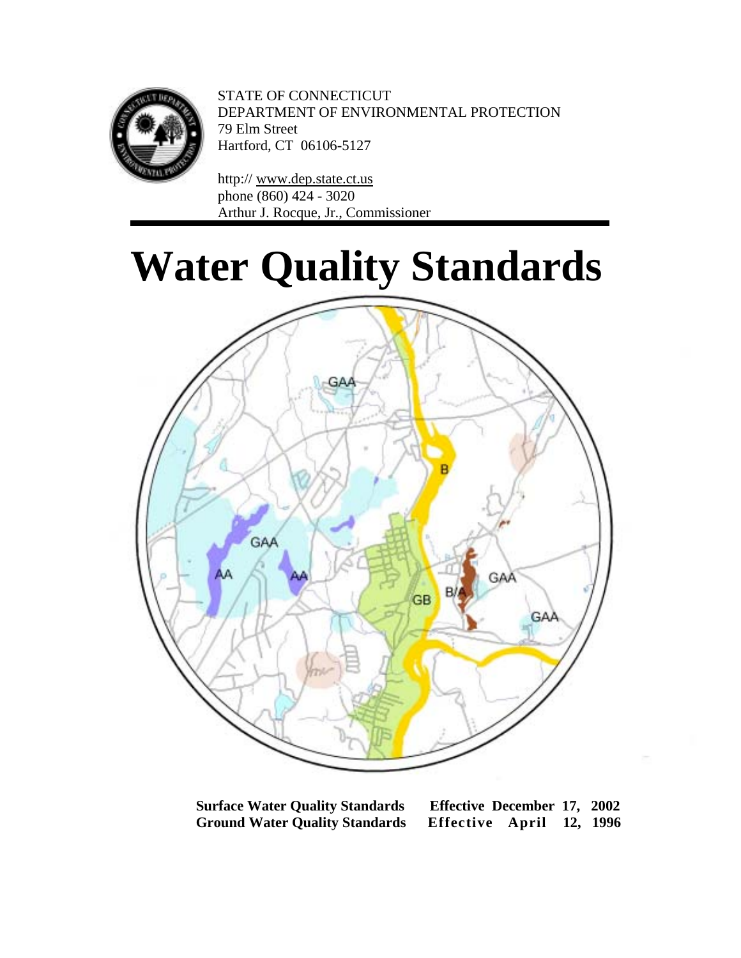

STATE OF CONNECTICUT DEPARTMENT OF ENVIRONMENTAL PROTECTION 79 Elm Street Hartford, CT 06106-5127

http:/[/ www.dep.state.ct.us](http://www.dep.state.ct.us/) phone (860) 424 - 3020 Arthur J. Rocque, Jr., Commissioner

# **Water Quality Standards**



**Surface Water Quality Standards Effective December 17, 2002 Ground Water Quality Standards Effective April 12, 1996**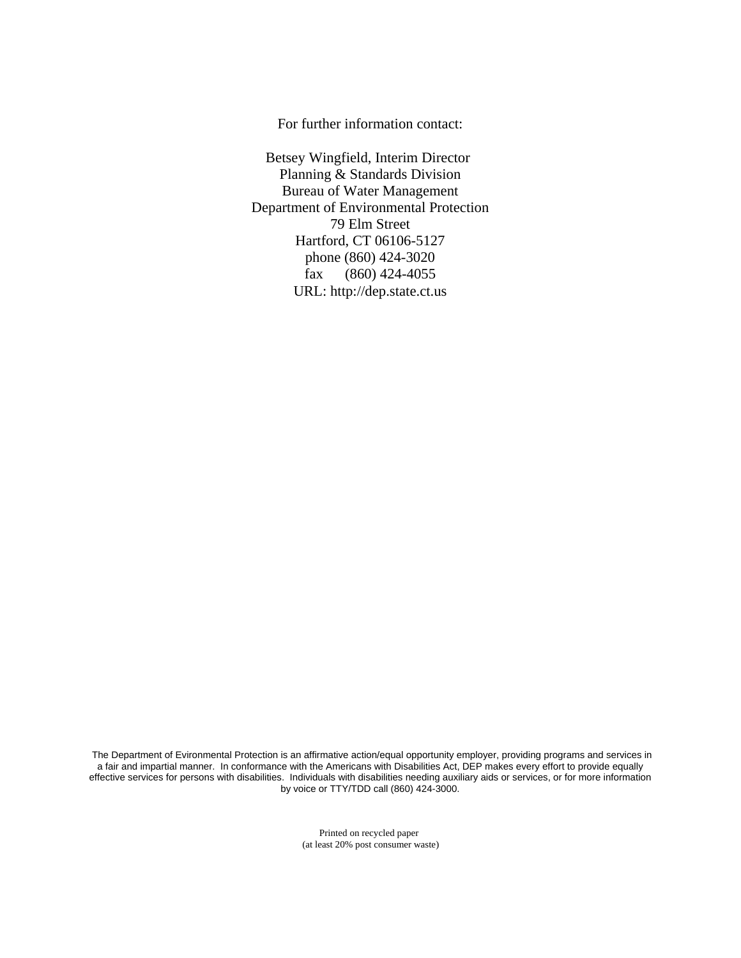For further information contact:

Betsey Wingfield, Interim Director Planning & Standards Division Bureau of Water Management Department of Environmental Protection 79 Elm Street Hartford, CT 06106-5127 phone (860) 424-3020 fax (860) 424-4055 URL: <http://dep.state.ct.us>

The Department of Evironmental Protection is an affirmative action/equal opportunity employer, providing programs and services in a fair and impartial manner. In conformance with the Americans with Disabilities Act, DEP makes every effort to provide equally effective services for persons with disabilities. Individuals with disabilities needing auxiliary aids or services, or for more information by voice or TTY/TDD call (860) 424-3000.

> Printed on recycled paper (at least 20% post consumer waste)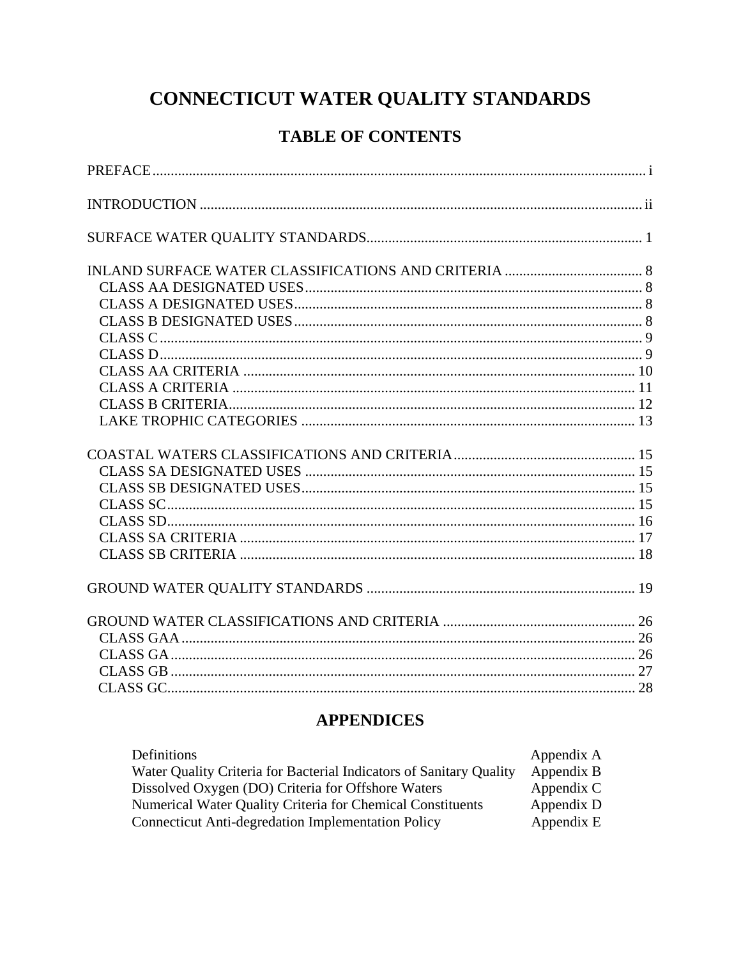## CONNECTICUT WATER QUALITY STANDARDS

## **TABLE OF CONTENTS**

## **APPENDICES**

| Definitions                                                         | Appendix A |
|---------------------------------------------------------------------|------------|
| Water Quality Criteria for Bacterial Indicators of Sanitary Quality | Appendix B |
| Dissolved Oxygen (DO) Criteria for Offshore Waters                  | Appendix C |
| Numerical Water Quality Criteria for Chemical Constituents          | Appendix D |
| <b>Connecticut Anti-degredation Implementation Policy</b>           | Appendix E |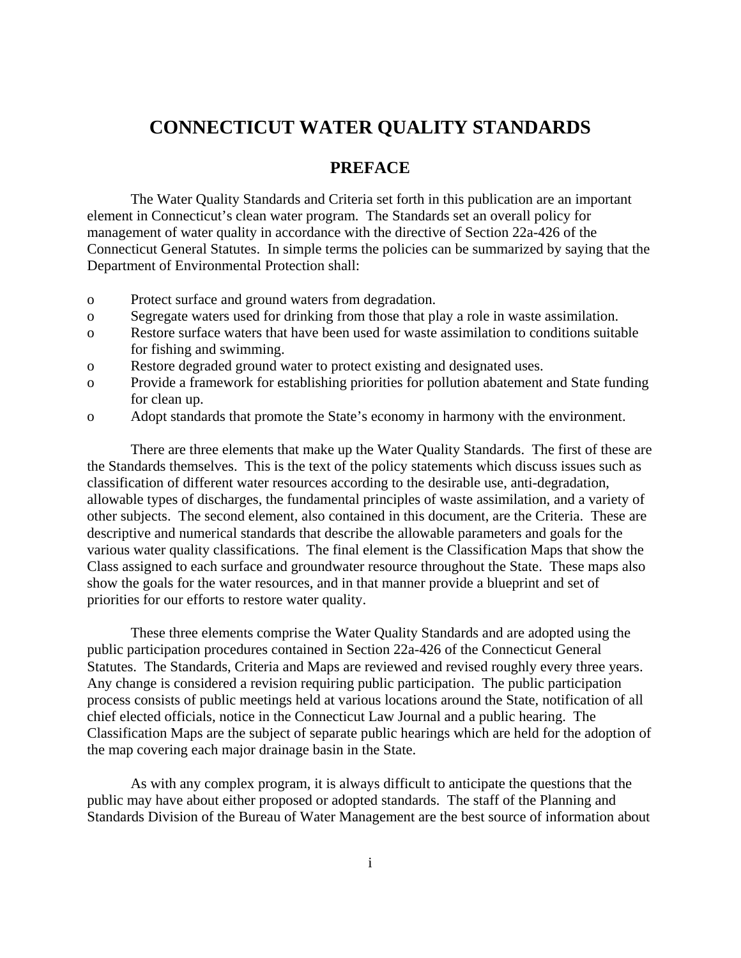## **CONNECTICUT WATER QUALITY STANDARDS**

## **PREFACE**

The Water Quality Standards and Criteria set forth in this publication are an important element in Connecticut's clean water program. The Standards set an overall policy for management of water quality in accordance with the directive of Section 22a-426 of the Connecticut General Statutes. In simple terms the policies can be summarized by saying that the Department of Environmental Protection shall:

- o Protect surface and ground waters from degradation.
- o Segregate waters used for drinking from those that play a role in waste assimilation.
- o Restore surface waters that have been used for waste assimilation to conditions suitable for fishing and swimming.
- o Restore degraded ground water to protect existing and designated uses.
- o Provide a framework for establishing priorities for pollution abatement and State funding for clean up.
- o Adopt standards that promote the State's economy in harmony with the environment.

 There are three elements that make up the Water Quality Standards. The first of these are the Standards themselves. This is the text of the policy statements which discuss issues such as classification of different water resources according to the desirable use, anti-degradation, allowable types of discharges, the fundamental principles of waste assimilation, and a variety of other subjects. The second element, also contained in this document, are the Criteria. These are descriptive and numerical standards that describe the allowable parameters and goals for the various water quality classifications. The final element is the Classification Maps that show the Class assigned to each surface and groundwater resource throughout the State. These maps also show the goals for the water resources, and in that manner provide a blueprint and set of priorities for our efforts to restore water quality.

 These three elements comprise the Water Quality Standards and are adopted using the public participation procedures contained in Section 22a-426 of the Connecticut General Statutes. The Standards, Criteria and Maps are reviewed and revised roughly every three years. Any change is considered a revision requiring public participation. The public participation process consists of public meetings held at various locations around the State, notification of all chief elected officials, notice in the Connecticut Law Journal and a public hearing. The Classification Maps are the subject of separate public hearings which are held for the adoption of the map covering each major drainage basin in the State.

 As with any complex program, it is always difficult to anticipate the questions that the public may have about either proposed or adopted standards. The staff of the Planning and Standards Division of the Bureau of Water Management are the best source of information about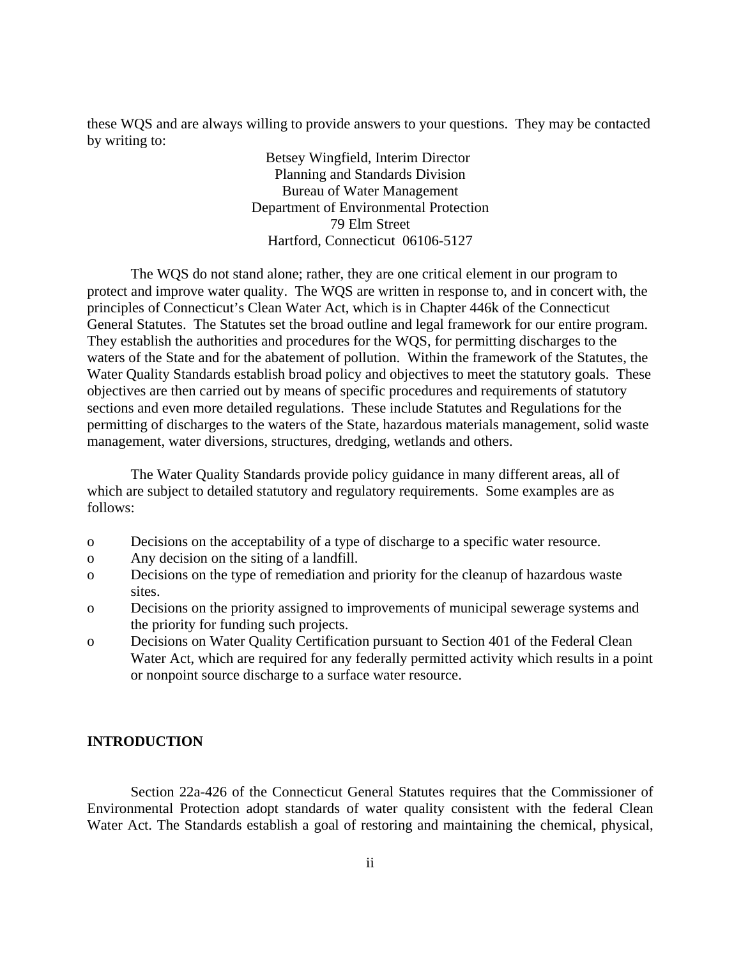these WQS and are always willing to provide answers to your questions. They may be contacted by writing to:

> Betsey Wingfield, Interim Director Planning and Standards Division Bureau of Water Management Department of Environmental Protection 79 Elm Street Hartford, Connecticut 06106-5127

 The WQS do not stand alone; rather, they are one critical element in our program to protect and improve water quality. The WQS are written in response to, and in concert with, the principles of Connecticut's Clean Water Act, which is in Chapter 446k of the Connecticut General Statutes. The Statutes set the broad outline and legal framework for our entire program. They establish the authorities and procedures for the WQS, for permitting discharges to the waters of the State and for the abatement of pollution. Within the framework of the Statutes, the Water Quality Standards establish broad policy and objectives to meet the statutory goals. These objectives are then carried out by means of specific procedures and requirements of statutory sections and even more detailed regulations. These include Statutes and Regulations for the permitting of discharges to the waters of the State, hazardous materials management, solid waste management, water diversions, structures, dredging, wetlands and others.

 The Water Quality Standards provide policy guidance in many different areas, all of which are subject to detailed statutory and regulatory requirements. Some examples are as follows:

- o Decisions on the acceptability of a type of discharge to a specific water resource.
- o Any decision on the siting of a landfill.
- o Decisions on the type of remediation and priority for the cleanup of hazardous waste sites.
- o Decisions on the priority assigned to improvements of municipal sewerage systems and the priority for funding such projects.
- o Decisions on Water Quality Certification pursuant to Section 401 of the Federal Clean Water Act, which are required for any federally permitted activity which results in a point or nonpoint source discharge to a surface water resource.

## **INTRODUCTION**

Section 22a-426 of the Connecticut General Statutes requires that the Commissioner of Environmental Protection adopt standards of water quality consistent with the federal Clean Water Act. The Standards establish a goal of restoring and maintaining the chemical, physical,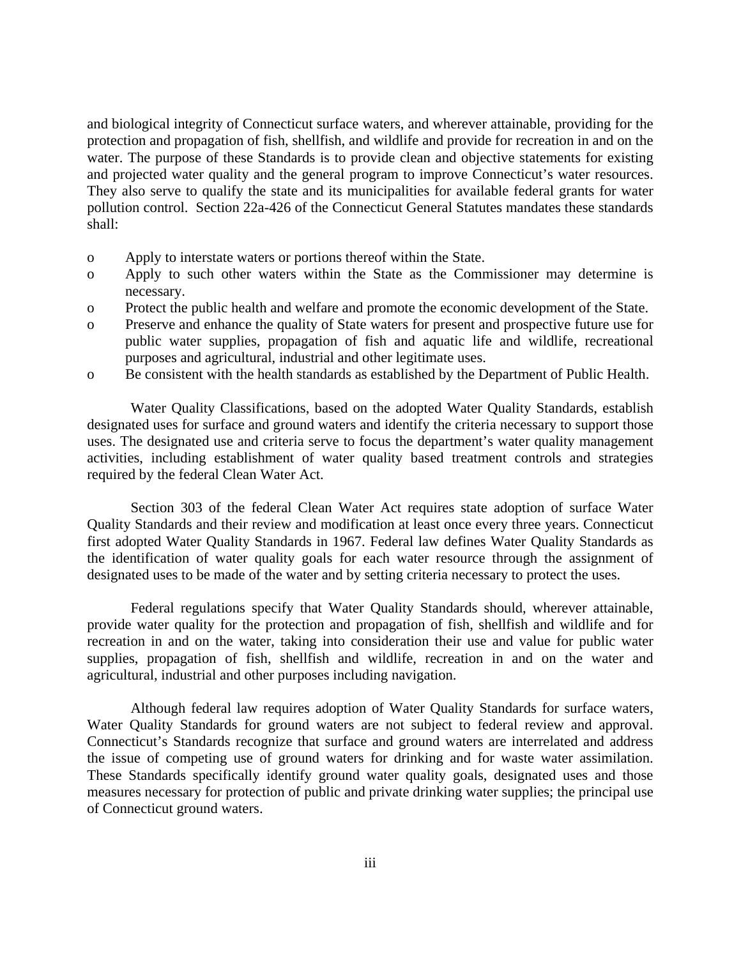and biological integrity of Connecticut surface waters, and wherever attainable, providing for the protection and propagation of fish, shellfish, and wildlife and provide for recreation in and on the water. The purpose of these Standards is to provide clean and objective statements for existing and projected water quality and the general program to improve Connecticut's water resources. They also serve to qualify the state and its municipalities for available federal grants for water pollution control. Section 22a-426 of the Connecticut General Statutes mandates these standards shall:

- o Apply to interstate waters or portions thereof within the State.
- o Apply to such other waters within the State as the Commissioner may determine is necessary.
- o Protect the public health and welfare and promote the economic development of the State.
- o Preserve and enhance the quality of State waters for present and prospective future use for public water supplies, propagation of fish and aquatic life and wildlife, recreational purposes and agricultural, industrial and other legitimate uses.
- o Be consistent with the health standards as established by the Department of Public Health.

Water Quality Classifications, based on the adopted Water Quality Standards, establish designated uses for surface and ground waters and identify the criteria necessary to support those uses. The designated use and criteria serve to focus the department's water quality management activities, including establishment of water quality based treatment controls and strategies required by the federal Clean Water Act.

Section 303 of the federal Clean Water Act requires state adoption of surface Water Quality Standards and their review and modification at least once every three years. Connecticut first adopted Water Quality Standards in 1967. Federal law defines Water Quality Standards as the identification of water quality goals for each water resource through the assignment of designated uses to be made of the water and by setting criteria necessary to protect the uses.

Federal regulations specify that Water Quality Standards should, wherever attainable, provide water quality for the protection and propagation of fish, shellfish and wildlife and for recreation in and on the water, taking into consideration their use and value for public water supplies, propagation of fish, shellfish and wildlife, recreation in and on the water and agricultural, industrial and other purposes including navigation.

Although federal law requires adoption of Water Quality Standards for surface waters, Water Quality Standards for ground waters are not subject to federal review and approval. Connecticut's Standards recognize that surface and ground waters are interrelated and address the issue of competing use of ground waters for drinking and for waste water assimilation. These Standards specifically identify ground water quality goals, designated uses and those measures necessary for protection of public and private drinking water supplies; the principal use of Connecticut ground waters.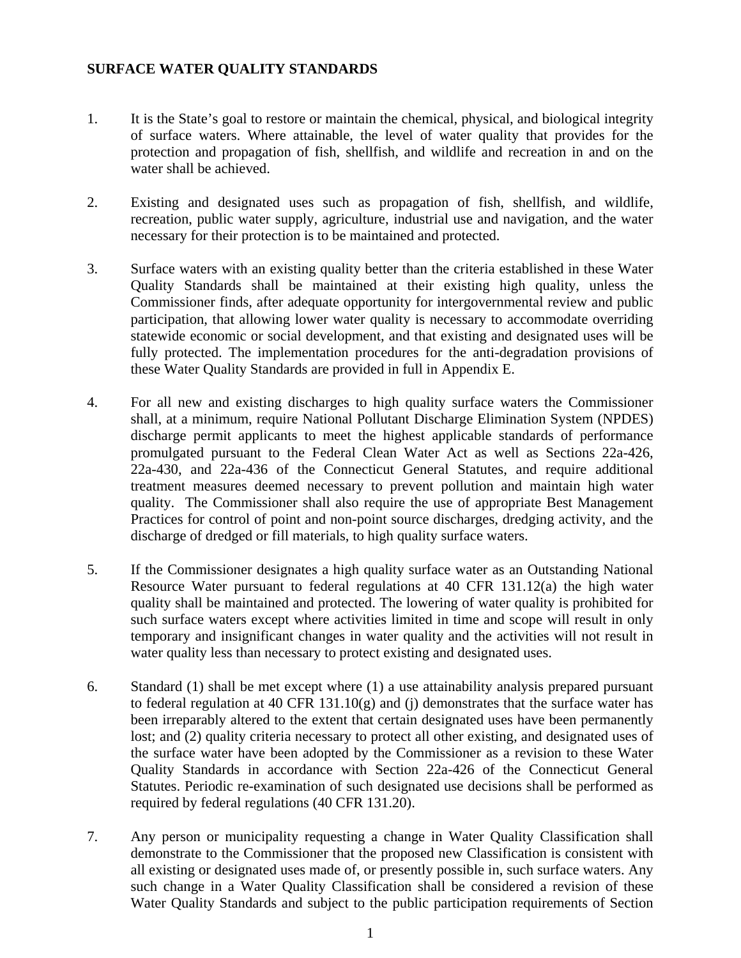## **SURFACE WATER QUALITY STANDARDS**

- 1. It is the State's goal to restore or maintain the chemical, physical, and biological integrity of surface waters. Where attainable, the level of water quality that provides for the protection and propagation of fish, shellfish, and wildlife and recreation in and on the water shall be achieved.
- 2. Existing and designated uses such as propagation of fish, shellfish, and wildlife, recreation, public water supply, agriculture, industrial use and navigation, and the water necessary for their protection is to be maintained and protected.
- 3. Surface waters with an existing quality better than the criteria established in these Water Quality Standards shall be maintained at their existing high quality, unless the Commissioner finds, after adequate opportunity for intergovernmental review and public participation, that allowing lower water quality is necessary to accommodate overriding statewide economic or social development, and that existing and designated uses will be fully protected. The implementation procedures for the anti-degradation provisions of these Water Quality Standards are provided in full in Appendix E.
- 4. For all new and existing discharges to high quality surface waters the Commissioner shall, at a minimum, require National Pollutant Discharge Elimination System (NPDES) discharge permit applicants to meet the highest applicable standards of performance promulgated pursuant to the Federal Clean Water Act as well as Sections 22a-426, 22a-430, and 22a-436 of the Connecticut General Statutes, and require additional treatment measures deemed necessary to prevent pollution and maintain high water quality. The Commissioner shall also require the use of appropriate Best Management Practices for control of point and non-point source discharges, dredging activity, and the discharge of dredged or fill materials, to high quality surface waters.
- 5. If the Commissioner designates a high quality surface water as an Outstanding National Resource Water pursuant to federal regulations at 40 CFR 131.12(a) the high water quality shall be maintained and protected. The lowering of water quality is prohibited for such surface waters except where activities limited in time and scope will result in only temporary and insignificant changes in water quality and the activities will not result in water quality less than necessary to protect existing and designated uses.
- 6. Standard (1) shall be met except where (1) a use attainability analysis prepared pursuant to federal regulation at 40 CFR  $131.10(g)$  and (j) demonstrates that the surface water has been irreparably altered to the extent that certain designated uses have been permanently lost; and (2) quality criteria necessary to protect all other existing, and designated uses of the surface water have been adopted by the Commissioner as a revision to these Water Quality Standards in accordance with Section 22a-426 of the Connecticut General Statutes. Periodic re-examination of such designated use decisions shall be performed as required by federal regulations (40 CFR 131.20).
- 7. Any person or municipality requesting a change in Water Quality Classification shall demonstrate to the Commissioner that the proposed new Classification is consistent with all existing or designated uses made of, or presently possible in, such surface waters. Any such change in a Water Quality Classification shall be considered a revision of these Water Quality Standards and subject to the public participation requirements of Section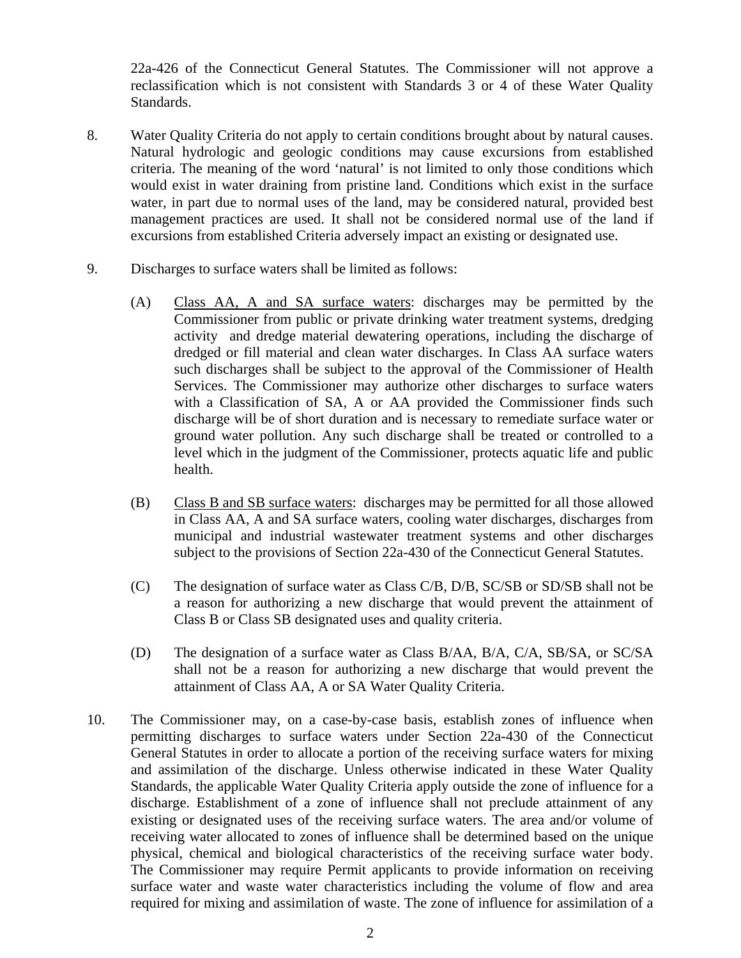22a-426 of the Connecticut General Statutes. The Commissioner will not approve a reclassification which is not consistent with Standards 3 or 4 of these Water Quality Standards.

- 8. Water Quality Criteria do not apply to certain conditions brought about by natural causes. Natural hydrologic and geologic conditions may cause excursions from established criteria. The meaning of the word 'natural' is not limited to only those conditions which would exist in water draining from pristine land. Conditions which exist in the surface water, in part due to normal uses of the land, may be considered natural, provided best management practices are used. It shall not be considered normal use of the land if excursions from established Criteria adversely impact an existing or designated use.
- 9. Discharges to surface waters shall be limited as follows:
	- (A) Class AA, A and SA surface waters: discharges may be permitted by the Commissioner from public or private drinking water treatment systems, dredging activity and dredge material dewatering operations, including the discharge of dredged or fill material and clean water discharges. In Class AA surface waters such discharges shall be subject to the approval of the Commissioner of Health Services. The Commissioner may authorize other discharges to surface waters with a Classification of SA, A or AA provided the Commissioner finds such discharge will be of short duration and is necessary to remediate surface water or ground water pollution. Any such discharge shall be treated or controlled to a level which in the judgment of the Commissioner, protects aquatic life and public health.
	- (B) Class B and SB surface waters: discharges may be permitted for all those allowed in Class AA, A and SA surface waters, cooling water discharges, discharges from municipal and industrial wastewater treatment systems and other discharges subject to the provisions of Section 22a-430 of the Connecticut General Statutes.
	- (C) The designation of surface water as Class C/B, D/B, SC/SB or SD/SB shall not be a reason for authorizing a new discharge that would prevent the attainment of Class B or Class SB designated uses and quality criteria.
	- (D) The designation of a surface water as Class B/AA, B/A, C/A, SB/SA, or SC/SA shall not be a reason for authorizing a new discharge that would prevent the attainment of Class AA, A or SA Water Quality Criteria.
- 10. The Commissioner may, on a case-by-case basis, establish zones of influence when permitting discharges to surface waters under Section 22a-430 of the Connecticut General Statutes in order to allocate a portion of the receiving surface waters for mixing and assimilation of the discharge. Unless otherwise indicated in these Water Quality Standards, the applicable Water Quality Criteria apply outside the zone of influence for a discharge. Establishment of a zone of influence shall not preclude attainment of any existing or designated uses of the receiving surface waters. The area and/or volume of receiving water allocated to zones of influence shall be determined based on the unique physical, chemical and biological characteristics of the receiving surface water body. The Commissioner may require Permit applicants to provide information on receiving surface water and waste water characteristics including the volume of flow and area required for mixing and assimilation of waste. The zone of influence for assimilation of a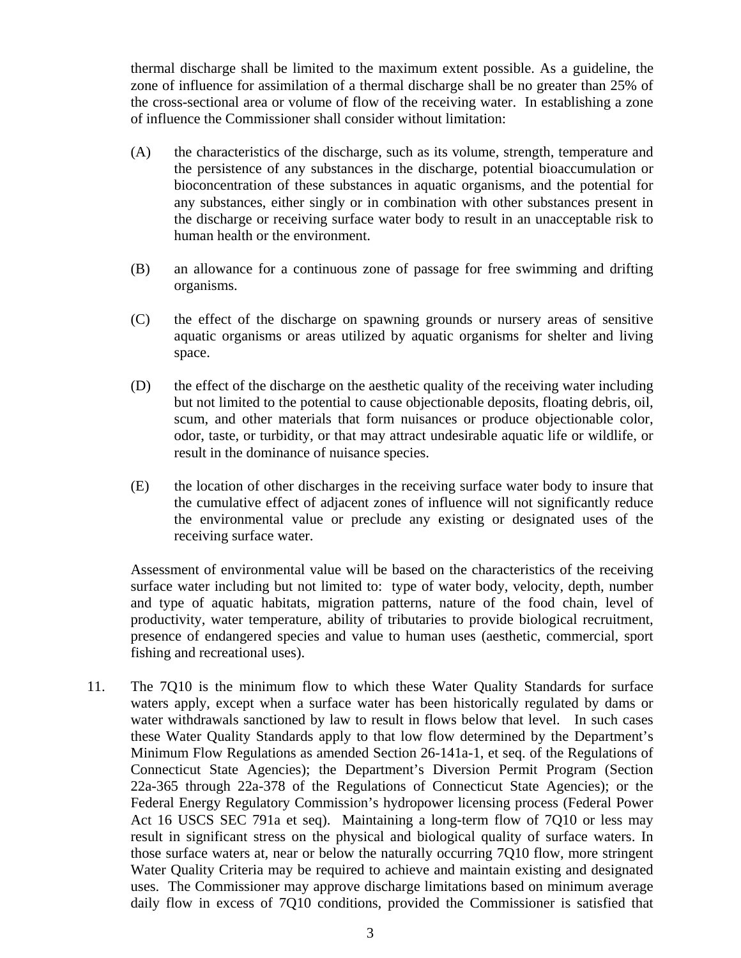thermal discharge shall be limited to the maximum extent possible. As a guideline, the zone of influence for assimilation of a thermal discharge shall be no greater than 25% of the cross-sectional area or volume of flow of the receiving water. In establishing a zone of influence the Commissioner shall consider without limitation:

- (A) the characteristics of the discharge, such as its volume, strength, temperature and the persistence of any substances in the discharge, potential bioaccumulation or bioconcentration of these substances in aquatic organisms, and the potential for any substances, either singly or in combination with other substances present in the discharge or receiving surface water body to result in an unacceptable risk to human health or the environment.
- (B) an allowance for a continuous zone of passage for free swimming and drifting organisms.
- (C) the effect of the discharge on spawning grounds or nursery areas of sensitive aquatic organisms or areas utilized by aquatic organisms for shelter and living space.
- (D) the effect of the discharge on the aesthetic quality of the receiving water including but not limited to the potential to cause objectionable deposits, floating debris, oil, scum, and other materials that form nuisances or produce objectionable color, odor, taste, or turbidity, or that may attract undesirable aquatic life or wildlife, or result in the dominance of nuisance species.
- (E) the location of other discharges in the receiving surface water body to insure that the cumulative effect of adjacent zones of influence will not significantly reduce the environmental value or preclude any existing or designated uses of the receiving surface water.

Assessment of environmental value will be based on the characteristics of the receiving surface water including but not limited to: type of water body, velocity, depth, number and type of aquatic habitats, migration patterns, nature of the food chain, level of productivity, water temperature, ability of tributaries to provide biological recruitment, presence of endangered species and value to human uses (aesthetic, commercial, sport fishing and recreational uses).

11. The 7Q10 is the minimum flow to which these Water Quality Standards for surface waters apply, except when a surface water has been historically regulated by dams or water withdrawals sanctioned by law to result in flows below that level. In such cases these Water Quality Standards apply to that low flow determined by the Department's Minimum Flow Regulations as amended Section 26-141a-1, et seq. of the Regulations of Connecticut State Agencies); the Department's Diversion Permit Program (Section 22a-365 through 22a-378 of the Regulations of Connecticut State Agencies); or the Federal Energy Regulatory Commission's hydropower licensing process (Federal Power Act 16 USCS SEC 791a et seq). Maintaining a long-term flow of 7Q10 or less may result in significant stress on the physical and biological quality of surface waters. In those surface waters at, near or below the naturally occurring 7Q10 flow, more stringent Water Quality Criteria may be required to achieve and maintain existing and designated uses. The Commissioner may approve discharge limitations based on minimum average daily flow in excess of 7Q10 conditions, provided the Commissioner is satisfied that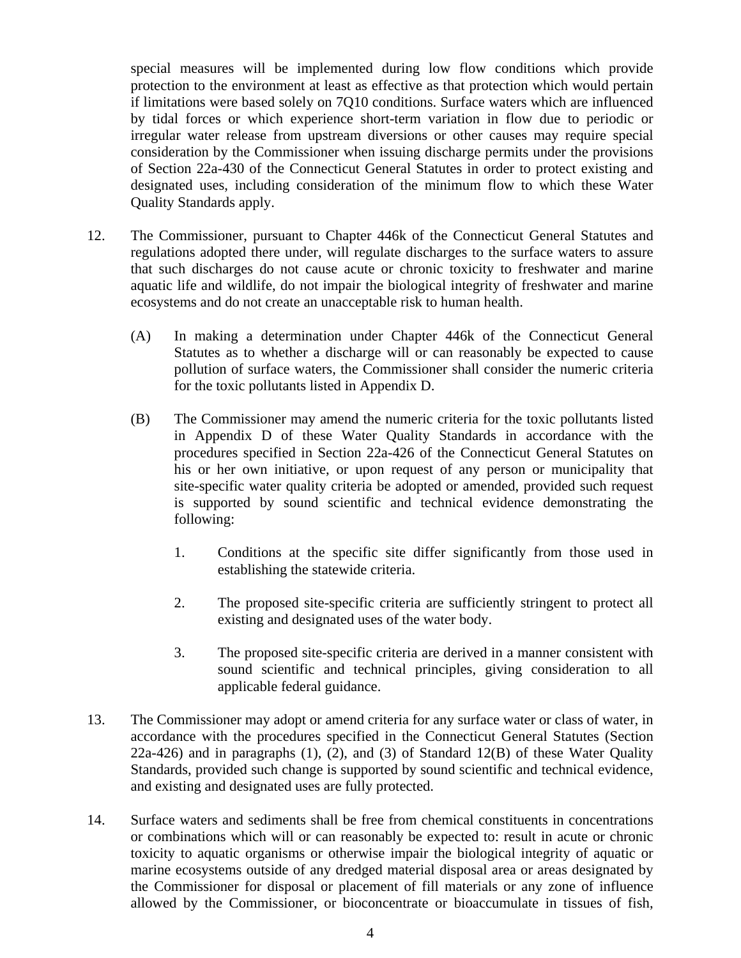special measures will be implemented during low flow conditions which provide protection to the environment at least as effective as that protection which would pertain if limitations were based solely on 7Q10 conditions. Surface waters which are influenced by tidal forces or which experience short-term variation in flow due to periodic or irregular water release from upstream diversions or other causes may require special consideration by the Commissioner when issuing discharge permits under the provisions of Section 22a-430 of the Connecticut General Statutes in order to protect existing and designated uses, including consideration of the minimum flow to which these Water Quality Standards apply.

- 12. The Commissioner, pursuant to Chapter 446k of the Connecticut General Statutes and regulations adopted there under, will regulate discharges to the surface waters to assure that such discharges do not cause acute or chronic toxicity to freshwater and marine aquatic life and wildlife, do not impair the biological integrity of freshwater and marine ecosystems and do not create an unacceptable risk to human health.
	- (A) In making a determination under Chapter 446k of the Connecticut General Statutes as to whether a discharge will or can reasonably be expected to cause pollution of surface waters, the Commissioner shall consider the numeric criteria for the toxic pollutants listed in Appendix D.
	- (B) The Commissioner may amend the numeric criteria for the toxic pollutants listed in Appendix D of these Water Quality Standards in accordance with the procedures specified in Section 22a-426 of the Connecticut General Statutes on his or her own initiative, or upon request of any person or municipality that site-specific water quality criteria be adopted or amended, provided such request is supported by sound scientific and technical evidence demonstrating the following:
		- 1. Conditions at the specific site differ significantly from those used in establishing the statewide criteria.
		- 2. The proposed site-specific criteria are sufficiently stringent to protect all existing and designated uses of the water body.
		- 3. The proposed site-specific criteria are derived in a manner consistent with sound scientific and technical principles, giving consideration to all applicable federal guidance.
- 13. The Commissioner may adopt or amend criteria for any surface water or class of water, in accordance with the procedures specified in the Connecticut General Statutes (Section 22a-426) and in paragraphs (1), (2), and (3) of Standard 12(B) of these Water Quality Standards, provided such change is supported by sound scientific and technical evidence, and existing and designated uses are fully protected.
- 14. Surface waters and sediments shall be free from chemical constituents in concentrations or combinations which will or can reasonably be expected to: result in acute or chronic toxicity to aquatic organisms or otherwise impair the biological integrity of aquatic or marine ecosystems outside of any dredged material disposal area or areas designated by the Commissioner for disposal or placement of fill materials or any zone of influence allowed by the Commissioner, or bioconcentrate or bioaccumulate in tissues of fish,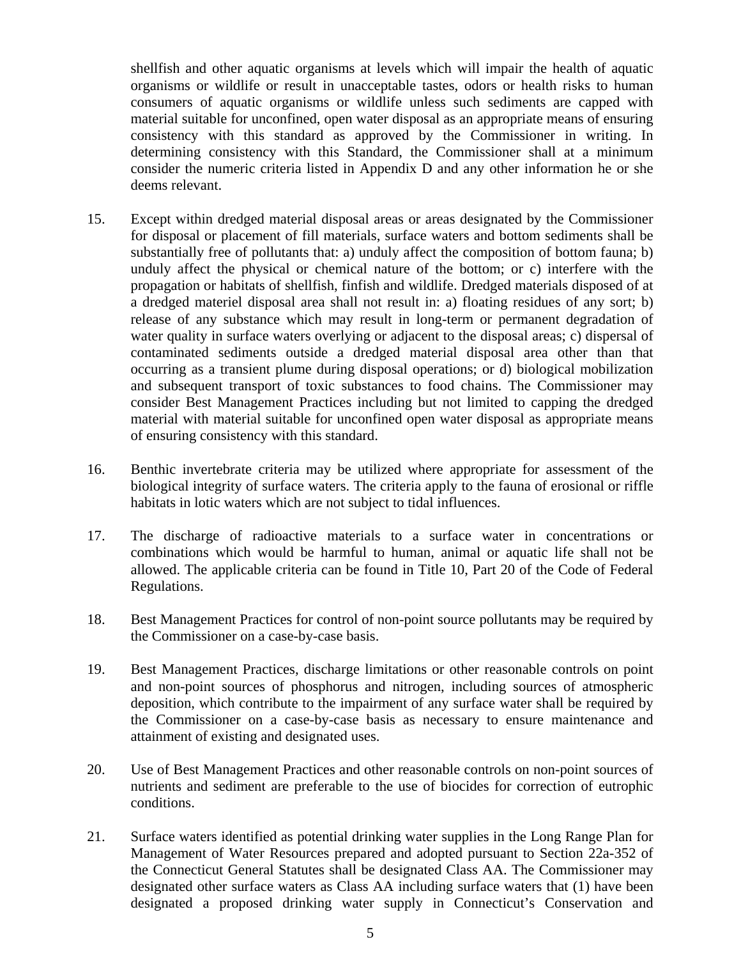shellfish and other aquatic organisms at levels which will impair the health of aquatic organisms or wildlife or result in unacceptable tastes, odors or health risks to human consumers of aquatic organisms or wildlife unless such sediments are capped with material suitable for unconfined, open water disposal as an appropriate means of ensuring consistency with this standard as approved by the Commissioner in writing. In determining consistency with this Standard, the Commissioner shall at a minimum consider the numeric criteria listed in Appendix D and any other information he or she deems relevant.

- 15. Except within dredged material disposal areas or areas designated by the Commissioner for disposal or placement of fill materials, surface waters and bottom sediments shall be substantially free of pollutants that: a) unduly affect the composition of bottom fauna; b) unduly affect the physical or chemical nature of the bottom; or c) interfere with the propagation or habitats of shellfish, finfish and wildlife. Dredged materials disposed of at a dredged materiel disposal area shall not result in: a) floating residues of any sort; b) release of any substance which may result in long-term or permanent degradation of water quality in surface waters overlying or adjacent to the disposal areas; c) dispersal of contaminated sediments outside a dredged material disposal area other than that occurring as a transient plume during disposal operations; or d) biological mobilization and subsequent transport of toxic substances to food chains. The Commissioner may consider Best Management Practices including but not limited to capping the dredged material with material suitable for unconfined open water disposal as appropriate means of ensuring consistency with this standard.
- 16. Benthic invertebrate criteria may be utilized where appropriate for assessment of the biological integrity of surface waters. The criteria apply to the fauna of erosional or riffle habitats in lotic waters which are not subject to tidal influences.
- 17. The discharge of radioactive materials to a surface water in concentrations or combinations which would be harmful to human, animal or aquatic life shall not be allowed. The applicable criteria can be found in Title 10, Part 20 of the Code of Federal Regulations.
- 18. Best Management Practices for control of non-point source pollutants may be required by the Commissioner on a case-by-case basis.
- 19. Best Management Practices, discharge limitations or other reasonable controls on point and non-point sources of phosphorus and nitrogen, including sources of atmospheric deposition, which contribute to the impairment of any surface water shall be required by the Commissioner on a case-by-case basis as necessary to ensure maintenance and attainment of existing and designated uses.
- 20. Use of Best Management Practices and other reasonable controls on non-point sources of nutrients and sediment are preferable to the use of biocides for correction of eutrophic conditions.
- 21. Surface waters identified as potential drinking water supplies in the Long Range Plan for Management of Water Resources prepared and adopted pursuant to Section 22a-352 of the Connecticut General Statutes shall be designated Class AA. The Commissioner may designated other surface waters as Class AA including surface waters that (1) have been designated a proposed drinking water supply in Connecticut's Conservation and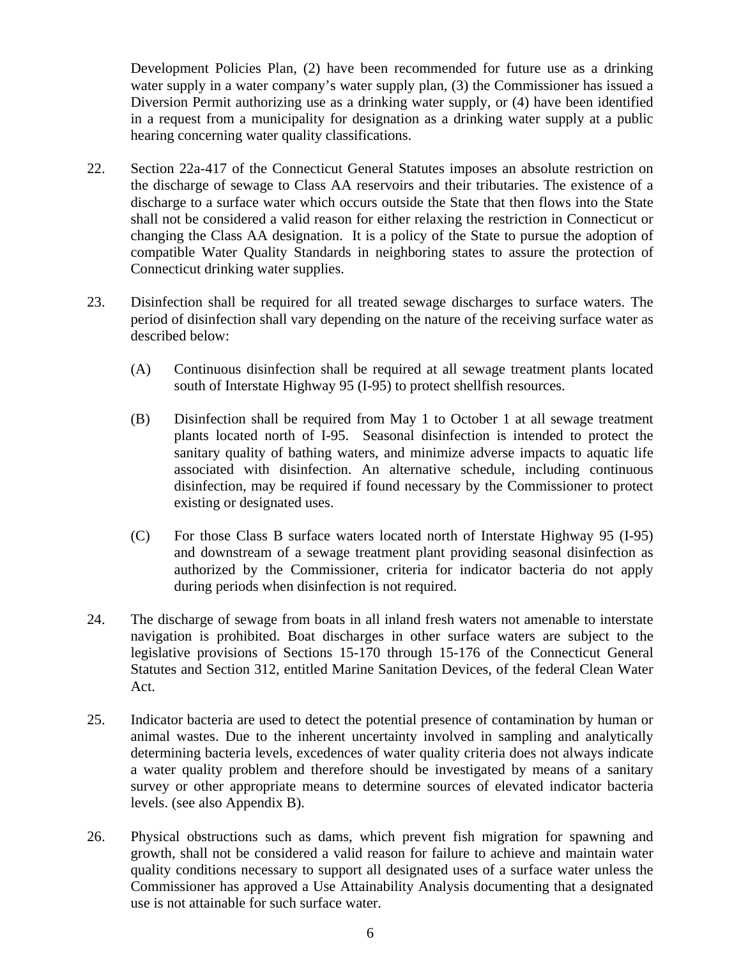Development Policies Plan, (2) have been recommended for future use as a drinking water supply in a water company's water supply plan, (3) the Commissioner has issued a Diversion Permit authorizing use as a drinking water supply, or (4) have been identified in a request from a municipality for designation as a drinking water supply at a public hearing concerning water quality classifications.

- 22. Section 22a-417 of the Connecticut General Statutes imposes an absolute restriction on the discharge of sewage to Class AA reservoirs and their tributaries. The existence of a discharge to a surface water which occurs outside the State that then flows into the State shall not be considered a valid reason for either relaxing the restriction in Connecticut or changing the Class AA designation. It is a policy of the State to pursue the adoption of compatible Water Quality Standards in neighboring states to assure the protection of Connecticut drinking water supplies.
- 23. Disinfection shall be required for all treated sewage discharges to surface waters. The period of disinfection shall vary depending on the nature of the receiving surface water as described below:
	- (A) Continuous disinfection shall be required at all sewage treatment plants located south of Interstate Highway 95 (I-95) to protect shellfish resources.
	- (B) Disinfection shall be required from May 1 to October 1 at all sewage treatment plants located north of I-95. Seasonal disinfection is intended to protect the sanitary quality of bathing waters, and minimize adverse impacts to aquatic life associated with disinfection. An alternative schedule, including continuous disinfection, may be required if found necessary by the Commissioner to protect existing or designated uses.
	- (C) For those Class B surface waters located north of Interstate Highway 95 (I-95) and downstream of a sewage treatment plant providing seasonal disinfection as authorized by the Commissioner, criteria for indicator bacteria do not apply during periods when disinfection is not required.
- 24. The discharge of sewage from boats in all inland fresh waters not amenable to interstate navigation is prohibited. Boat discharges in other surface waters are subject to the legislative provisions of Sections 15-170 through 15-176 of the Connecticut General Statutes and Section 312, entitled Marine Sanitation Devices, of the federal Clean Water Act.
- 25. Indicator bacteria are used to detect the potential presence of contamination by human or animal wastes. Due to the inherent uncertainty involved in sampling and analytically determining bacteria levels, excedences of water quality criteria does not always indicate a water quality problem and therefore should be investigated by means of a sanitary survey or other appropriate means to determine sources of elevated indicator bacteria levels. (see also Appendix B).
- 26. Physical obstructions such as dams, which prevent fish migration for spawning and growth, shall not be considered a valid reason for failure to achieve and maintain water quality conditions necessary to support all designated uses of a surface water unless the Commissioner has approved a Use Attainability Analysis documenting that a designated use is not attainable for such surface water.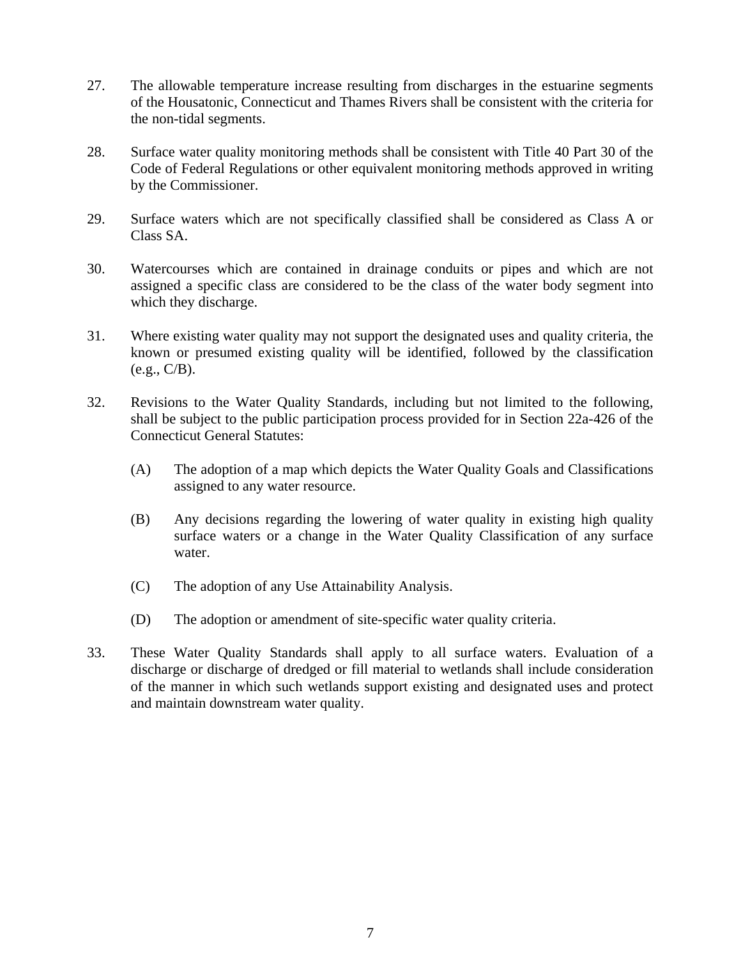- 27. The allowable temperature increase resulting from discharges in the estuarine segments of the Housatonic, Connecticut and Thames Rivers shall be consistent with the criteria for the non-tidal segments.
- 28. Surface water quality monitoring methods shall be consistent with Title 40 Part 30 of the Code of Federal Regulations or other equivalent monitoring methods approved in writing by the Commissioner.
- 29. Surface waters which are not specifically classified shall be considered as Class A or Class SA.
- 30. Watercourses which are contained in drainage conduits or pipes and which are not assigned a specific class are considered to be the class of the water body segment into which they discharge.
- 31. Where existing water quality may not support the designated uses and quality criteria, the known or presumed existing quality will be identified, followed by the classification (e.g., C/B).
- 32. Revisions to the Water Quality Standards, including but not limited to the following, shall be subject to the public participation process provided for in Section 22a-426 of the Connecticut General Statutes:
	- (A) The adoption of a map which depicts the Water Quality Goals and Classifications assigned to any water resource.
	- (B) Any decisions regarding the lowering of water quality in existing high quality surface waters or a change in the Water Quality Classification of any surface water.
	- (C) The adoption of any Use Attainability Analysis.
	- (D) The adoption or amendment of site-specific water quality criteria.
- 33. These Water Quality Standards shall apply to all surface waters. Evaluation of a discharge or discharge of dredged or fill material to wetlands shall include consideration of the manner in which such wetlands support existing and designated uses and protect and maintain downstream water quality.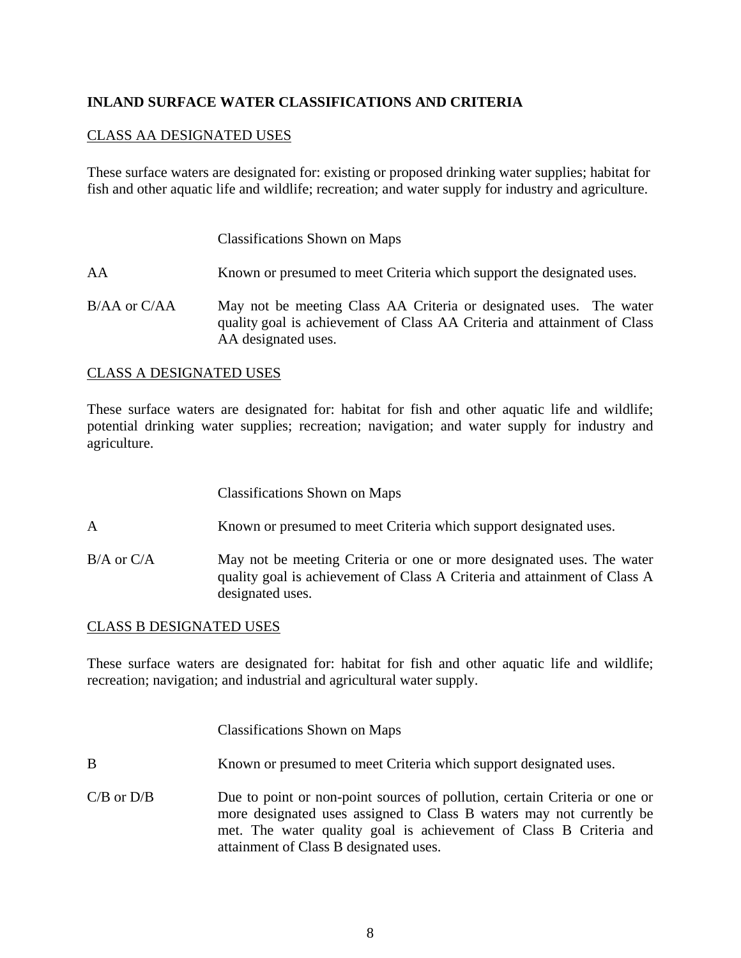## **INLAND SURFACE WATER CLASSIFICATIONS AND CRITERIA**

## CLASS AA DESIGNATED USES

These surface waters are designated for: existing or proposed drinking water supplies; habitat for fish and other aquatic life and wildlife; recreation; and water supply for industry and agriculture.

Classifications Shown on Maps

AA Known or presumed to meet Criteria which support the designated uses.

B/AA or C/AA May not be meeting Class AA Criteria or designated uses. The water quality goal is achievement of Class AA Criteria and attainment of Class AA designated uses.

## CLASS A DESIGNATED USES

These surface waters are designated for: habitat for fish and other aquatic life and wildlife; potential drinking water supplies; recreation; navigation; and water supply for industry and agriculture.

| <b>Classifications Shown on Maps</b> |  |  |
|--------------------------------------|--|--|
|--------------------------------------|--|--|

- A Known or presumed to meet Criteria which support designated uses.
- B/A or C/A May not be meeting Criteria or one or more designated uses. The water quality goal is achievement of Class A Criteria and attainment of Class A designated uses.

## CLASS B DESIGNATED USES

These surface waters are designated for: habitat for fish and other aquatic life and wildlife; recreation; navigation; and industrial and agricultural water supply.

Classifications Shown on Maps

- B Known or presumed to meet Criteria which support designated uses.
- C/B or D/B Due to point or non-point sources of pollution, certain Criteria or one or more designated uses assigned to Class B waters may not currently be met. The water quality goal is achievement of Class B Criteria and attainment of Class B designated uses.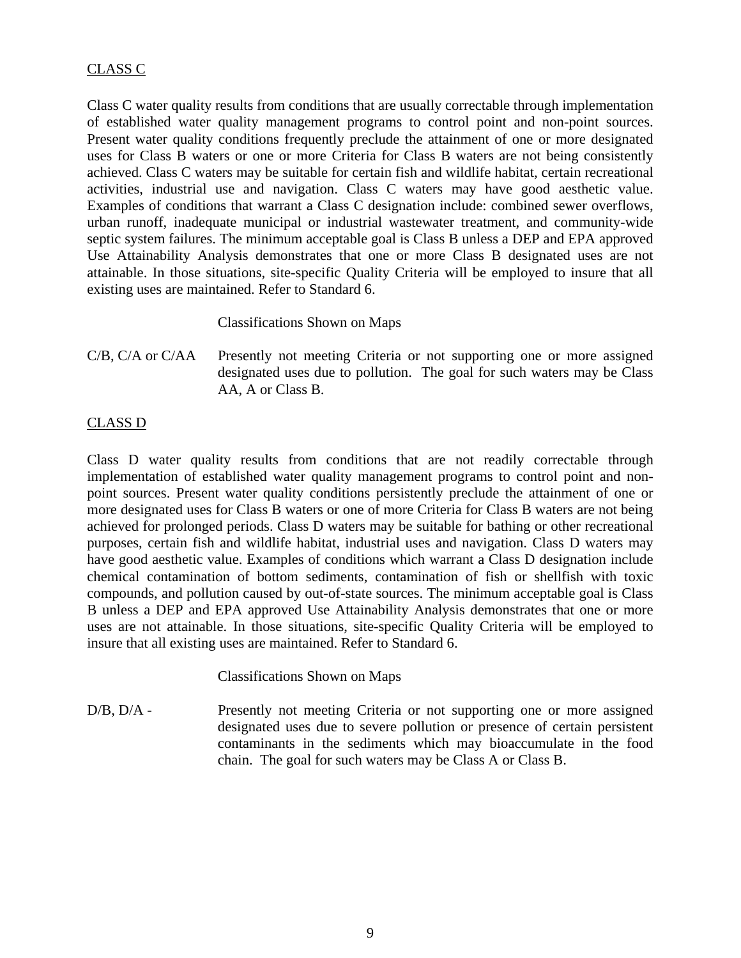## CLASS C

Class C water quality results from conditions that are usually correctable through implementation of established water quality management programs to control point and non-point sources. Present water quality conditions frequently preclude the attainment of one or more designated uses for Class B waters or one or more Criteria for Class B waters are not being consistently achieved. Class C waters may be suitable for certain fish and wildlife habitat, certain recreational activities, industrial use and navigation. Class C waters may have good aesthetic value. Examples of conditions that warrant a Class C designation include: combined sewer overflows, urban runoff, inadequate municipal or industrial wastewater treatment, and community-wide septic system failures. The minimum acceptable goal is Class B unless a DEP and EPA approved Use Attainability Analysis demonstrates that one or more Class B designated uses are not attainable. In those situations, site-specific Quality Criteria will be employed to insure that all existing uses are maintained. Refer to Standard 6.

## Classifications Shown on Maps

C/B, C/A or C/AA Presently not meeting Criteria or not supporting one or more assigned designated uses due to pollution. The goal for such waters may be Class AA, A or Class B.

## CLASS D

Class D water quality results from conditions that are not readily correctable through implementation of established water quality management programs to control point and nonpoint sources. Present water quality conditions persistently preclude the attainment of one or more designated uses for Class B waters or one of more Criteria for Class B waters are not being achieved for prolonged periods. Class D waters may be suitable for bathing or other recreational purposes, certain fish and wildlife habitat, industrial uses and navigation. Class D waters may have good aesthetic value. Examples of conditions which warrant a Class D designation include chemical contamination of bottom sediments, contamination of fish or shellfish with toxic compounds, and pollution caused by out-of-state sources. The minimum acceptable goal is Class B unless a DEP and EPA approved Use Attainability Analysis demonstrates that one or more uses are not attainable. In those situations, site-specific Quality Criteria will be employed to insure that all existing uses are maintained. Refer to Standard 6.

## Classifications Shown on Maps

D/B, D/A - Presently not meeting Criteria or not supporting one or more assigned designated uses due to severe pollution or presence of certain persistent contaminants in the sediments which may bioaccumulate in the food chain. The goal for such waters may be Class A or Class B.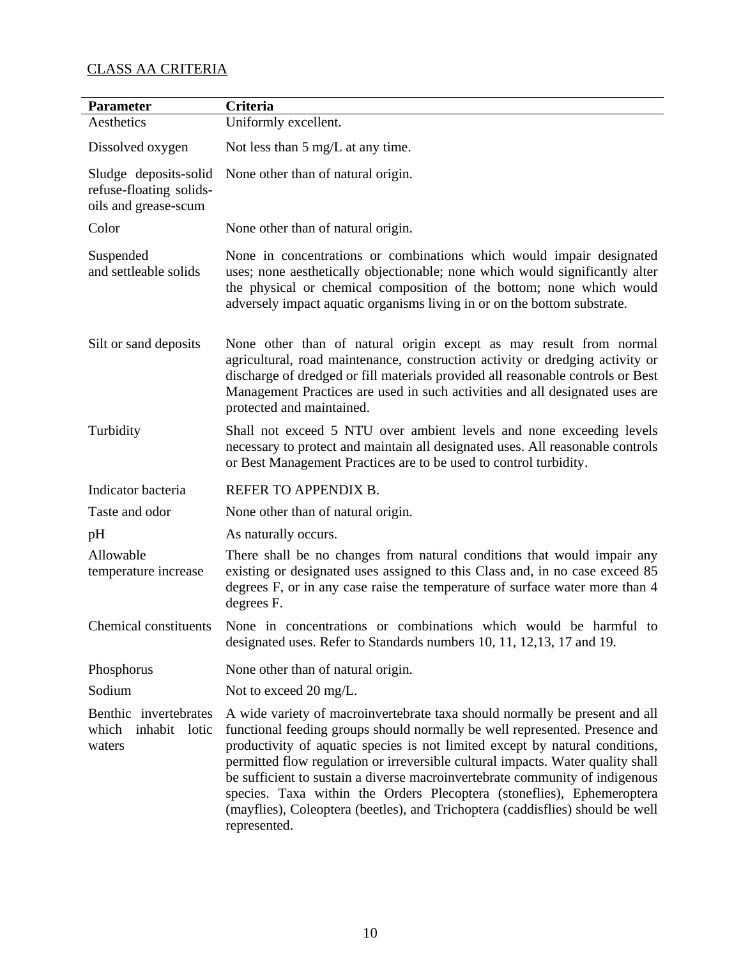## CLASS AA CRITERIA

| <b>Parameter</b>                                                         | <b>Criteria</b>                                                                                                                                                                                                                                                                                                                                                                                                                                                                                                                                                                           |
|--------------------------------------------------------------------------|-------------------------------------------------------------------------------------------------------------------------------------------------------------------------------------------------------------------------------------------------------------------------------------------------------------------------------------------------------------------------------------------------------------------------------------------------------------------------------------------------------------------------------------------------------------------------------------------|
| Aesthetics                                                               | Uniformly excellent.                                                                                                                                                                                                                                                                                                                                                                                                                                                                                                                                                                      |
| Dissolved oxygen                                                         | Not less than $5 \text{ mg/L}$ at any time.                                                                                                                                                                                                                                                                                                                                                                                                                                                                                                                                               |
| Sludge deposits-solid<br>refuse-floating solids-<br>oils and grease-scum | None other than of natural origin.                                                                                                                                                                                                                                                                                                                                                                                                                                                                                                                                                        |
| Color                                                                    | None other than of natural origin.                                                                                                                                                                                                                                                                                                                                                                                                                                                                                                                                                        |
| Suspended<br>and settleable solids                                       | None in concentrations or combinations which would impair designated<br>uses; none aesthetically objectionable; none which would significantly alter<br>the physical or chemical composition of the bottom; none which would<br>adversely impact aquatic organisms living in or on the bottom substrate.                                                                                                                                                                                                                                                                                  |
| Silt or sand deposits                                                    | None other than of natural origin except as may result from normal<br>agricultural, road maintenance, construction activity or dredging activity or<br>discharge of dredged or fill materials provided all reasonable controls or Best<br>Management Practices are used in such activities and all designated uses are<br>protected and maintained.                                                                                                                                                                                                                                       |
| Turbidity                                                                | Shall not exceed 5 NTU over ambient levels and none exceeding levels<br>necessary to protect and maintain all designated uses. All reasonable controls<br>or Best Management Practices are to be used to control turbidity.                                                                                                                                                                                                                                                                                                                                                               |
| Indicator bacteria                                                       | REFER TO APPENDIX B.                                                                                                                                                                                                                                                                                                                                                                                                                                                                                                                                                                      |
| Taste and odor                                                           | None other than of natural origin.                                                                                                                                                                                                                                                                                                                                                                                                                                                                                                                                                        |
| pH                                                                       | As naturally occurs.                                                                                                                                                                                                                                                                                                                                                                                                                                                                                                                                                                      |
| Allowable<br>temperature increase                                        | There shall be no changes from natural conditions that would impair any<br>existing or designated uses assigned to this Class and, in no case exceed 85<br>degrees F, or in any case raise the temperature of surface water more than 4<br>degrees F.                                                                                                                                                                                                                                                                                                                                     |
| Chemical constituents                                                    | None in concentrations or combinations which would be harmful to<br>designated uses. Refer to Standards numbers 10, 11, 12, 13, 17 and 19.                                                                                                                                                                                                                                                                                                                                                                                                                                                |
| Phosphorus                                                               | None other than of natural origin.                                                                                                                                                                                                                                                                                                                                                                                                                                                                                                                                                        |
| Sodium                                                                   | Not to exceed 20 mg/L.                                                                                                                                                                                                                                                                                                                                                                                                                                                                                                                                                                    |
| Benthic invertebrates<br>which<br>inhabit lotic<br>waters                | A wide variety of macroinvertebrate taxa should normally be present and all<br>functional feeding groups should normally be well represented. Presence and<br>productivity of aquatic species is not limited except by natural conditions,<br>permitted flow regulation or irreversible cultural impacts. Water quality shall<br>be sufficient to sustain a diverse macroinvertebrate community of indigenous<br>species. Taxa within the Orders Plecoptera (stoneflies), Ephemeroptera<br>(mayflies), Coleoptera (beetles), and Trichoptera (caddisflies) should be well<br>represented. |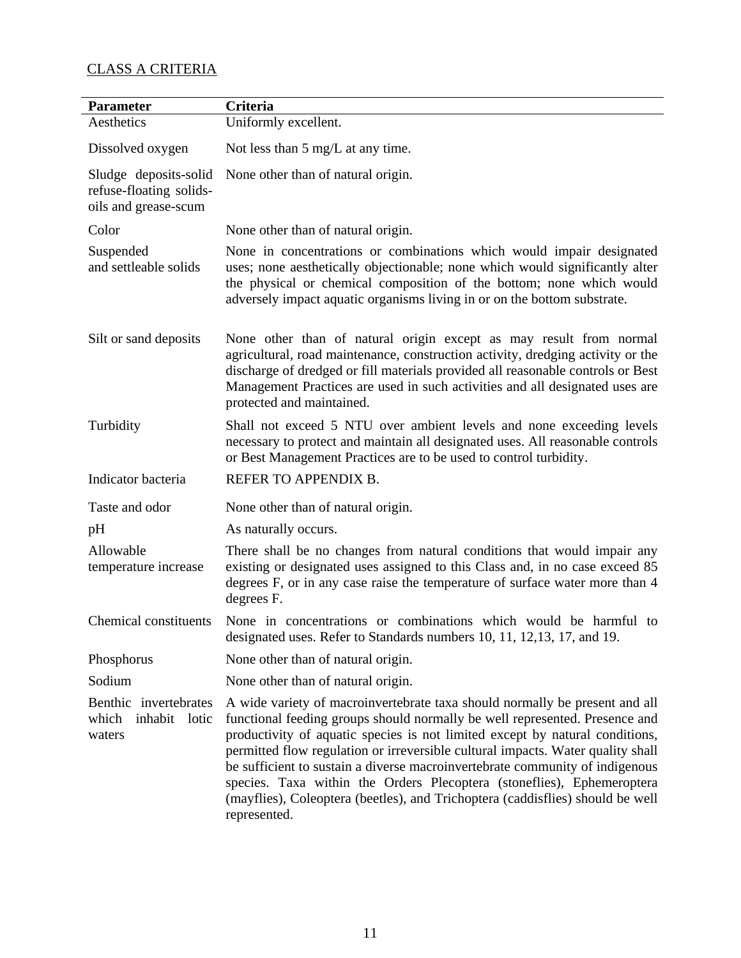## CLASS A CRITERIA

| Parameter                                                                | <b>Criteria</b>                                                                                                                                                                                                                                                                                                                                                                                                                                                                                                                                                                           |
|--------------------------------------------------------------------------|-------------------------------------------------------------------------------------------------------------------------------------------------------------------------------------------------------------------------------------------------------------------------------------------------------------------------------------------------------------------------------------------------------------------------------------------------------------------------------------------------------------------------------------------------------------------------------------------|
| Aesthetics                                                               | Uniformly excellent.                                                                                                                                                                                                                                                                                                                                                                                                                                                                                                                                                                      |
| Dissolved oxygen                                                         | Not less than $5 \text{ mg/L}$ at any time.                                                                                                                                                                                                                                                                                                                                                                                                                                                                                                                                               |
| Sludge deposits-solid<br>refuse-floating solids-<br>oils and grease-scum | None other than of natural origin.                                                                                                                                                                                                                                                                                                                                                                                                                                                                                                                                                        |
| Color                                                                    | None other than of natural origin.                                                                                                                                                                                                                                                                                                                                                                                                                                                                                                                                                        |
| Suspended<br>and settleable solids                                       | None in concentrations or combinations which would impair designated<br>uses; none aesthetically objectionable; none which would significantly alter<br>the physical or chemical composition of the bottom; none which would<br>adversely impact aquatic organisms living in or on the bottom substrate.                                                                                                                                                                                                                                                                                  |
| Silt or sand deposits                                                    | None other than of natural origin except as may result from normal<br>agricultural, road maintenance, construction activity, dredging activity or the<br>discharge of dredged or fill materials provided all reasonable controls or Best<br>Management Practices are used in such activities and all designated uses are<br>protected and maintained.                                                                                                                                                                                                                                     |
| Turbidity                                                                | Shall not exceed 5 NTU over ambient levels and none exceeding levels<br>necessary to protect and maintain all designated uses. All reasonable controls<br>or Best Management Practices are to be used to control turbidity.                                                                                                                                                                                                                                                                                                                                                               |
| Indicator bacteria                                                       | REFER TO APPENDIX B.                                                                                                                                                                                                                                                                                                                                                                                                                                                                                                                                                                      |
| Taste and odor                                                           | None other than of natural origin.                                                                                                                                                                                                                                                                                                                                                                                                                                                                                                                                                        |
| pH                                                                       | As naturally occurs.                                                                                                                                                                                                                                                                                                                                                                                                                                                                                                                                                                      |
| Allowable<br>temperature increase                                        | There shall be no changes from natural conditions that would impair any<br>existing or designated uses assigned to this Class and, in no case exceed 85<br>degrees F, or in any case raise the temperature of surface water more than 4<br>degrees F.                                                                                                                                                                                                                                                                                                                                     |
| Chemical constituents                                                    | None in concentrations or combinations which would be harmful to<br>designated uses. Refer to Standards numbers 10, 11, 12, 13, 17, and 19.                                                                                                                                                                                                                                                                                                                                                                                                                                               |
| Phosphorus                                                               | None other than of natural origin.                                                                                                                                                                                                                                                                                                                                                                                                                                                                                                                                                        |
| Sodium                                                                   | None other than of natural origin.                                                                                                                                                                                                                                                                                                                                                                                                                                                                                                                                                        |
| Benthic invertebrates<br>which<br>inhabit<br>lotic<br>waters             | A wide variety of macroinvertebrate taxa should normally be present and all<br>functional feeding groups should normally be well represented. Presence and<br>productivity of aquatic species is not limited except by natural conditions,<br>permitted flow regulation or irreversible cultural impacts. Water quality shall<br>be sufficient to sustain a diverse macroinvertebrate community of indigenous<br>species. Taxa within the Orders Plecoptera (stoneflies), Ephemeroptera<br>(mayflies), Coleoptera (beetles), and Trichoptera (caddisflies) should be well<br>represented. |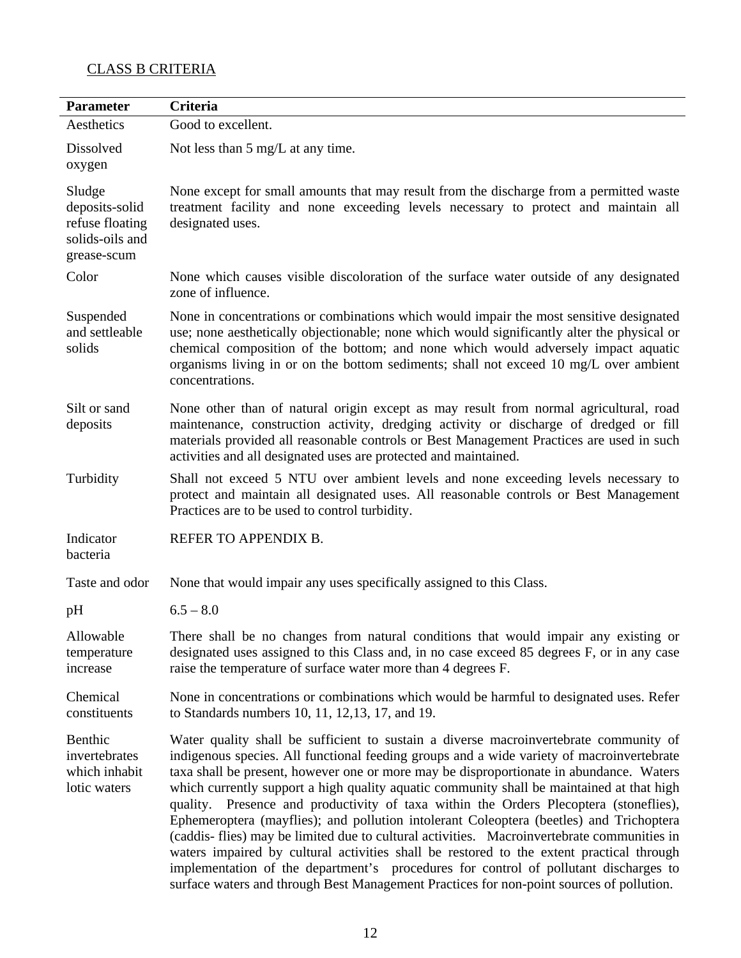## CLASS B CRITERIA

| <b>Parameter</b>                                                              | <b>Criteria</b>                                                                                                                                                                                                                                                                                                                                                                                                                                                                                                                                                                                                                                                                                                                                                                                                                                                                                                                               |
|-------------------------------------------------------------------------------|-----------------------------------------------------------------------------------------------------------------------------------------------------------------------------------------------------------------------------------------------------------------------------------------------------------------------------------------------------------------------------------------------------------------------------------------------------------------------------------------------------------------------------------------------------------------------------------------------------------------------------------------------------------------------------------------------------------------------------------------------------------------------------------------------------------------------------------------------------------------------------------------------------------------------------------------------|
| Aesthetics                                                                    | Good to excellent.                                                                                                                                                                                                                                                                                                                                                                                                                                                                                                                                                                                                                                                                                                                                                                                                                                                                                                                            |
| Dissolved<br>oxygen                                                           | Not less than $5 \text{ mg/L}$ at any time.                                                                                                                                                                                                                                                                                                                                                                                                                                                                                                                                                                                                                                                                                                                                                                                                                                                                                                   |
| Sludge<br>deposits-solid<br>refuse floating<br>solids-oils and<br>grease-scum | None except for small amounts that may result from the discharge from a permitted waste<br>treatment facility and none exceeding levels necessary to protect and maintain all<br>designated uses.                                                                                                                                                                                                                                                                                                                                                                                                                                                                                                                                                                                                                                                                                                                                             |
| Color                                                                         | None which causes visible discoloration of the surface water outside of any designated<br>zone of influence.                                                                                                                                                                                                                                                                                                                                                                                                                                                                                                                                                                                                                                                                                                                                                                                                                                  |
| Suspended<br>and settleable<br>solids                                         | None in concentrations or combinations which would impair the most sensitive designated<br>use; none aesthetically objectionable; none which would significantly alter the physical or<br>chemical composition of the bottom; and none which would adversely impact aquatic<br>organisms living in or on the bottom sediments; shall not exceed 10 mg/L over ambient<br>concentrations.                                                                                                                                                                                                                                                                                                                                                                                                                                                                                                                                                       |
| Silt or sand<br>deposits                                                      | None other than of natural origin except as may result from normal agricultural, road<br>maintenance, construction activity, dredging activity or discharge of dredged or fill<br>materials provided all reasonable controls or Best Management Practices are used in such<br>activities and all designated uses are protected and maintained.                                                                                                                                                                                                                                                                                                                                                                                                                                                                                                                                                                                                |
| Turbidity                                                                     | Shall not exceed 5 NTU over ambient levels and none exceeding levels necessary to<br>protect and maintain all designated uses. All reasonable controls or Best Management<br>Practices are to be used to control turbidity.                                                                                                                                                                                                                                                                                                                                                                                                                                                                                                                                                                                                                                                                                                                   |
| Indicator<br>bacteria                                                         | REFER TO APPENDIX B.                                                                                                                                                                                                                                                                                                                                                                                                                                                                                                                                                                                                                                                                                                                                                                                                                                                                                                                          |
| Taste and odor                                                                | None that would impair any uses specifically assigned to this Class.                                                                                                                                                                                                                                                                                                                                                                                                                                                                                                                                                                                                                                                                                                                                                                                                                                                                          |
| pH                                                                            | $6.5 - 8.0$                                                                                                                                                                                                                                                                                                                                                                                                                                                                                                                                                                                                                                                                                                                                                                                                                                                                                                                                   |
| Allowable<br>temperature<br>increase                                          | There shall be no changes from natural conditions that would impair any existing or<br>designated uses assigned to this Class and, in no case exceed 85 degrees F, or in any case<br>raise the temperature of surface water more than 4 degrees F.                                                                                                                                                                                                                                                                                                                                                                                                                                                                                                                                                                                                                                                                                            |
| Chemical<br>constituents                                                      | None in concentrations or combinations which would be harmful to designated uses. Refer<br>to Standards numbers 10, 11, 12, 13, 17, and 19.                                                                                                                                                                                                                                                                                                                                                                                                                                                                                                                                                                                                                                                                                                                                                                                                   |
| Benthic<br>invertebrates<br>which inhabit<br>lotic waters                     | Water quality shall be sufficient to sustain a diverse macroinvertebrate community of<br>indigenous species. All functional feeding groups and a wide variety of macroinvertebrate<br>taxa shall be present, however one or more may be disproportionate in abundance. Waters<br>which currently support a high quality aquatic community shall be maintained at that high<br>quality. Presence and productivity of taxa within the Orders Plecoptera (stoneflies),<br>Ephemeroptera (mayflies); and pollution intolerant Coleoptera (beetles) and Trichoptera<br>(caddis- flies) may be limited due to cultural activities. Macroinvertebrate communities in<br>waters impaired by cultural activities shall be restored to the extent practical through<br>implementation of the department's procedures for control of pollutant discharges to<br>surface waters and through Best Management Practices for non-point sources of pollution. |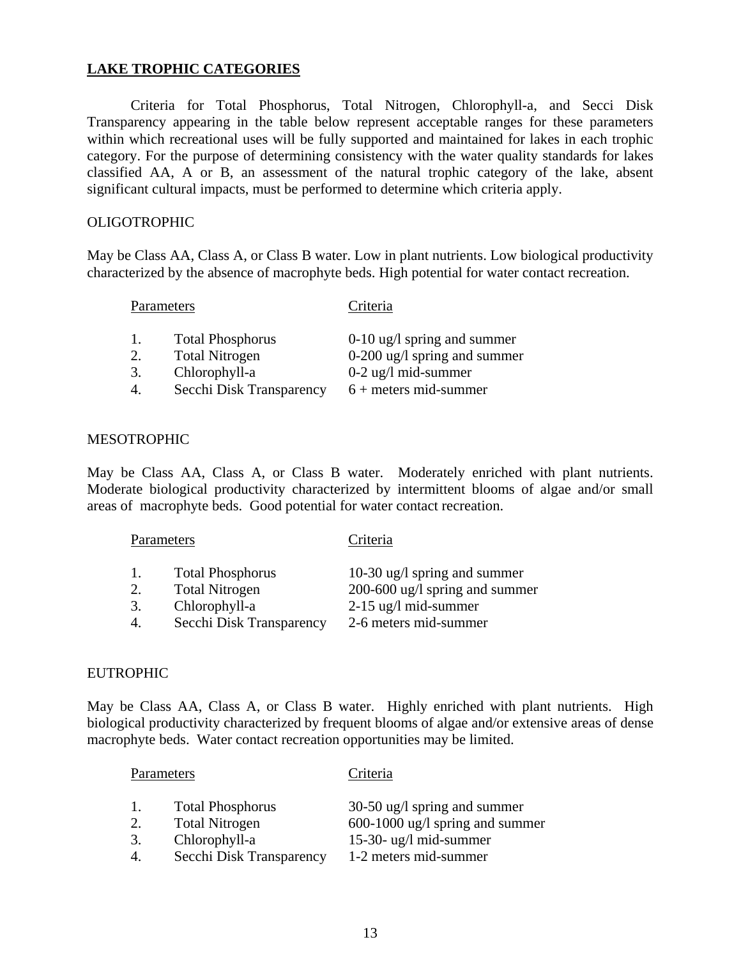## **LAKE TROPHIC CATEGORIES**

 Criteria for Total Phosphorus, Total Nitrogen, Chlorophyll-a, and Secci Disk Transparency appearing in the table below represent acceptable ranges for these parameters within which recreational uses will be fully supported and maintained for lakes in each trophic category. For the purpose of determining consistency with the water quality standards for lakes classified AA, A or B, an assessment of the natural trophic category of the lake, absent significant cultural impacts, must be performed to determine which criteria apply.

## **OLIGOTROPHIC**

May be Class AA, Class A, or Class B water. Low in plant nutrients. Low biological productivity characterized by the absence of macrophyte beds. High potential for water contact recreation.

## Parameters Criteria

- 
- 
- 3. Chlorophyll-a 0-2 ug/l mid-summer
- 4. Secchi Disk Transparency 6 + meters mid-summer

1. Total Phosphorus 0-10 ug/l spring and summer 2. Total Nitrogen 0-200 ug/l spring and summer

## MESOTROPHIC

May be Class AA, Class A, or Class B water. Moderately enriched with plant nutrients. Moderate biological productivity characterized by intermittent blooms of algae and/or small areas of macrophyte beds. Good potential for water contact recreation.

| Parameters |                          | Criteria                       |
|------------|--------------------------|--------------------------------|
|            | <b>Total Phosphorus</b>  | 10-30 ug/l spring and summer   |
| 2.         | <b>Total Nitrogen</b>    | 200-600 ug/l spring and summer |
| 3.         | Chlorophyll-a            | $2-15$ ug/l mid-summer         |
|            | Secchi Disk Transparency | 2-6 meters mid-summer          |

## EUTROPHIC

May be Class AA, Class A, or Class B water. Highly enriched with plant nutrients. High biological productivity characterized by frequent blooms of algae and/or extensive areas of dense macrophyte beds. Water contact recreation opportunities may be limited.

| Parameters |                                                                   | Criteria                                                                                         |
|------------|-------------------------------------------------------------------|--------------------------------------------------------------------------------------------------|
| 2.<br>3.   | <b>Total Phosphorus</b><br><b>Total Nitrogen</b><br>Chlorophyll-a | $30-50$ ug/l spring and summer<br>$600-1000$ ug/l spring and summer<br>$15-30$ - ug/l mid-summer |
|            | Secchi Disk Transparency                                          | 1-2 meters mid-summer                                                                            |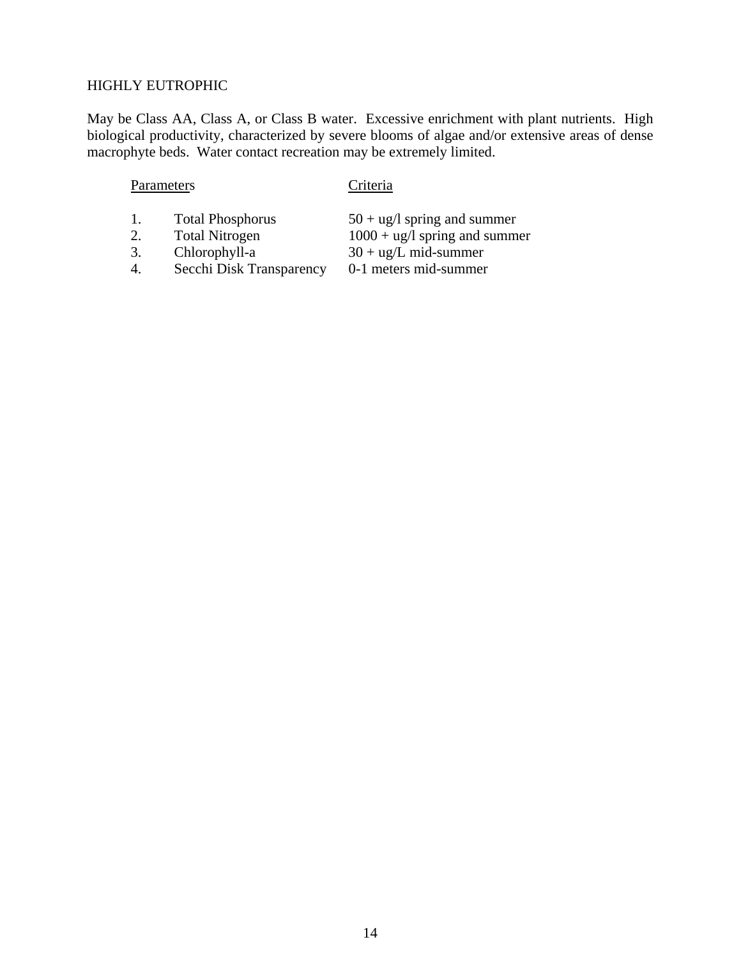## HIGHLY EUTROPHIC

May be Class AA, Class A, or Class B water. Excessive enrichment with plant nutrients. High biological productivity, characterized by severe blooms of algae and/or extensive areas of dense macrophyte beds. Water contact recreation may be extremely limited.

## Parameters Criteria

- 
- 
- 
- 1. Total Phosphorus  $50 + ug/l$  spring and summer<br>2. Total Nitrogen  $1000 + ug/l$  spring and summ 2. Total Nitrogen  $1000 + ug/l$  spring and summer<br>3. Chlorophyll-a  $30 + ug/L$  mid-summer
- 3. Chlorophyll-a  $30 + ug/L$  mid-summer<br>4. Secchi Disk Transparency 0-1 meters mid-summer
- 4. Secchi Disk Transparency

14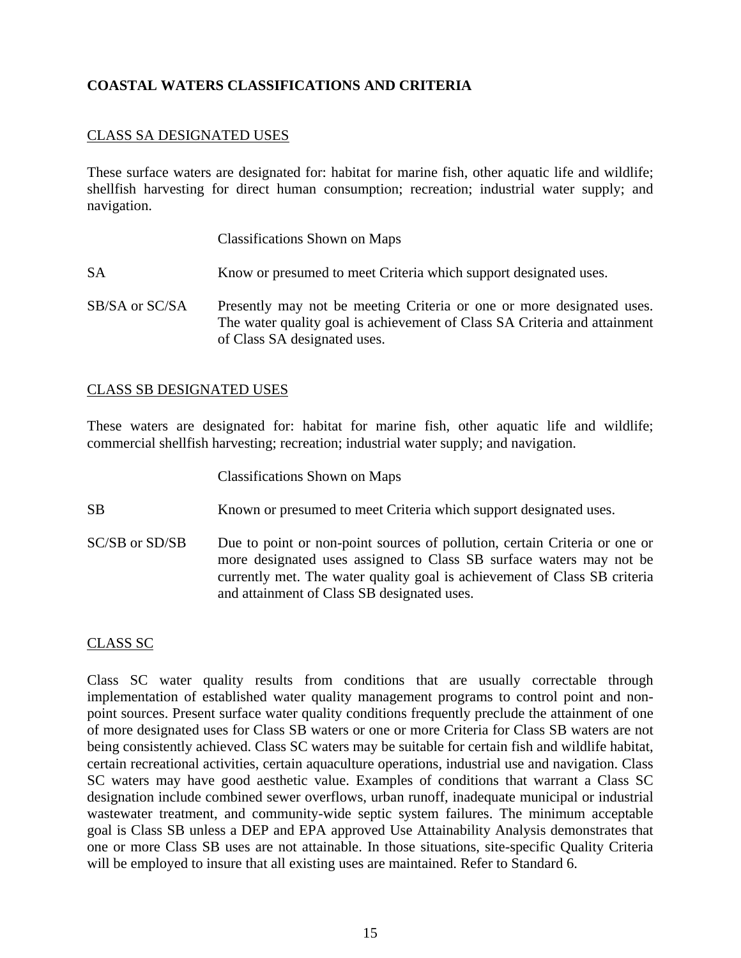## **COASTAL WATERS CLASSIFICATIONS AND CRITERIA**

## CLASS SA DESIGNATED USES

These surface waters are designated for: habitat for marine fish, other aquatic life and wildlife; shellfish harvesting for direct human consumption; recreation; industrial water supply; and navigation.

Classifications Shown on Maps

- SA Know or presumed to meet Criteria which support designated uses.
- SB/SA or SC/SA Presently may not be meeting Criteria or one or more designated uses. The water quality goal is achievement of Class SA Criteria and attainment of Class SA designated uses.

## CLASS SB DESIGNATED USES

These waters are designated for: habitat for marine fish, other aquatic life and wildlife; commercial shellfish harvesting; recreation; industrial water supply; and navigation.

Classifications Shown on Maps

- SB Known or presumed to meet Criteria which support designated uses.
- SC/SB or SD/SB Due to point or non-point sources of pollution, certain Criteria or one or more designated uses assigned to Class SB surface waters may not be currently met. The water quality goal is achievement of Class SB criteria and attainment of Class SB designated uses.

## CLASS SC

Class SC water quality results from conditions that are usually correctable through implementation of established water quality management programs to control point and nonpoint sources. Present surface water quality conditions frequently preclude the attainment of one of more designated uses for Class SB waters or one or more Criteria for Class SB waters are not being consistently achieved. Class SC waters may be suitable for certain fish and wildlife habitat, certain recreational activities, certain aquaculture operations, industrial use and navigation. Class SC waters may have good aesthetic value. Examples of conditions that warrant a Class SC designation include combined sewer overflows, urban runoff, inadequate municipal or industrial wastewater treatment, and community-wide septic system failures. The minimum acceptable goal is Class SB unless a DEP and EPA approved Use Attainability Analysis demonstrates that one or more Class SB uses are not attainable. In those situations, site-specific Quality Criteria will be employed to insure that all existing uses are maintained. Refer to Standard 6.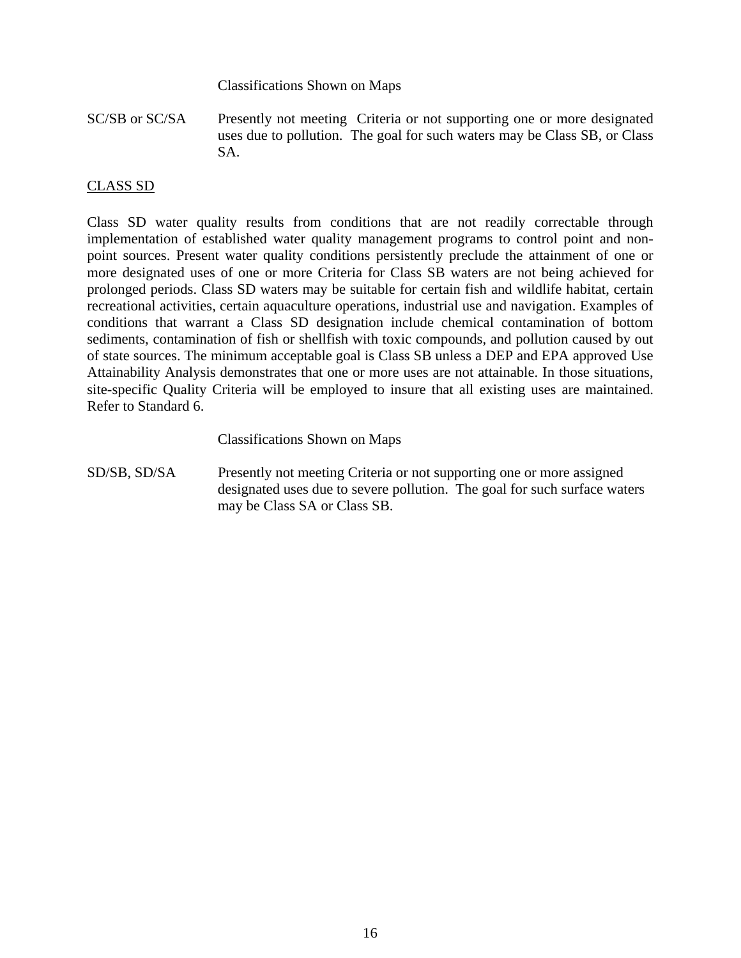Classifications Shown on Maps

SC/SB or SC/SA Presently not meeting Criteria or not supporting one or more designated uses due to pollution. The goal for such waters may be Class SB, or Class SA.

## CLASS SD

Class SD water quality results from conditions that are not readily correctable through implementation of established water quality management programs to control point and nonpoint sources. Present water quality conditions persistently preclude the attainment of one or more designated uses of one or more Criteria for Class SB waters are not being achieved for prolonged periods. Class SD waters may be suitable for certain fish and wildlife habitat, certain recreational activities, certain aquaculture operations, industrial use and navigation. Examples of conditions that warrant a Class SD designation include chemical contamination of bottom sediments, contamination of fish or shellfish with toxic compounds, and pollution caused by out of state sources. The minimum acceptable goal is Class SB unless a DEP and EPA approved Use Attainability Analysis demonstrates that one or more uses are not attainable. In those situations, site-specific Quality Criteria will be employed to insure that all existing uses are maintained. Refer to Standard 6.

Classifications Shown on Maps

SD/SB, SD/SA Presently not meeting Criteria or not supporting one or more assigned designated uses due to severe pollution. The goal for such surface waters may be Class SA or Class SB.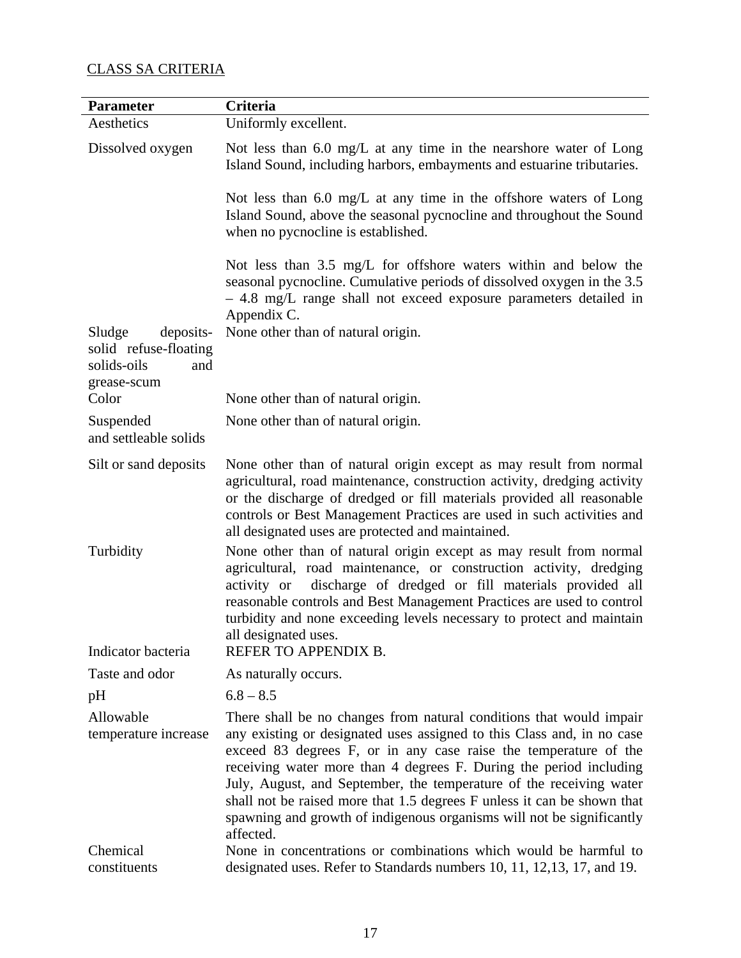## CLASS SA CRITERIA

| <b>Parameter</b>                                                                  | Criteria                                                                                                                                                                                                                                                                                                                                                                                                                                                                                                                        |
|-----------------------------------------------------------------------------------|---------------------------------------------------------------------------------------------------------------------------------------------------------------------------------------------------------------------------------------------------------------------------------------------------------------------------------------------------------------------------------------------------------------------------------------------------------------------------------------------------------------------------------|
| Aesthetics                                                                        | Uniformly excellent.                                                                                                                                                                                                                                                                                                                                                                                                                                                                                                            |
| Dissolved oxygen                                                                  | Not less than $6.0 \text{ mg/L}$ at any time in the nearshore water of Long<br>Island Sound, including harbors, embayments and estuarine tributaries.                                                                                                                                                                                                                                                                                                                                                                           |
|                                                                                   | Not less than 6.0 mg/L at any time in the offshore waters of Long<br>Island Sound, above the seasonal pycnocline and throughout the Sound<br>when no pycnocline is established.                                                                                                                                                                                                                                                                                                                                                 |
|                                                                                   | Not less than 3.5 mg/L for offshore waters within and below the<br>seasonal pycnocline. Cumulative periods of dissolved oxygen in the 3.5<br>- 4.8 mg/L range shall not exceed exposure parameters detailed in<br>Appendix C.                                                                                                                                                                                                                                                                                                   |
| Sludge<br>deposits-<br>solid refuse-floating<br>solids-oils<br>and<br>grease-scum | None other than of natural origin.                                                                                                                                                                                                                                                                                                                                                                                                                                                                                              |
| Color                                                                             | None other than of natural origin.                                                                                                                                                                                                                                                                                                                                                                                                                                                                                              |
| Suspended<br>and settleable solids                                                | None other than of natural origin.                                                                                                                                                                                                                                                                                                                                                                                                                                                                                              |
| Silt or sand deposits                                                             | None other than of natural origin except as may result from normal<br>agricultural, road maintenance, construction activity, dredging activity<br>or the discharge of dredged or fill materials provided all reasonable<br>controls or Best Management Practices are used in such activities and<br>all designated uses are protected and maintained.                                                                                                                                                                           |
| Turbidity                                                                         | None other than of natural origin except as may result from normal<br>agricultural, road maintenance, or construction activity, dredging<br>discharge of dredged or fill materials provided all<br>activity or<br>reasonable controls and Best Management Practices are used to control<br>turbidity and none exceeding levels necessary to protect and maintain<br>all designated uses.                                                                                                                                        |
| Indicator bacteria                                                                | REFER TO APPENDIX B.                                                                                                                                                                                                                                                                                                                                                                                                                                                                                                            |
| Taste and odor                                                                    | As naturally occurs.                                                                                                                                                                                                                                                                                                                                                                                                                                                                                                            |
| pH                                                                                | $6.8 - 8.5$                                                                                                                                                                                                                                                                                                                                                                                                                                                                                                                     |
| Allowable<br>temperature increase                                                 | There shall be no changes from natural conditions that would impair<br>any existing or designated uses assigned to this Class and, in no case<br>exceed 83 degrees F, or in any case raise the temperature of the<br>receiving water more than 4 degrees F. During the period including<br>July, August, and September, the temperature of the receiving water<br>shall not be raised more that 1.5 degrees F unless it can be shown that<br>spawning and growth of indigenous organisms will not be significantly<br>affected. |
| Chemical<br>constituents                                                          | None in concentrations or combinations which would be harmful to<br>designated uses. Refer to Standards numbers 10, 11, 12, 13, 17, and 19.                                                                                                                                                                                                                                                                                                                                                                                     |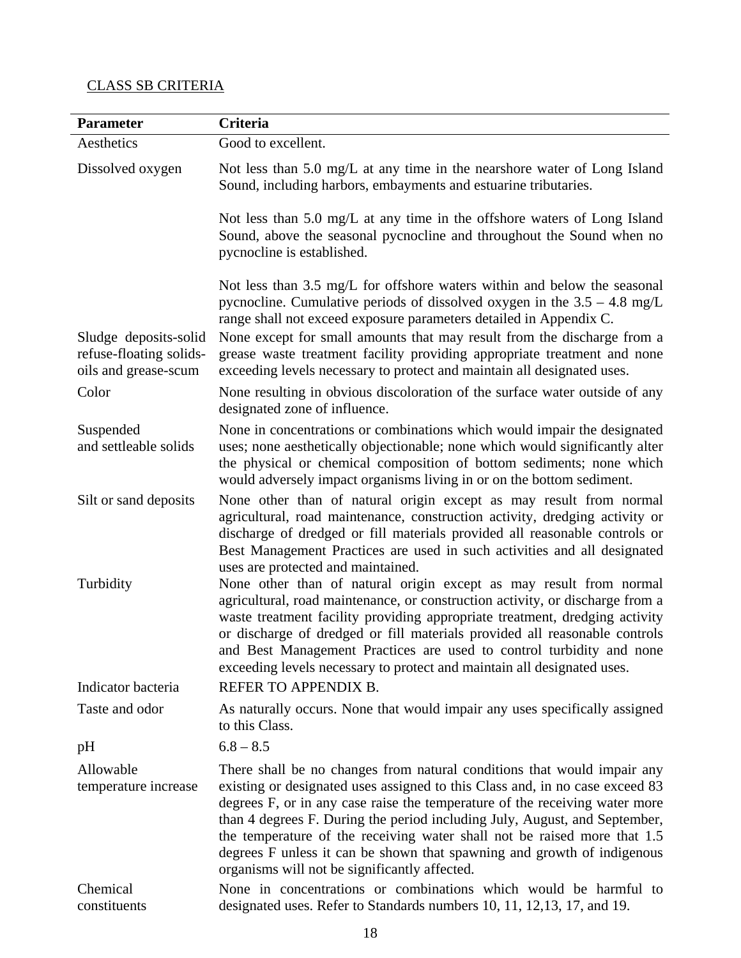## CLASS SB CRITERIA

| <b>Parameter</b>                                 | Criteria                                                                                                                                                                                                                                                                                                                                                                                                                                                                                                                     |
|--------------------------------------------------|------------------------------------------------------------------------------------------------------------------------------------------------------------------------------------------------------------------------------------------------------------------------------------------------------------------------------------------------------------------------------------------------------------------------------------------------------------------------------------------------------------------------------|
| Aesthetics                                       | Good to excellent.                                                                                                                                                                                                                                                                                                                                                                                                                                                                                                           |
| Dissolved oxygen                                 | Not less than 5.0 mg/L at any time in the nearshore water of Long Island<br>Sound, including harbors, embayments and estuarine tributaries.                                                                                                                                                                                                                                                                                                                                                                                  |
|                                                  | Not less than 5.0 mg/L at any time in the offshore waters of Long Island<br>Sound, above the seasonal pycnocline and throughout the Sound when no<br>pycnocline is established.                                                                                                                                                                                                                                                                                                                                              |
| Sludge deposits-solid<br>refuse-floating solids- | Not less than 3.5 mg/L for offshore waters within and below the seasonal<br>pycnocline. Cumulative periods of dissolved oxygen in the $3.5 - 4.8$ mg/L<br>range shall not exceed exposure parameters detailed in Appendix C.<br>None except for small amounts that may result from the discharge from a<br>grease waste treatment facility providing appropriate treatment and none                                                                                                                                          |
| oils and grease-scum                             | exceeding levels necessary to protect and maintain all designated uses.                                                                                                                                                                                                                                                                                                                                                                                                                                                      |
| Color                                            | None resulting in obvious discoloration of the surface water outside of any<br>designated zone of influence.                                                                                                                                                                                                                                                                                                                                                                                                                 |
| Suspended<br>and settleable solids               | None in concentrations or combinations which would impair the designated<br>uses; none aesthetically objectionable; none which would significantly alter<br>the physical or chemical composition of bottom sediments; none which<br>would adversely impact organisms living in or on the bottom sediment.                                                                                                                                                                                                                    |
| Silt or sand deposits                            | None other than of natural origin except as may result from normal<br>agricultural, road maintenance, construction activity, dredging activity or<br>discharge of dredged or fill materials provided all reasonable controls or<br>Best Management Practices are used in such activities and all designated<br>uses are protected and maintained.                                                                                                                                                                            |
| Turbidity                                        | None other than of natural origin except as may result from normal<br>agricultural, road maintenance, or construction activity, or discharge from a<br>waste treatment facility providing appropriate treatment, dredging activity<br>or discharge of dredged or fill materials provided all reasonable controls<br>and Best Management Practices are used to control turbidity and none<br>exceeding levels necessary to protect and maintain all designated uses.                                                          |
| Indicator bacteria                               | REFER TO APPENDIX B.                                                                                                                                                                                                                                                                                                                                                                                                                                                                                                         |
| Taste and odor                                   | As naturally occurs. None that would impair any uses specifically assigned<br>to this Class.                                                                                                                                                                                                                                                                                                                                                                                                                                 |
| pH                                               | $6.8 - 8.5$                                                                                                                                                                                                                                                                                                                                                                                                                                                                                                                  |
| Allowable<br>temperature increase                | There shall be no changes from natural conditions that would impair any<br>existing or designated uses assigned to this Class and, in no case exceed 83<br>degrees F, or in any case raise the temperature of the receiving water more<br>than 4 degrees F. During the period including July, August, and September,<br>the temperature of the receiving water shall not be raised more that 1.5<br>degrees F unless it can be shown that spawning and growth of indigenous<br>organisms will not be significantly affected. |
| Chemical<br>constituents                         | None in concentrations or combinations which would be harmful to<br>designated uses. Refer to Standards numbers 10, 11, 12, 13, 17, and 19.                                                                                                                                                                                                                                                                                                                                                                                  |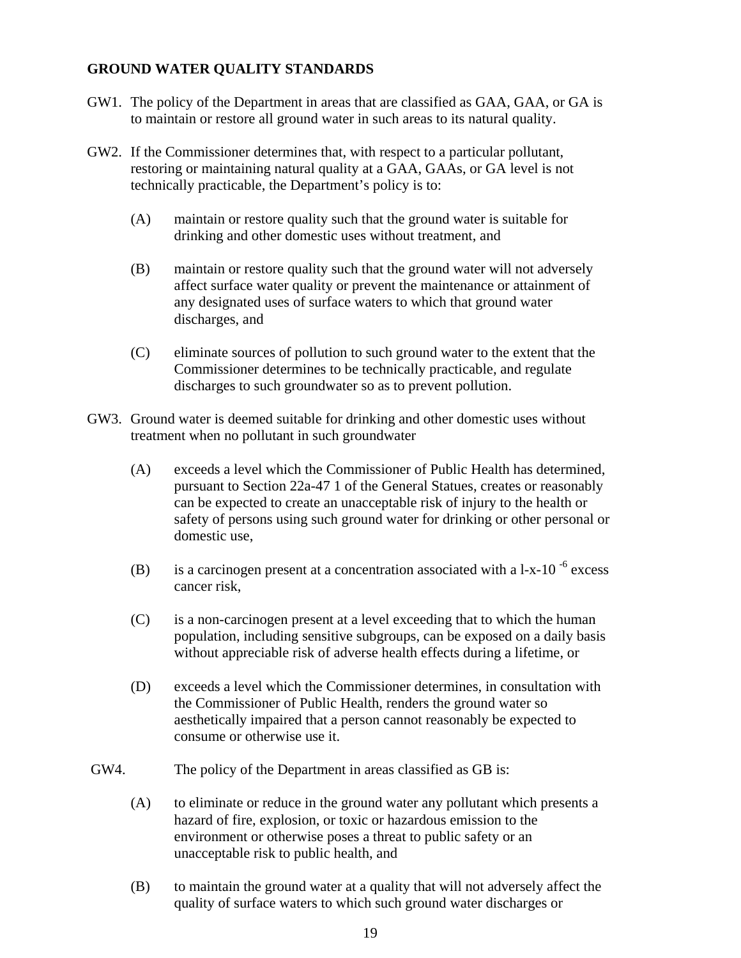## **GROUND WATER QUALITY STANDARDS**

- GW1. The policy of the Department in areas that are classified as GAA, GAA, or GA is to maintain or restore all ground water in such areas to its natural quality.
- GW2. If the Commissioner determines that, with respect to a particular pollutant, restoring or maintaining natural quality at a GAA, GAAs, or GA level is not technically practicable, the Department's policy is to:
	- (A) maintain or restore quality such that the ground water is suitable for drinking and other domestic uses without treatment, and
	- (B) maintain or restore quality such that the ground water will not adversely affect surface water quality or prevent the maintenance or attainment of any designated uses of surface waters to which that ground water discharges, and
	- (C) eliminate sources of pollution to such ground water to the extent that the Commissioner determines to be technically practicable, and regulate discharges to such groundwater so as to prevent pollution.
- GW3. Ground water is deemed suitable for drinking and other domestic uses without treatment when no pollutant in such groundwater
	- (A) exceeds a level which the Commissioner of Public Health has determined, pursuant to Section 22a-47 1 of the General Statues, creates or reasonably can be expected to create an unacceptable risk of injury to the health or safety of persons using such ground water for drinking or other personal or domestic use,
	- (B) is a carcinogen present at a concentration associated with a  $1-x-10^{-6}$  excess cancer risk,
	- (C) is a non-carcinogen present at a level exceeding that to which the human population, including sensitive subgroups, can be exposed on a daily basis without appreciable risk of adverse health effects during a lifetime, or
	- (D) exceeds a level which the Commissioner determines, in consultation with the Commissioner of Public Health, renders the ground water so aesthetically impaired that a person cannot reasonably be expected to consume or otherwise use it.
- GW4. The policy of the Department in areas classified as GB is:
	- (A) to eliminate or reduce in the ground water any pollutant which presents a hazard of fire, explosion, or toxic or hazardous emission to the environment or otherwise poses a threat to public safety or an unacceptable risk to public health, and
	- (B) to maintain the ground water at a quality that will not adversely affect the quality of surface waters to which such ground water discharges or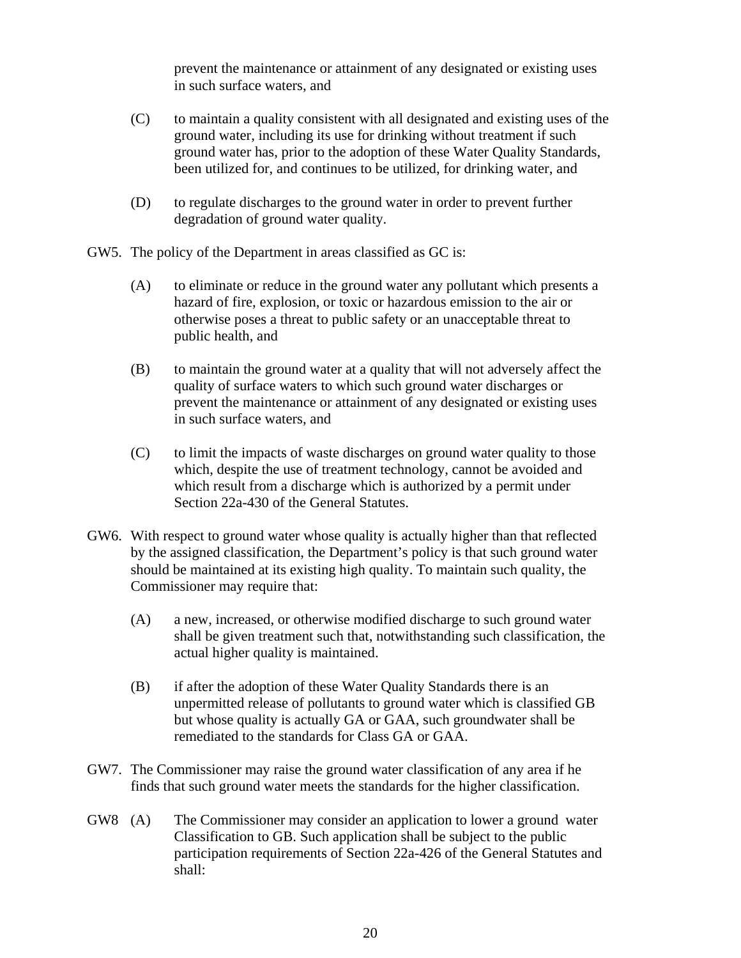prevent the maintenance or attainment of any designated or existing uses in such surface waters, and

- (C) to maintain a quality consistent with all designated and existing uses of the ground water, including its use for drinking without treatment if such ground water has, prior to the adoption of these Water Quality Standards, been utilized for, and continues to be utilized, for drinking water, and
- (D) to regulate discharges to the ground water in order to prevent further degradation of ground water quality.
- GW5. The policy of the Department in areas classified as GC is:
	- (A) to eliminate or reduce in the ground water any pollutant which presents a hazard of fire, explosion, or toxic or hazardous emission to the air or otherwise poses a threat to public safety or an unacceptable threat to public health, and
	- (B) to maintain the ground water at a quality that will not adversely affect the quality of surface waters to which such ground water discharges or prevent the maintenance or attainment of any designated or existing uses in such surface waters, and
	- (C) to limit the impacts of waste discharges on ground water quality to those which, despite the use of treatment technology, cannot be avoided and which result from a discharge which is authorized by a permit under Section 22a-430 of the General Statutes.
- GW6. With respect to ground water whose quality is actually higher than that reflected by the assigned classification, the Department's policy is that such ground water should be maintained at its existing high quality. To maintain such quality, the Commissioner may require that:
	- (A) a new, increased, or otherwise modified discharge to such ground water shall be given treatment such that, notwithstanding such classification, the actual higher quality is maintained.
	- (B) if after the adoption of these Water Quality Standards there is an unpermitted release of pollutants to ground water which is classified GB but whose quality is actually GA or GAA, such groundwater shall be remediated to the standards for Class GA or GAA.
- GW7. The Commissioner may raise the ground water classification of any area if he finds that such ground water meets the standards for the higher classification.
- GW8 (A) The Commissioner may consider an application to lower a ground water Classification to GB. Such application shall be subject to the public participation requirements of Section 22a-426 of the General Statutes and shall: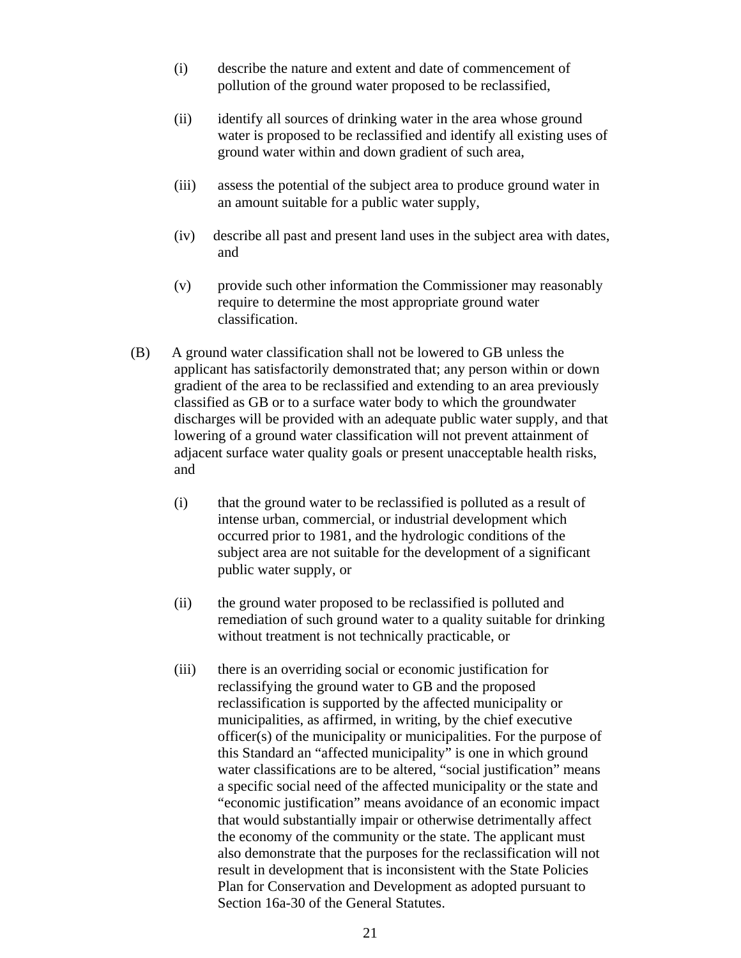- (i) describe the nature and extent and date of commencement of pollution of the ground water proposed to be reclassified,
- (ii) identify all sources of drinking water in the area whose ground water is proposed to be reclassified and identify all existing uses of ground water within and down gradient of such area,
- (iii) assess the potential of the subject area to produce ground water in an amount suitable for a public water supply,
- (iv) describe all past and present land uses in the subject area with dates, and
- (v) provide such other information the Commissioner may reasonably require to determine the most appropriate ground water classification.
- (B) A ground water classification shall not be lowered to GB unless the applicant has satisfactorily demonstrated that; any person within or down gradient of the area to be reclassified and extending to an area previously classified as GB or to a surface water body to which the groundwater discharges will be provided with an adequate public water supply, and that lowering of a ground water classification will not prevent attainment of adjacent surface water quality goals or present unacceptable health risks, and
	- (i) that the ground water to be reclassified is polluted as a result of intense urban, commercial, or industrial development which occurred prior to 1981, and the hydrologic conditions of the subject area are not suitable for the development of a significant public water supply, or
	- (ii) the ground water proposed to be reclassified is polluted and remediation of such ground water to a quality suitable for drinking without treatment is not technically practicable, or
	- (iii) there is an overriding social or economic justification for reclassifying the ground water to GB and the proposed reclassification is supported by the affected municipality or municipalities, as affirmed, in writing, by the chief executive officer(s) of the municipality or municipalities. For the purpose of this Standard an "affected municipality" is one in which ground water classifications are to be altered, "social justification" means a specific social need of the affected municipality or the state and "economic justification" means avoidance of an economic impact that would substantially impair or otherwise detrimentally affect the economy of the community or the state. The applicant must also demonstrate that the purposes for the reclassification will not result in development that is inconsistent with the State Policies Plan for Conservation and Development as adopted pursuant to Section 16a-30 of the General Statutes.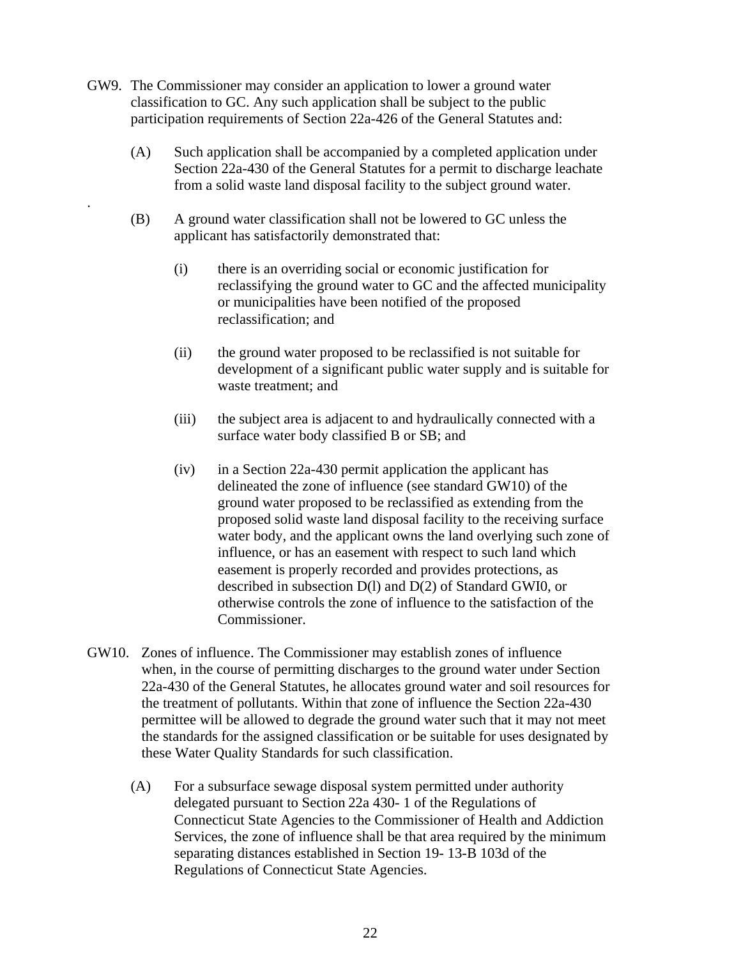GW9. The Commissioner may consider an application to lower a ground water classification to GC. Any such application shall be subject to the public participation requirements of Section 22a-426 of the General Statutes and:

.

- (A) Such application shall be accompanied by a completed application under Section 22a-430 of the General Statutes for a permit to discharge leachate from a solid waste land disposal facility to the subject ground water.
- (B) A ground water classification shall not be lowered to GC unless the applicant has satisfactorily demonstrated that:
	- (i) there is an overriding social or economic justification for reclassifying the ground water to GC and the affected municipality or municipalities have been notified of the proposed reclassification; and
	- (ii) the ground water proposed to be reclassified is not suitable for development of a significant public water supply and is suitable for waste treatment; and
	- (iii) the subject area is adjacent to and hydraulically connected with a surface water body classified B or SB; and
	- $(iv)$  in a Section 22a-430 permit application the applicant has delineated the zone of influence (see standard GW10) of the ground water proposed to be reclassified as extending from the proposed solid waste land disposal facility to the receiving surface water body, and the applicant owns the land overlying such zone of influence, or has an easement with respect to such land which easement is properly recorded and provides protections, as described in subsection D(l) and D(2) of Standard GWI0, or otherwise controls the zone of influence to the satisfaction of the Commissioner.
- GW10. Zones of influence. The Commissioner may establish zones of influence when, in the course of permitting discharges to the ground water under Section 22a-430 of the General Statutes, he allocates ground water and soil resources for the treatment of pollutants. Within that zone of influence the Section 22a-430 permittee will be allowed to degrade the ground water such that it may not meet the standards for the assigned classification or be suitable for uses designated by these Water Quality Standards for such classification.
	- (A) For a subsurface sewage disposal system permitted under authority delegated pursuant to Section 22a 430- 1 of the Regulations of Connecticut State Agencies to the Commissioner of Health and Addiction Services, the zone of influence shall be that area required by the minimum separating distances established in Section 19- 13-B 103d of the Regulations of Connecticut State Agencies.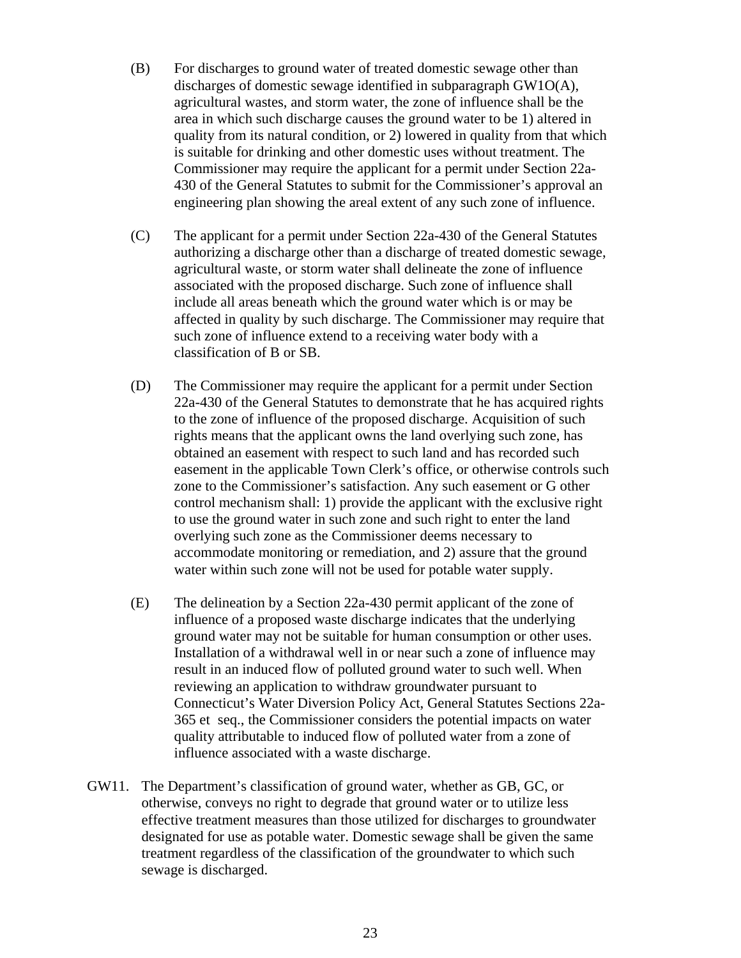- (B) For discharges to ground water of treated domestic sewage other than discharges of domestic sewage identified in subparagraph GW1O(A), agricultural wastes, and storm water, the zone of influence shall be the area in which such discharge causes the ground water to be 1) altered in quality from its natural condition, or 2) lowered in quality from that which is suitable for drinking and other domestic uses without treatment. The Commissioner may require the applicant for a permit under Section 22a-430 of the General Statutes to submit for the Commissioner's approval an engineering plan showing the areal extent of any such zone of influence.
- (C) The applicant for a permit under Section 22a-430 of the General Statutes authorizing a discharge other than a discharge of treated domestic sewage, agricultural waste, or storm water shall delineate the zone of influence associated with the proposed discharge. Such zone of influence shall include all areas beneath which the ground water which is or may be affected in quality by such discharge. The Commissioner may require that such zone of influence extend to a receiving water body with a classification of B or SB.
- (D) The Commissioner may require the applicant for a permit under Section 22a-430 of the General Statutes to demonstrate that he has acquired rights to the zone of influence of the proposed discharge. Acquisition of such rights means that the applicant owns the land overlying such zone, has obtained an easement with respect to such land and has recorded such easement in the applicable Town Clerk's office, or otherwise controls such zone to the Commissioner's satisfaction. Any such easement or G other control mechanism shall: 1) provide the applicant with the exclusive right to use the ground water in such zone and such right to enter the land overlying such zone as the Commissioner deems necessary to accommodate monitoring or remediation, and 2) assure that the ground water within such zone will not be used for potable water supply.
- (E) The delineation by a Section 22a-430 permit applicant of the zone of influence of a proposed waste discharge indicates that the underlying ground water may not be suitable for human consumption or other uses. Installation of a withdrawal well in or near such a zone of influence may result in an induced flow of polluted ground water to such well. When reviewing an application to withdraw groundwater pursuant to Connecticut's Water Diversion Policy Act, General Statutes Sections 22a-365 et seq., the Commissioner considers the potential impacts on water quality attributable to induced flow of polluted water from a zone of influence associated with a waste discharge.
- GW11. The Department's classification of ground water, whether as GB, GC, or otherwise, conveys no right to degrade that ground water or to utilize less effective treatment measures than those utilized for discharges to groundwater designated for use as potable water. Domestic sewage shall be given the same treatment regardless of the classification of the groundwater to which such sewage is discharged.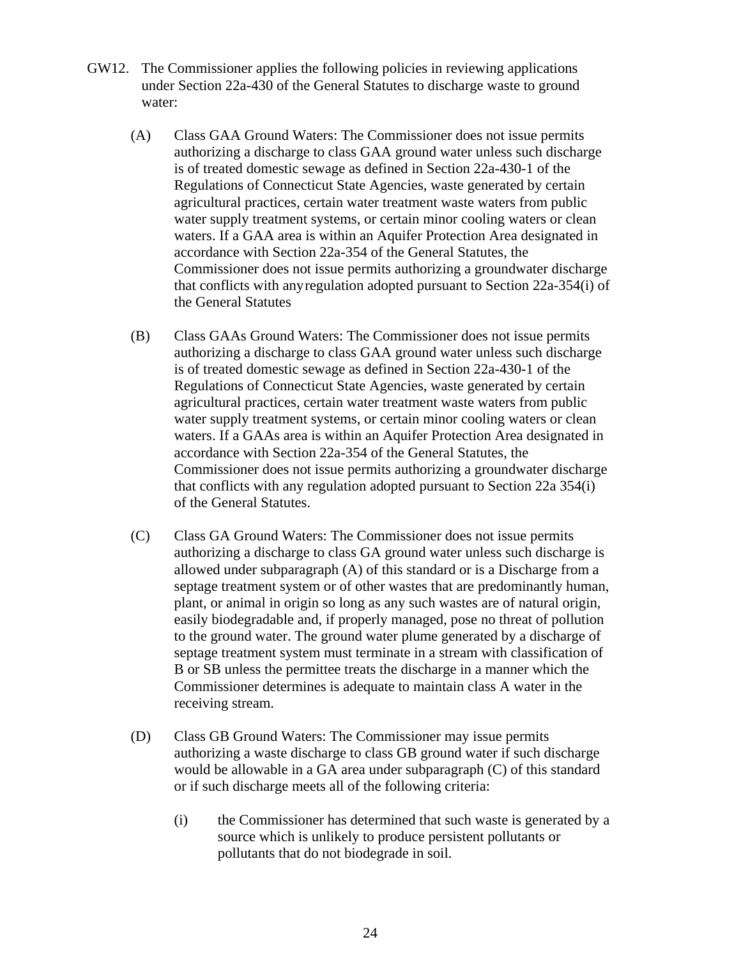- GW12. The Commissioner applies the following policies in reviewing applications under Section 22a-430 of the General Statutes to discharge waste to ground water:
	- (A) Class GAA Ground Waters: The Commissioner does not issue permits authorizing a discharge to class GAA ground water unless such discharge is of treated domestic sewage as defined in Section 22a-430-1 of the Regulations of Connecticut State Agencies, waste generated by certain agricultural practices, certain water treatment waste waters from public water supply treatment systems, or certain minor cooling waters or clean waters. If a GAA area is within an Aquifer Protection Area designated in accordance with Section 22a-354 of the General Statutes, the Commissioner does not issue permits authorizing a groundwater discharge that conflicts with any regulation adopted pursuant to Section 22a-354(i) of the General Statutes
	- (B) Class GAAs Ground Waters: The Commissioner does not issue permits authorizing a discharge to class GAA ground water unless such discharge is of treated domestic sewage as defined in Section 22a-430-1 of the Regulations of Connecticut State Agencies, waste generated by certain agricultural practices, certain water treatment waste waters from public water supply treatment systems, or certain minor cooling waters or clean waters. If a GAAs area is within an Aquifer Protection Area designated in accordance with Section 22a-354 of the General Statutes, the Commissioner does not issue permits authorizing a groundwater discharge that conflicts with any regulation adopted pursuant to Section 22a 354(i) of the General Statutes.
	- (C) Class GA Ground Waters: The Commissioner does not issue permits authorizing a discharge to class GA ground water unless such discharge is allowed under subparagraph (A) of this standard or is a Discharge from a septage treatment system or of other wastes that are predominantly human, plant, or animal in origin so long as any such wastes are of natural origin, easily biodegradable and, if properly managed, pose no threat of pollution to the ground water. The ground water plume generated by a discharge of septage treatment system must terminate in a stream with classification of B or SB unless the permittee treats the discharge in a manner which the Commissioner determines is adequate to maintain class A water in the receiving stream.
	- (D) Class GB Ground Waters: The Commissioner may issue permits authorizing a waste discharge to class GB ground water if such discharge would be allowable in a GA area under subparagraph (C) of this standard or if such discharge meets all of the following criteria:
		- (i) the Commissioner has determined that such waste is generated by a source which is unlikely to produce persistent pollutants or pollutants that do not biodegrade in soil.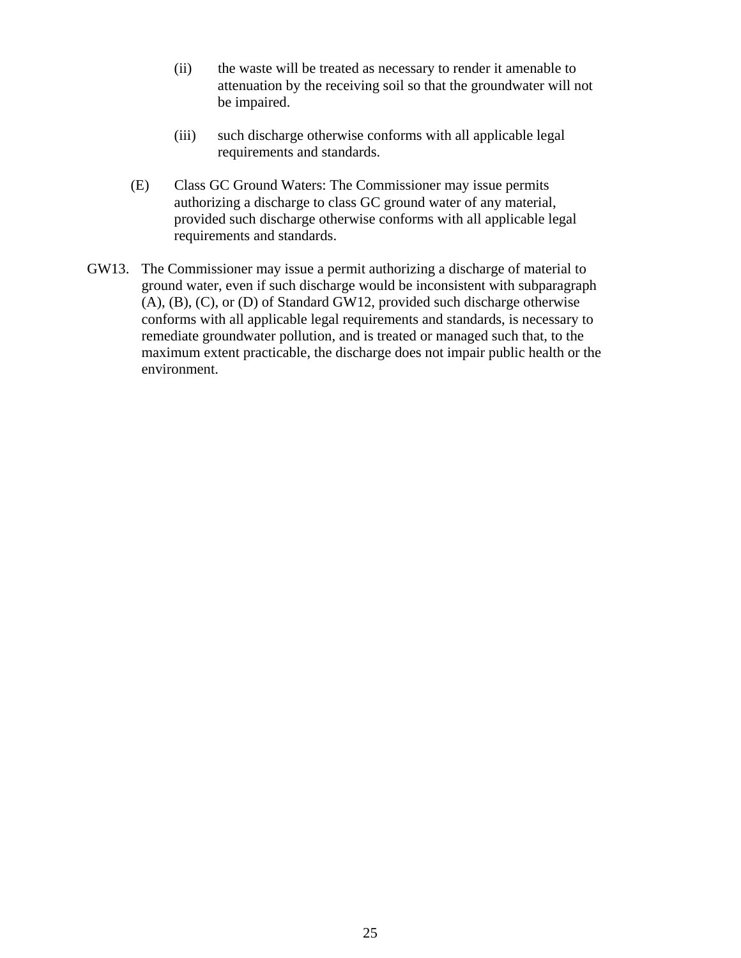- (ii) the waste will be treated as necessary to render it amenable to attenuation by the receiving soil so that the groundwater will not be impaired.
- (iii) such discharge otherwise conforms with all applicable legal requirements and standards.
- (E) Class GC Ground Waters: The Commissioner may issue permits authorizing a discharge to class GC ground water of any material, provided such discharge otherwise conforms with all applicable legal requirements and standards.
- GW13. The Commissioner may issue a permit authorizing a discharge of material to ground water, even if such discharge would be inconsistent with subparagraph (A), (B), (C), or (D) of Standard GW12, provided such discharge otherwise conforms with all applicable legal requirements and standards, is necessary to remediate groundwater pollution, and is treated or managed such that, to the maximum extent practicable, the discharge does not impair public health or the environment.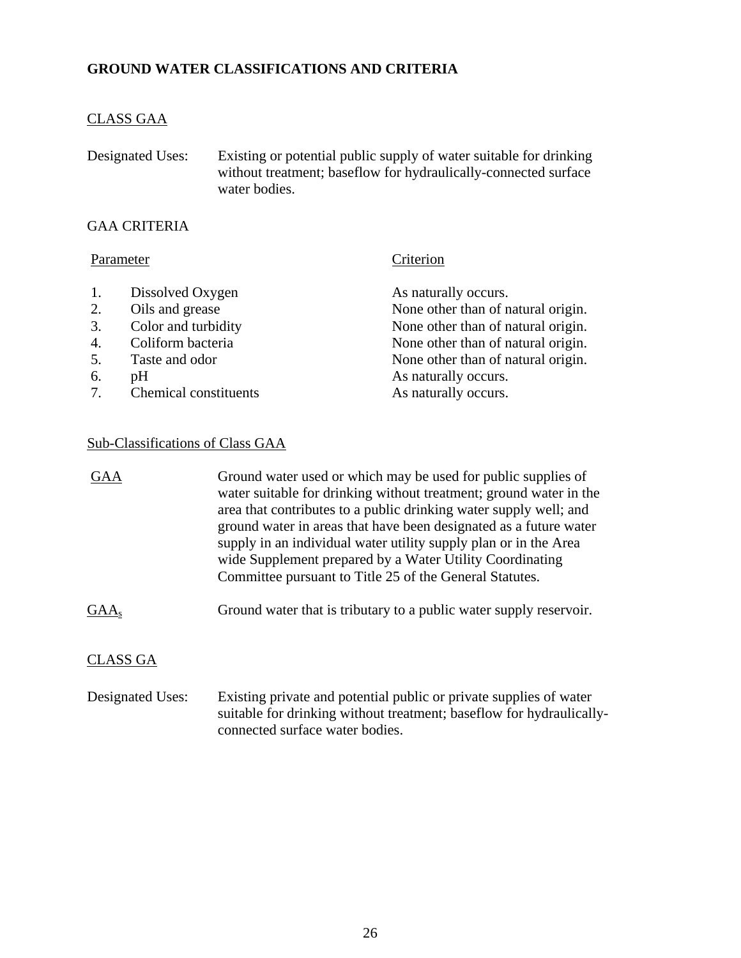## **GROUND WATER CLASSIFICATIONS AND CRITERIA**

## CLASS GAA

Designated Uses: Existing or potential public supply of water suitable for drinking without treatment; baseflow for hydraulically-connected surface water bodies.

## GAA CRITERIA

## Parameter Criterion

| 1. | Dissolved Oxygen         | As naturally occurs.               |
|----|--------------------------|------------------------------------|
| 2. | Oils and grease          | None other than of natural origin. |
| 3. | Color and turbidity      | None other than of natural origin. |
| 4. | Coliform bacteria        | None other than of natural origin. |
| 5. | Taste and odor           | None other than of natural origin. |
| 6. | pH                       | As naturally occurs.               |
|    | 7. Chemical constituents | As naturally occurs.               |
|    |                          |                                    |

## Sub-Classifications of Class GAA

| GAA              | Ground water used or which may be used for public supplies of<br>water suitable for drinking without treatment; ground water in the<br>area that contributes to a public drinking water supply well; and<br>ground water in areas that have been designated as a future water<br>supply in an individual water utility supply plan or in the Area<br>wide Supplement prepared by a Water Utility Coordinating<br>Committee pursuant to Title 25 of the General Statutes. |
|------------------|--------------------------------------------------------------------------------------------------------------------------------------------------------------------------------------------------------------------------------------------------------------------------------------------------------------------------------------------------------------------------------------------------------------------------------------------------------------------------|
| GAA <sub>s</sub> | Ground water that is tributary to a public water supply reservoir.                                                                                                                                                                                                                                                                                                                                                                                                       |
| CLASS GA         |                                                                                                                                                                                                                                                                                                                                                                                                                                                                          |
| Designated Uses: | Existing private and potential public or private supplies of water                                                                                                                                                                                                                                                                                                                                                                                                       |

connected surface water bodies.

suitable for drinking without treatment; baseflow for hydraulically-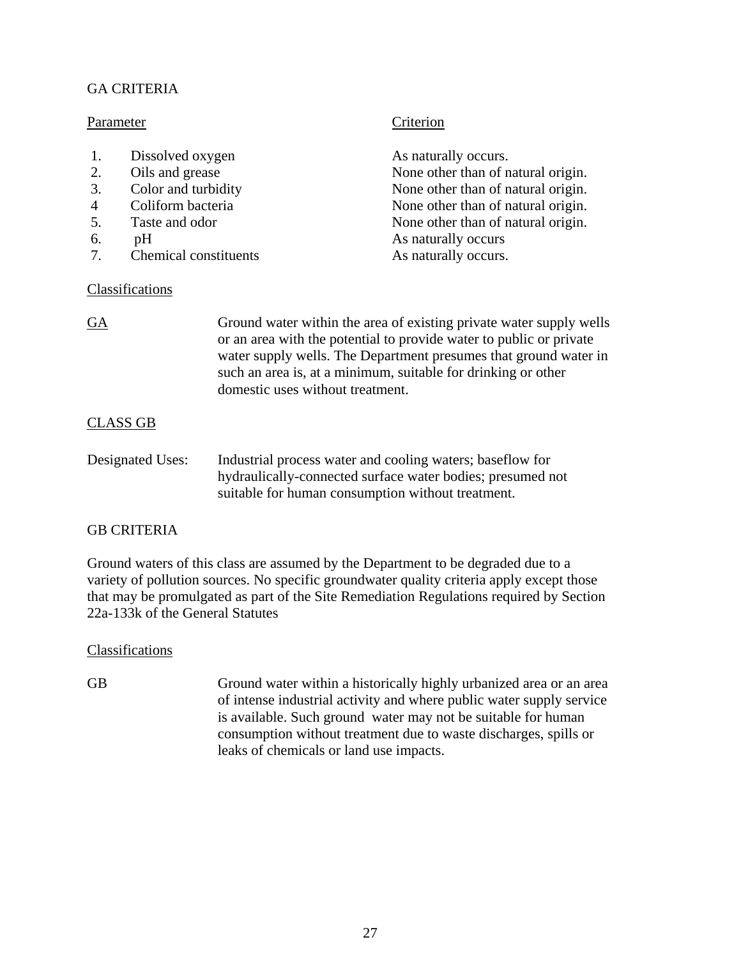## GA CRITERIA

## Parameter Criterion

## 1. Dissolved oxygen As naturally occurs.

- 
- 
- 
- 
- 
- 7. Chemical constituents As naturally occurs.

## **Classifications**

2. Oils and grease None other than of natural origin. 3. Color and turbidity None other than of natural origin. 4 Coliform bacteria None other than of natural origin.<br>5. Taste and odor None other than of natural origin. 5. Taste and odor None other than of natural origin. 6. pH As naturally occurs

GA Ground water within the area of existing private water supply wells or an area with the potential to provide water to public or private water supply wells. The Department presumes that ground water in such an area is, at a minimum, suitable for drinking or other domestic uses without treatment.

## CLASS GB

Designated Uses: Industrial process water and cooling waters; baseflow for hydraulically-connected surface water bodies; presumed not suitable for human consumption without treatment.

## GB CRITERIA

Ground waters of this class are assumed by the Department to be degraded due to a variety of pollution sources. No specific groundwater quality criteria apply except those that may be promulgated as part of the Site Remediation Regulations required by Section 22a-133k of the General Statutes

## **Classifications**

GB Ground water within a historically highly urbanized area or an area of intense industrial activity and where public water supply service is available. Such ground water may not be suitable for human consumption without treatment due to waste discharges, spills or leaks of chemicals or land use impacts.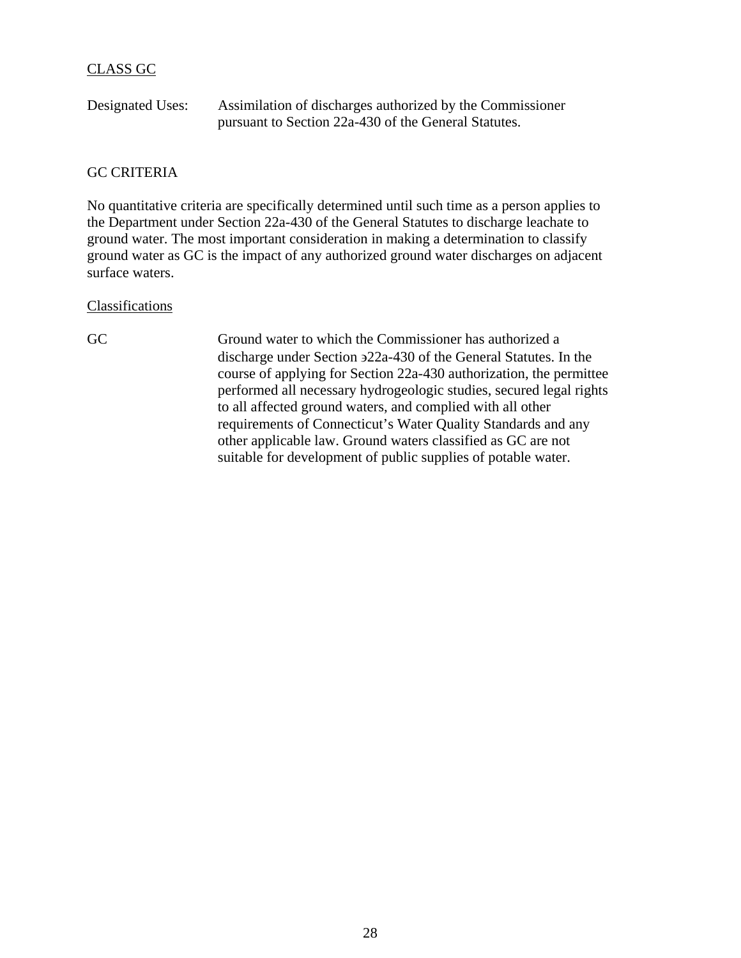## CLASS GC

| Designated Uses: | Assimilation of discharges authorized by the Commissioner |
|------------------|-----------------------------------------------------------|
|                  | pursuant to Section 22a-430 of the General Statutes.      |

## GC CRITERIA

No quantitative criteria are specifically determined until such time as a person applies to the Department under Section 22a-430 of the General Statutes to discharge leachate to ground water. The most important consideration in making a determination to classify ground water as GC is the impact of any authorized ground water discharges on adjacent surface waters.

## Classifications

GC Ground water to which the Commissioner has authorized a discharge under Section ∋22a-430 of the General Statutes. In the course of applying for Section 22a-430 authorization, the permittee performed all necessary hydrogeologic studies, secured legal rights to all affected ground waters, and complied with all other requirements of Connecticut's Water Quality Standards and any other applicable law. Ground waters classified as GC are not suitable for development of public supplies of potable water.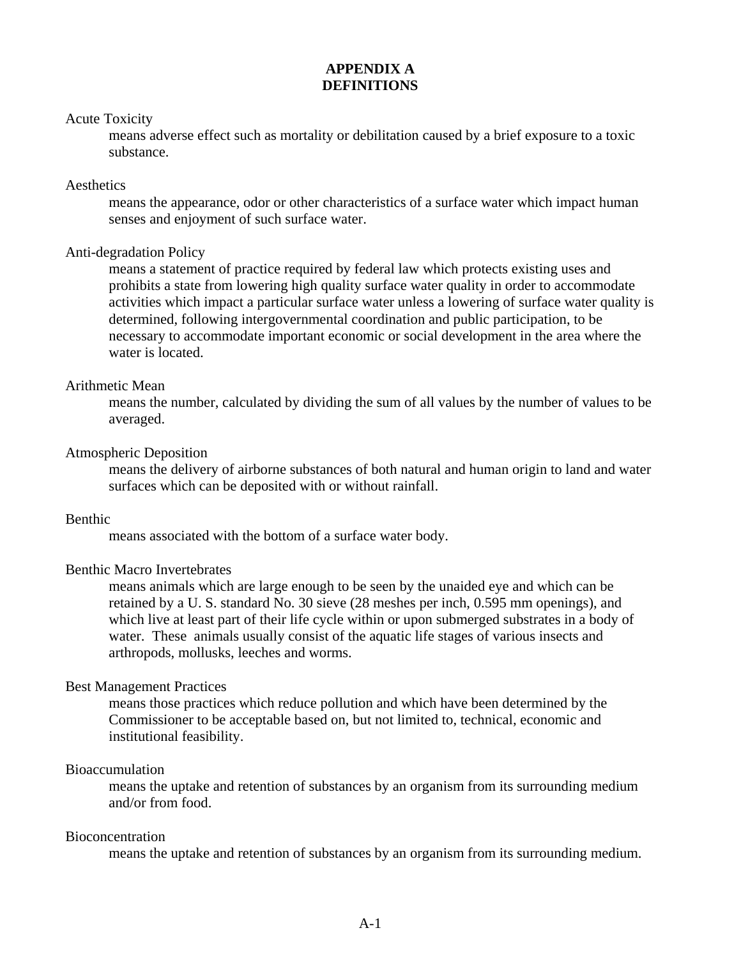## **APPENDIX A DEFINITIONS**

## Acute Toxicity

 means adverse effect such as mortality or debilitation caused by a brief exposure to a toxic substance.

## **Aesthetics**

 means the appearance, odor or other characteristics of a surface water which impact human senses and enjoyment of such surface water.

## Anti-degradation Policy

means a statement of practice required by federal law which protects existing uses and prohibits a state from lowering high quality surface water quality in order to accommodate activities which impact a particular surface water unless a lowering of surface water quality is determined, following intergovernmental coordination and public participation, to be necessary to accommodate important economic or social development in the area where the water is located.

## Arithmetic Mean

means the number, calculated by dividing the sum of all values by the number of values to be averaged.

## Atmospheric Deposition

means the delivery of airborne substances of both natural and human origin to land and water surfaces which can be deposited with or without rainfall.

## Benthic

means associated with the bottom of a surface water body.

## Benthic Macro Invertebrates

means animals which are large enough to be seen by the unaided eye and which can be retained by a U. S. standard No. 30 sieve (28 meshes per inch, 0.595 mm openings), and which live at least part of their life cycle within or upon submerged substrates in a body of water. These animals usually consist of the aquatic life stages of various insects and arthropods, mollusks, leeches and worms.

## Best Management Practices

means those practices which reduce pollution and which have been determined by the Commissioner to be acceptable based on, but not limited to, technical, economic and institutional feasibility.

## Bioaccumulation

means the uptake and retention of substances by an organism from its surrounding medium and/or from food.

## Bioconcentration

means the uptake and retention of substances by an organism from its surrounding medium.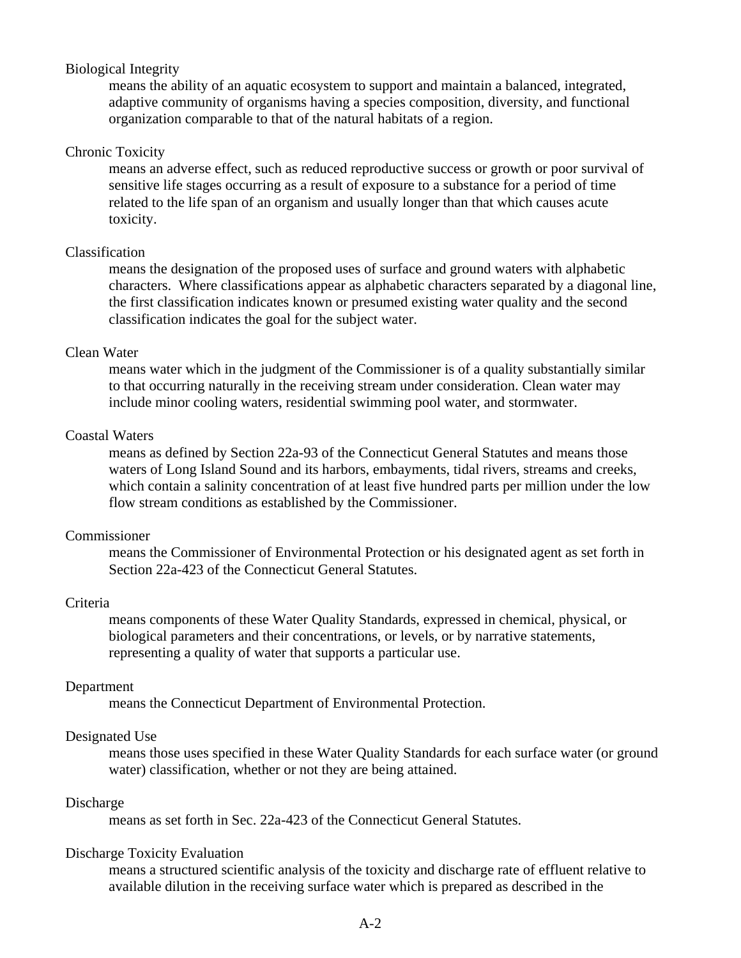## Biological Integrity

means the ability of an aquatic ecosystem to support and maintain a balanced, integrated, adaptive community of organisms having a species composition, diversity, and functional organization comparable to that of the natural habitats of a region.

## Chronic Toxicity

means an adverse effect, such as reduced reproductive success or growth or poor survival of sensitive life stages occurring as a result of exposure to a substance for a period of time related to the life span of an organism and usually longer than that which causes acute toxicity.

## Classification

means the designation of the proposed uses of surface and ground waters with alphabetic characters. Where classifications appear as alphabetic characters separated by a diagonal line, the first classification indicates known or presumed existing water quality and the second classification indicates the goal for the subject water.

## Clean Water

means water which in the judgment of the Commissioner is of a quality substantially similar to that occurring naturally in the receiving stream under consideration. Clean water may include minor cooling waters, residential swimming pool water, and stormwater.

## Coastal Waters

means as defined by Section 22a-93 of the Connecticut General Statutes and means those waters of Long Island Sound and its harbors, embayments, tidal rivers, streams and creeks, which contain a salinity concentration of at least five hundred parts per million under the low flow stream conditions as established by the Commissioner.

## Commissioner

means the Commissioner of Environmental Protection or his designated agent as set forth in Section 22a-423 of the Connecticut General Statutes.

## Criteria

means components of these Water Quality Standards, expressed in chemical, physical, or biological parameters and their concentrations, or levels, or by narrative statements, representing a quality of water that supports a particular use.

## Department

means the Connecticut Department of Environmental Protection.

## Designated Use

means those uses specified in these Water Quality Standards for each surface water (or ground water) classification, whether or not they are being attained.

## Discharge

means as set forth in Sec. 22a-423 of the Connecticut General Statutes.

## Discharge Toxicity Evaluation

 means a structured scientific analysis of the toxicity and discharge rate of effluent relative to available dilution in the receiving surface water which is prepared as described in the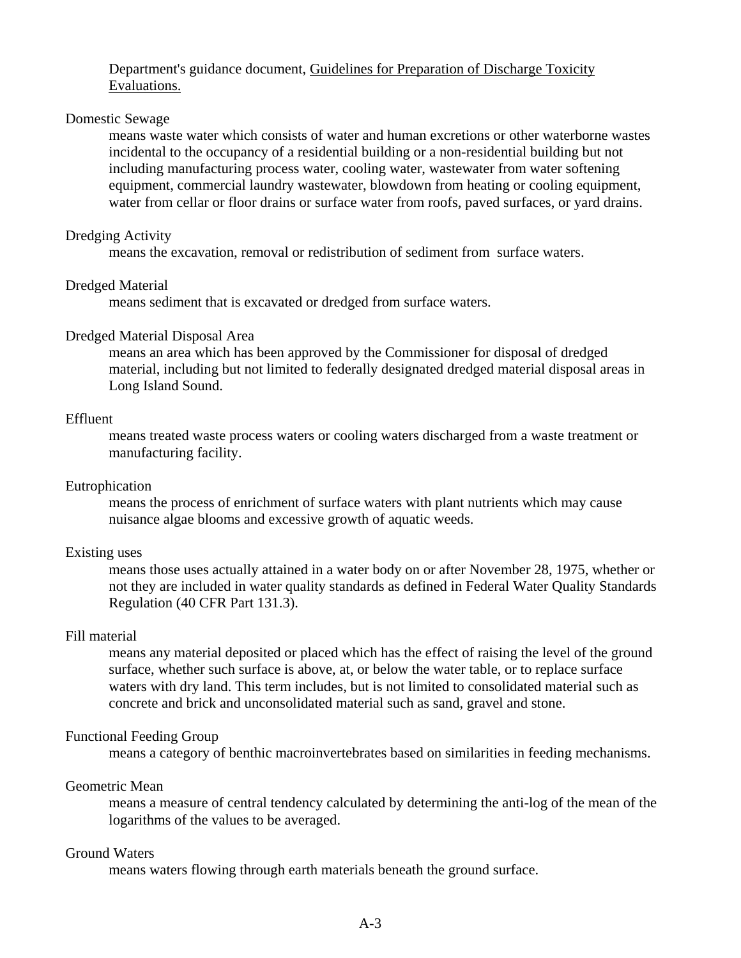## Department's guidance document, Guidelines for Preparation of Discharge Toxicity Evaluations.

## Domestic Sewage

means waste water which consists of water and human excretions or other waterborne wastes incidental to the occupancy of a residential building or a non-residential building but not including manufacturing process water, cooling water, wastewater from water softening equipment, commercial laundry wastewater, blowdown from heating or cooling equipment, water from cellar or floor drains or surface water from roofs, paved surfaces, or yard drains.

## Dredging Activity

means the excavation, removal or redistribution of sediment from surface waters.

## Dredged Material

means sediment that is excavated or dredged from surface waters.

## Dredged Material Disposal Area

means an area which has been approved by the Commissioner for disposal of dredged material, including but not limited to federally designated dredged material disposal areas in Long Island Sound.

## Effluent

means treated waste process waters or cooling waters discharged from a waste treatment or manufacturing facility.

## Eutrophication

means the process of enrichment of surface waters with plant nutrients which may cause nuisance algae blooms and excessive growth of aquatic weeds.

## Existing uses

means those uses actually attained in a water body on or after November 28, 1975, whether or not they are included in water quality standards as defined in Federal Water Quality Standards Regulation (40 CFR Part 131.3).

## Fill material

means any material deposited or placed which has the effect of raising the level of the ground surface, whether such surface is above, at, or below the water table, or to replace surface waters with dry land. This term includes, but is not limited to consolidated material such as concrete and brick and unconsolidated material such as sand, gravel and stone.

### Functional Feeding Group

means a category of benthic macroinvertebrates based on similarities in feeding mechanisms.

## Geometric Mean

means a measure of central tendency calculated by determining the anti-log of the mean of the logarithms of the values to be averaged.

## Ground Waters

means waters flowing through earth materials beneath the ground surface.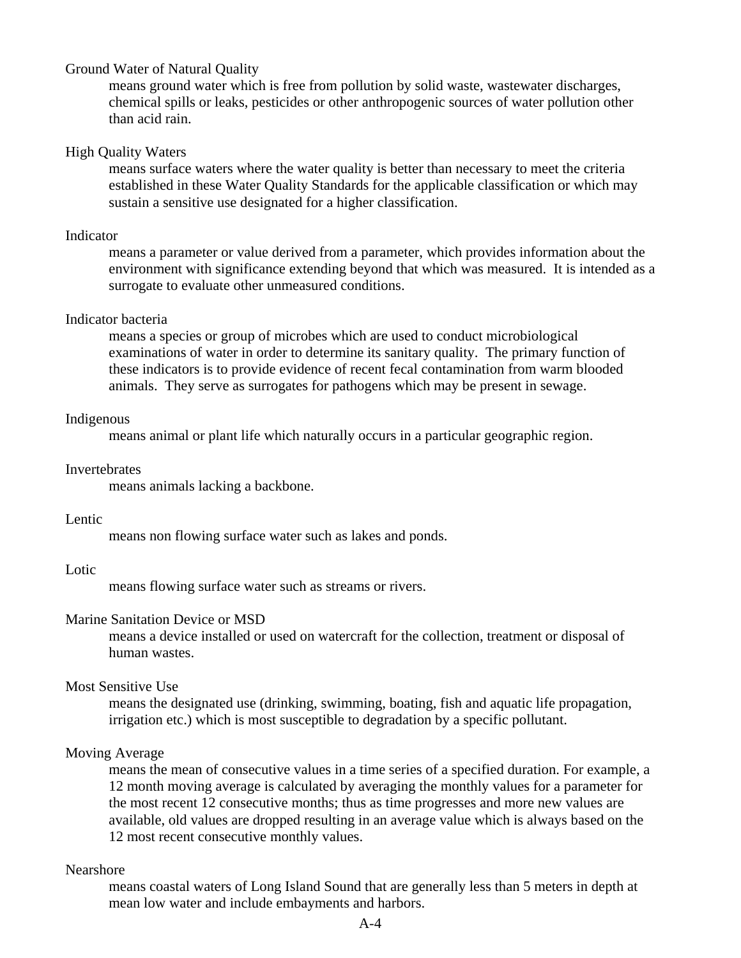## Ground Water of Natural Quality

means ground water which is free from pollution by solid waste, wastewater discharges, chemical spills or leaks, pesticides or other anthropogenic sources of water pollution other than acid rain.

## High Quality Waters

means surface waters where the water quality is better than necessary to meet the criteria established in these Water Quality Standards for the applicable classification or which may sustain a sensitive use designated for a higher classification.

## Indicator

means a parameter or value derived from a parameter, which provides information about the environment with significance extending beyond that which was measured. It is intended as a surrogate to evaluate other unmeasured conditions.

## Indicator bacteria

means a species or group of microbes which are used to conduct microbiological examinations of water in order to determine its sanitary quality. The primary function of these indicators is to provide evidence of recent fecal contamination from warm blooded animals. They serve as surrogates for pathogens which may be present in sewage.

## Indigenous

means animal or plant life which naturally occurs in a particular geographic region.

## **Invertebrates**

means animals lacking a backbone.

## Lentic

means non flowing surface water such as lakes and ponds.

## Lotic

means flowing surface water such as streams or rivers.

## Marine Sanitation Device or MSD

means a device installed or used on watercraft for the collection, treatment or disposal of human wastes.

## Most Sensitive Use

means the designated use (drinking, swimming, boating, fish and aquatic life propagation, irrigation etc.) which is most susceptible to degradation by a specific pollutant.

## Moving Average

means the mean of consecutive values in a time series of a specified duration. For example, a 12 month moving average is calculated by averaging the monthly values for a parameter for the most recent 12 consecutive months; thus as time progresses and more new values are available, old values are dropped resulting in an average value which is always based on the 12 most recent consecutive monthly values.

## Nearshore

means coastal waters of Long Island Sound that are generally less than 5 meters in depth at mean low water and include embayments and harbors.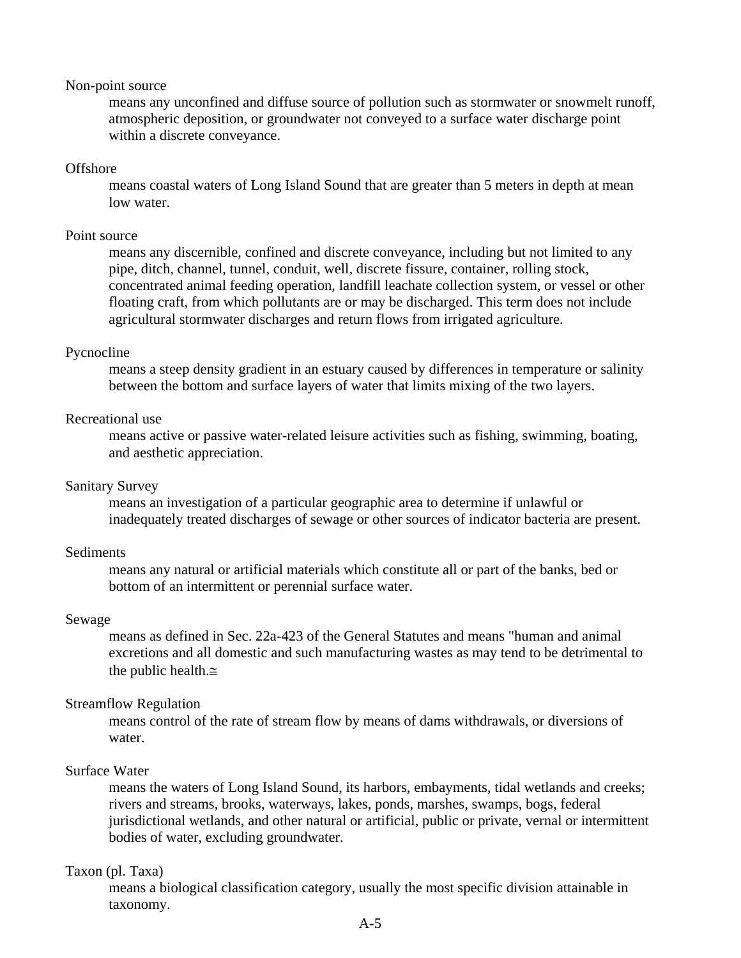## Non-point source

means any unconfined and diffuse source of pollution such as stormwater or snowmelt runoff, atmospheric deposition, or groundwater not conveyed to a surface water discharge point within a discrete conveyance.

## **Offshore**

means coastal waters of Long Island Sound that are greater than 5 meters in depth at mean low water.

## Point source

means any discernible, confined and discrete conveyance, including but not limited to any pipe, ditch, channel, tunnel, conduit, well, discrete fissure, container, rolling stock, concentrated animal feeding operation, landfill leachate collection system, or vessel or other floating craft, from which pollutants are or may be discharged. This term does not include agricultural stormwater discharges and return flows from irrigated agriculture.

## Pycnocline

means a steep density gradient in an estuary caused by differences in temperature or salinity between the bottom and surface layers of water that limits mixing of the two layers.

## Recreational use

means active or passive water-related leisure activities such as fishing, swimming, boating, and aesthetic appreciation.

## Sanitary Survey

means an investigation of a particular geographic area to determine if unlawful or inadequately treated discharges of sewage or other sources of indicator bacteria are present.

## **Sediments**

means any natural or artificial materials which constitute all or part of the banks, bed or bottom of an intermittent or perennial surface water.

## Sewage

means as defined in Sec. 22a-423 of the General Statutes and means "human and animal excretions and all domestic and such manufacturing wastes as may tend to be detrimental to the public health.≅

## Streamflow Regulation

means control of the rate of stream flow by means of dams withdrawals, or diversions of water.

## Surface Water

 means the waters of Long Island Sound, its harbors, embayments, tidal wetlands and creeks; rivers and streams, brooks, waterways, lakes, ponds, marshes, swamps, bogs, federal jurisdictional wetlands, and other natural or artificial, public or private, vernal or intermittent bodies of water, excluding groundwater.

## Taxon (pl. Taxa)

means a biological classification category, usually the most specific division attainable in taxonomy.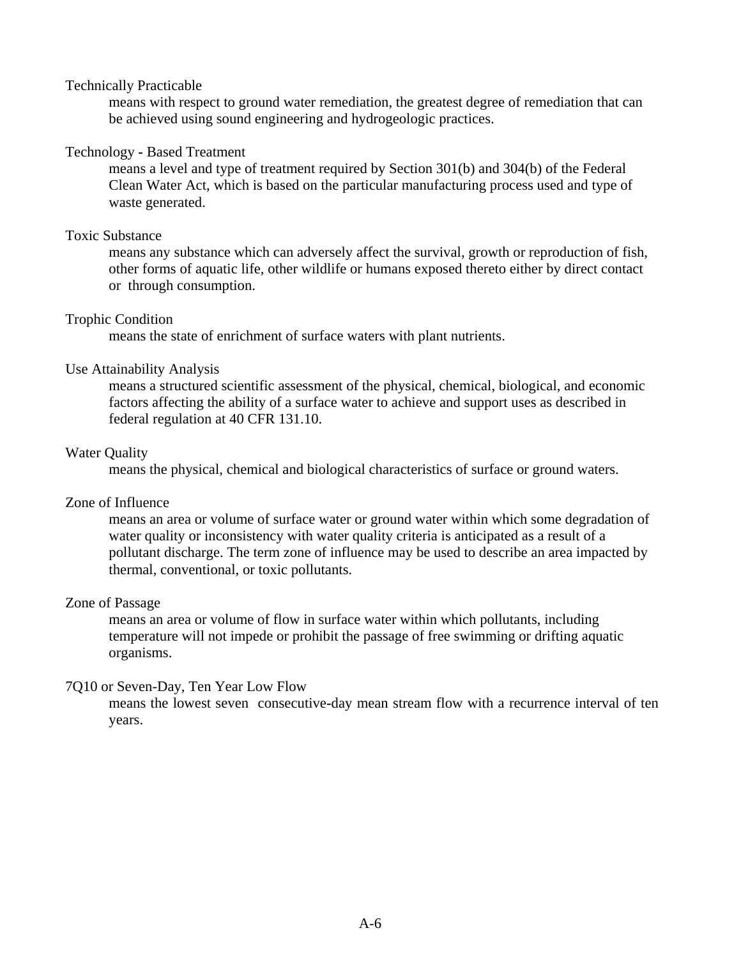## Technically Practicable

means with respect to ground water remediation, the greatest degree of remediation that can be achieved using sound engineering and hydrogeologic practices.

## Technology **-** Based Treatment

means a level and type of treatment required by Section 301(b) and 304(b) of the Federal Clean Water Act, which is based on the particular manufacturing process used and type of waste generated.

## Toxic Substance

means any substance which can adversely affect the survival, growth or reproduction of fish, other forms of aquatic life, other wildlife or humans exposed thereto either by direct contact or through consumption.

## Trophic Condition

means the state of enrichment of surface waters with plant nutrients.

## Use Attainability Analysis

means a structured scientific assessment of the physical, chemical, biological, and economic factors affecting the ability of a surface water to achieve and support uses as described in federal regulation at 40 CFR 131.10.

## Water Quality

means the physical, chemical and biological characteristics of surface or ground waters.

## Zone of Influence

means an area or volume of surface water or ground water within which some degradation of water quality or inconsistency with water quality criteria is anticipated as a result of a pollutant discharge. The term zone of influence may be used to describe an area impacted by thermal, conventional, or toxic pollutants.

## Zone of Passage

means an area or volume of flow in surface water within which pollutants, including temperature will not impede or prohibit the passage of free swimming or drifting aquatic organisms.

## 7Q10 or Seven-Day, Ten Year Low Flow

means the lowest seven consecutive**-**day mean stream flow with a recurrence interval of ten years.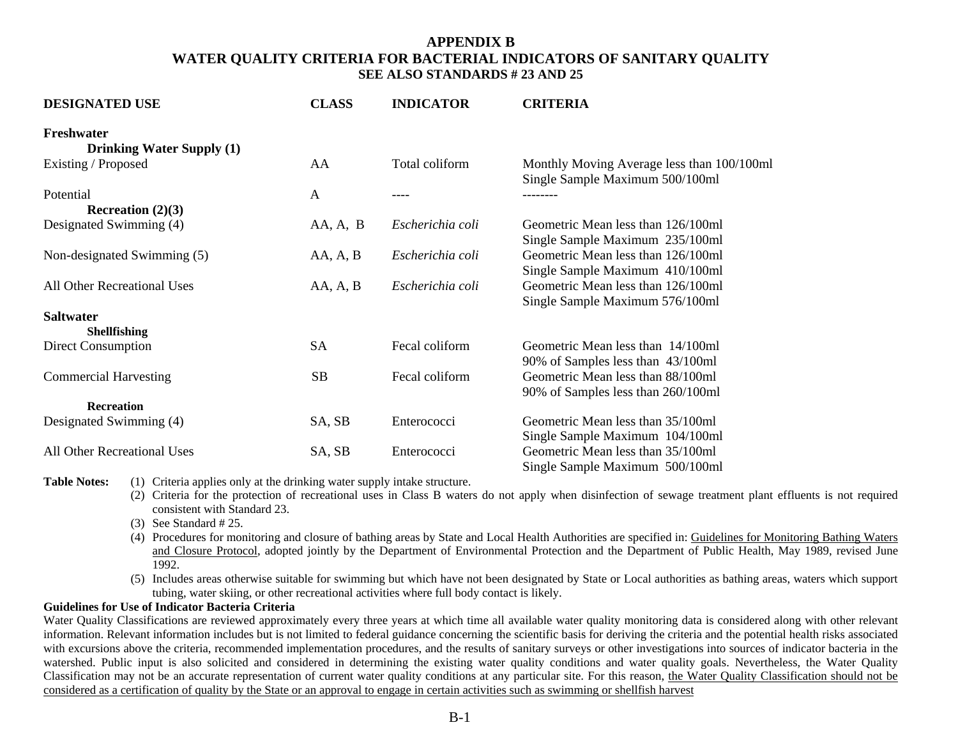## **APPENDIX B WATER QUALITY CRITERIA FOR BACTERIAL INDICATORS OF SANITARY QUALITY SEE ALSO STANDARDS # 23 AND 25**

| <b>DESIGNATED USE</b>                          | <b>CLASS</b> | <b>INDICATOR</b> | <b>CRITERIA</b>                                                               |
|------------------------------------------------|--------------|------------------|-------------------------------------------------------------------------------|
| Freshwater<br><b>Drinking Water Supply (1)</b> |              |                  |                                                                               |
| Existing / Proposed                            | AA           | Total coliform   | Monthly Moving Average less than 100/100ml<br>Single Sample Maximum 500/100ml |
| Potential                                      | A            |                  |                                                                               |
| Recreation $(2)(3)$                            |              |                  |                                                                               |
| Designated Swimming (4)                        | AA, A, B     | Escherichia coli | Geometric Mean less than 126/100ml<br>Single Sample Maximum 235/100ml         |
| Non-designated Swimming (5)                    | AA, A, B     | Escherichia coli | Geometric Mean less than 126/100ml<br>Single Sample Maximum 410/100ml         |
| All Other Recreational Uses                    | AA, A, B     | Escherichia coli | Geometric Mean less than 126/100ml<br>Single Sample Maximum 576/100ml         |
| <b>Saltwater</b>                               |              |                  |                                                                               |
| <b>Shellfishing</b>                            |              |                  |                                                                               |
| Direct Consumption                             | <b>SA</b>    | Fecal coliform   | Geometric Mean less than 14/100ml<br>90% of Samples less than 43/100ml        |
| <b>Commercial Harvesting</b>                   | <b>SB</b>    | Fecal coliform   | Geometric Mean less than 88/100ml<br>90% of Samples less than 260/100ml       |
| <b>Recreation</b>                              |              |                  |                                                                               |
| Designated Swimming (4)                        | SA, SB       | Enterococci      | Geometric Mean less than 35/100ml<br>Single Sample Maximum 104/100ml          |
| All Other Recreational Uses                    | SA, SB       | Enterococci      | Geometric Mean less than 35/100ml<br>Single Sample Maximum 500/100ml          |

**Table Notes:** (1) Criteria applies only at the drinking water supply intake structure.

- (2) Criteria for the protection of recreational uses in Class B waters do not apply when disinfection of sewage treatment plant effluents is not required consistent with Standard 23.
- (3) See Standard # 25.
- (4) Procedures for monitoring and closure of bathing areas by State and Local Health Authorities are specified in: Guidelines for Monitoring Bathing Waters and Closure Protocol, adopted jointly by the Department of Environmental Protection and the Department of Public Health, May 1989, revised June 1992.
- (5) Includes areas otherwise suitable for swimming but which have not been designated by State or Local authorities as bathing areas, waters which support tubing, water skiing, or other recreational activities where full body contact is likely.

### **Guidelines for Use of Indicator Bacteria Criteria**

Water Quality Classifications are reviewed approximately every three years at which time all available water quality monitoring data is considered along with other relevant information. Relevant information includes but is not limited to federal guidance concerning the scientific basis for deriving the criteria and the potential health risks associated with excursions above the criteria, recommended implementation procedures, and the results of sanitary surveys or other investigations into sources of indicator bacteria in the watershed. Public input is also solicited and considered in determining the existing water quality conditions and water quality goals. Nevertheless, the Water Quality Classification may not be an accurate representation of current water quality conditions at any particular site. For this reason, the Water Quality Classification should not be considered as a certification of quality by the State or an approval to engage in certain activities such as swimming or shellfish harvest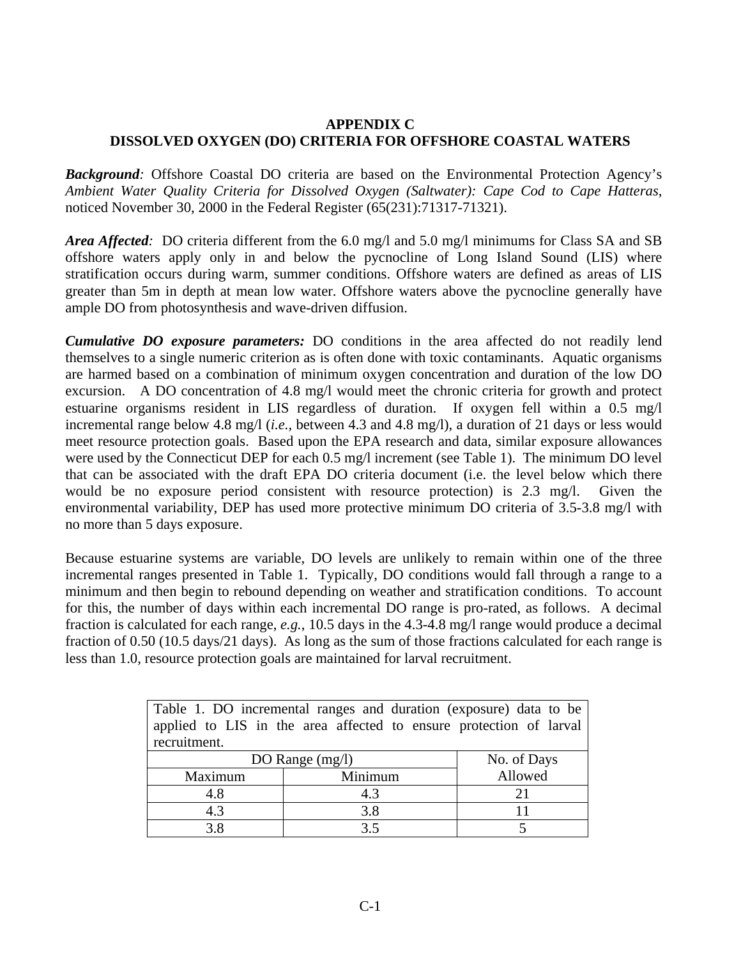## **APPENDIX C DISSOLVED OXYGEN (DO) CRITERIA FOR OFFSHORE COASTAL WATERS**

*Background:* Offshore Coastal DO criteria are based on the Environmental Protection Agency's *Ambient Water Quality Criteria for Dissolved Oxygen (Saltwater): Cape Cod to Cape Hatteras*, noticed November 30, 2000 in the Federal Register (65(231):71317-71321).

*Area Affected:* DO criteria different from the 6.0 mg/l and 5.0 mg/l minimums for Class SA and SB offshore waters apply only in and below the pycnocline of Long Island Sound (LIS) where stratification occurs during warm, summer conditions. Offshore waters are defined as areas of LIS greater than 5m in depth at mean low water. Offshore waters above the pycnocline generally have ample DO from photosynthesis and wave-driven diffusion.

*Cumulative DO exposure parameters:* DO conditions in the area affected do not readily lend themselves to a single numeric criterion as is often done with toxic contaminants. Aquatic organisms are harmed based on a combination of minimum oxygen concentration and duration of the low DO excursion. A DO concentration of 4.8 mg/l would meet the chronic criteria for growth and protect estuarine organisms resident in LIS regardless of duration. If oxygen fell within a 0.5 mg/l incremental range below 4.8 mg/l (*i.e.,* between 4.3 and 4.8 mg/l), a duration of 21 days or less would meet resource protection goals. Based upon the EPA research and data, similar exposure allowances were used by the Connecticut DEP for each 0.5 mg/l increment (see Table 1). The minimum DO level that can be associated with the draft EPA DO criteria document (i.e. the level below which there would be no exposure period consistent with resource protection) is 2.3 mg/l. Given the environmental variability, DEP has used more protective minimum DO criteria of 3.5-3.8 mg/l with no more than 5 days exposure.

Because estuarine systems are variable, DO levels are unlikely to remain within one of the three incremental ranges presented in Table 1. Typically, DO conditions would fall through a range to a minimum and then begin to rebound depending on weather and stratification conditions. To account for this, the number of days within each incremental DO range is pro-rated, as follows. A decimal fraction is calculated for each range, *e.g.*, 10.5 days in the 4.3-4.8 mg/l range would produce a decimal fraction of 0.50 (10.5 days/21 days). As long as the sum of those fractions calculated for each range is less than 1.0, resource protection goals are maintained for larval recruitment.

| Table 1. DO incremental ranges and duration (exposure) data to be |                                                                    |         |  |  |  |  |
|-------------------------------------------------------------------|--------------------------------------------------------------------|---------|--|--|--|--|
|                                                                   | applied to LIS in the area affected to ensure protection of larval |         |  |  |  |  |
| recruitment.                                                      |                                                                    |         |  |  |  |  |
| DO Range $(mg/l)$                                                 | No. of Days                                                        |         |  |  |  |  |
| Maximum                                                           | Minimum                                                            | Allowed |  |  |  |  |
| 4.8                                                               | 4.3                                                                | 21      |  |  |  |  |
| 4.3                                                               | 3.8                                                                |         |  |  |  |  |
| 38                                                                | 35                                                                 |         |  |  |  |  |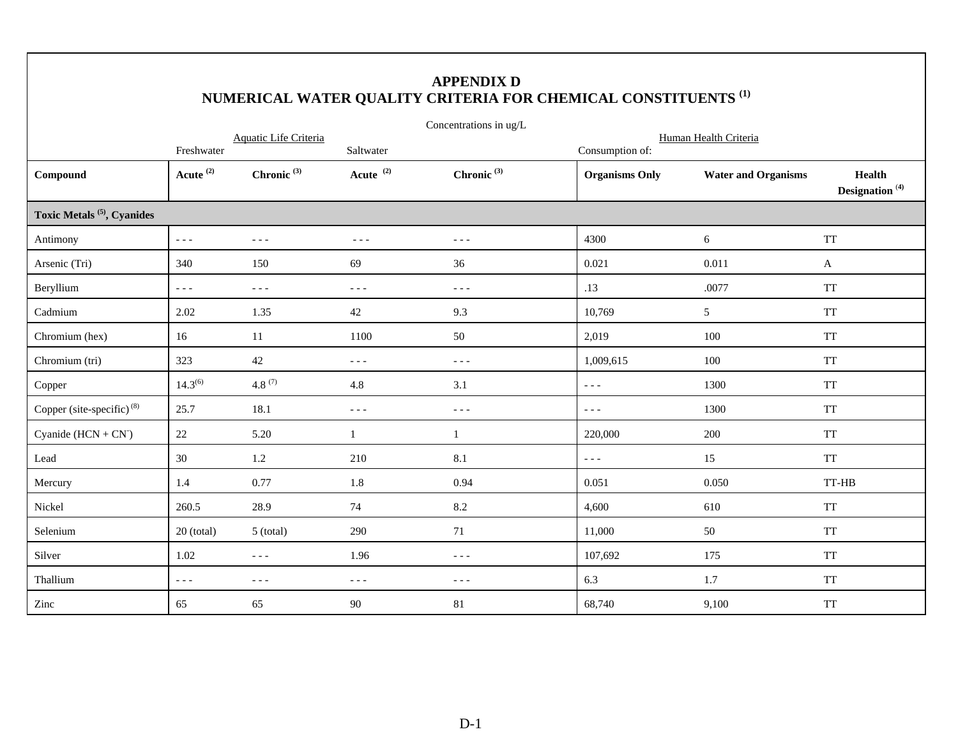|                                        |                                                                                                                                                                                                                                                                                                                                                                                              |                                                                                                                                                                                                                                                                                                                                                                                              |                                   | <b>APPENDIX D</b><br>NUMERICAL WATER QUALITY CRITERIA FOR CHEMICAL CONSTITUENTS <sup>(1)</sup> |                                          |                            |                                                    |  |  |
|----------------------------------------|----------------------------------------------------------------------------------------------------------------------------------------------------------------------------------------------------------------------------------------------------------------------------------------------------------------------------------------------------------------------------------------------|----------------------------------------------------------------------------------------------------------------------------------------------------------------------------------------------------------------------------------------------------------------------------------------------------------------------------------------------------------------------------------------------|-----------------------------------|------------------------------------------------------------------------------------------------|------------------------------------------|----------------------------|----------------------------------------------------|--|--|
|                                        |                                                                                                                                                                                                                                                                                                                                                                                              | Aquatic Life Criteria                                                                                                                                                                                                                                                                                                                                                                        |                                   | Concentrations in ug/L                                                                         | Human Health Criteria                    |                            |                                                    |  |  |
| Compound                               | Freshwater<br>Acute <sup>(2)</sup>                                                                                                                                                                                                                                                                                                                                                           | Chronic $(3)$                                                                                                                                                                                                                                                                                                                                                                                | Saltwater<br>Acute <sup>(2)</sup> | Chronic $(3)$                                                                                  | Consumption of:<br><b>Organisms Only</b> | <b>Water and Organisms</b> | <b>Health</b><br>Designation <sup>(4)</sup>        |  |  |
| Toxic Metals <sup>(5)</sup> , Cyanides |                                                                                                                                                                                                                                                                                                                                                                                              |                                                                                                                                                                                                                                                                                                                                                                                              |                                   |                                                                                                |                                          |                            |                                                    |  |  |
| Antimony                               | $\omega \equiv \omega$                                                                                                                                                                                                                                                                                                                                                                       | $\sim$ $\sim$ $\sim$                                                                                                                                                                                                                                                                                                                                                                         | $\sim$ $\sim$ $\sim$              | $\sim$ $\sim$ $\sim$                                                                           | 4300                                     | 6                          | <b>TT</b>                                          |  |  |
| Arsenic (Tri)                          | 340                                                                                                                                                                                                                                                                                                                                                                                          | 150                                                                                                                                                                                                                                                                                                                                                                                          | 69                                | 36                                                                                             | 0.021                                    | 0.011                      | A                                                  |  |  |
| Beryllium                              | $\frac{1}{2} \frac{1}{2} \frac{1}{2} \frac{1}{2} \frac{1}{2} \frac{1}{2} \frac{1}{2} \frac{1}{2} \frac{1}{2} \frac{1}{2} \frac{1}{2} \frac{1}{2} \frac{1}{2} \frac{1}{2} \frac{1}{2} \frac{1}{2} \frac{1}{2} \frac{1}{2} \frac{1}{2} \frac{1}{2} \frac{1}{2} \frac{1}{2} \frac{1}{2} \frac{1}{2} \frac{1}{2} \frac{1}{2} \frac{1}{2} \frac{1}{2} \frac{1}{2} \frac{1}{2} \frac{1}{2} \frac{$ | $- - -$                                                                                                                                                                                                                                                                                                                                                                                      | $- - -$                           | $- - -$                                                                                        | .13                                      | .0077                      | <b>TT</b>                                          |  |  |
| Cadmium                                | 2.02                                                                                                                                                                                                                                                                                                                                                                                         | 1.35                                                                                                                                                                                                                                                                                                                                                                                         | $42\,$                            | 9.3                                                                                            | 10,769                                   | $5\overline{)}$            | <b>TT</b>                                          |  |  |
| Chromium (hex)                         | 16                                                                                                                                                                                                                                                                                                                                                                                           | 11                                                                                                                                                                                                                                                                                                                                                                                           | 1100                              | 50                                                                                             | 2,019                                    | 100                        | $\ensuremath{\mathcal{T}}\ensuremath{\mathcal{T}}$ |  |  |
| Chromium (tri)                         | 323                                                                                                                                                                                                                                                                                                                                                                                          | $42\,$                                                                                                                                                                                                                                                                                                                                                                                       | $- - -$                           | $- - -$                                                                                        | 1,009,615                                | 100                        | <b>TT</b>                                          |  |  |
| Copper                                 | $14.3^{(6)}$                                                                                                                                                                                                                                                                                                                                                                                 | 4.8 $(7)$                                                                                                                                                                                                                                                                                                                                                                                    | 4.8                               | 3.1                                                                                            | $- - -$                                  | 1300                       | <b>TT</b>                                          |  |  |
| Copper (site-specific) <sup>(8)</sup>  | 25.7                                                                                                                                                                                                                                                                                                                                                                                         | 18.1                                                                                                                                                                                                                                                                                                                                                                                         | $\sim$ $\sim$ $\sim$              | $\sim$ $\sim$ $\sim$                                                                           | $- - -$                                  | 1300                       | <b>TT</b>                                          |  |  |
| Cyanide $(HCN + CN^{-})$               | $22\,$                                                                                                                                                                                                                                                                                                                                                                                       | 5.20                                                                                                                                                                                                                                                                                                                                                                                         | 1                                 | $\mathbf{1}$                                                                                   | 220,000                                  | 200                        | <b>TT</b>                                          |  |  |
| Lead                                   | $30\,$                                                                                                                                                                                                                                                                                                                                                                                       | 1.2                                                                                                                                                                                                                                                                                                                                                                                          | 210                               | 8.1                                                                                            | $- - -$                                  | 15                         | <b>TT</b>                                          |  |  |
| Mercury                                | 1.4                                                                                                                                                                                                                                                                                                                                                                                          | 0.77                                                                                                                                                                                                                                                                                                                                                                                         | 1.8                               | 0.94                                                                                           | 0.051                                    | 0.050                      | TT-HB                                              |  |  |
| Nickel                                 | 260.5                                                                                                                                                                                                                                                                                                                                                                                        | 28.9                                                                                                                                                                                                                                                                                                                                                                                         | 74                                | 8.2                                                                                            | 4,600                                    | 610                        | <b>TT</b>                                          |  |  |
| Selenium                               | $20$ (total)                                                                                                                                                                                                                                                                                                                                                                                 | $5$ (total)                                                                                                                                                                                                                                                                                                                                                                                  | 290                               | 71                                                                                             | 11,000                                   | 50                         | <b>TT</b>                                          |  |  |
| Silver                                 | 1.02                                                                                                                                                                                                                                                                                                                                                                                         | $\frac{1}{2} \frac{1}{2} \frac{1}{2} \frac{1}{2} \frac{1}{2} \frac{1}{2} \frac{1}{2} \frac{1}{2} \frac{1}{2} \frac{1}{2} \frac{1}{2} \frac{1}{2} \frac{1}{2} \frac{1}{2} \frac{1}{2} \frac{1}{2} \frac{1}{2} \frac{1}{2} \frac{1}{2} \frac{1}{2} \frac{1}{2} \frac{1}{2} \frac{1}{2} \frac{1}{2} \frac{1}{2} \frac{1}{2} \frac{1}{2} \frac{1}{2} \frac{1}{2} \frac{1}{2} \frac{1}{2} \frac{$ | 1.96                              | $- - -$                                                                                        | 107,692                                  | 175                        | <b>TT</b>                                          |  |  |
| Thallium                               | $\frac{1}{2} \frac{1}{2} \frac{1}{2} \frac{1}{2} \frac{1}{2} \frac{1}{2} \frac{1}{2} \frac{1}{2} \frac{1}{2} \frac{1}{2} \frac{1}{2} \frac{1}{2} \frac{1}{2} \frac{1}{2} \frac{1}{2} \frac{1}{2} \frac{1}{2} \frac{1}{2} \frac{1}{2} \frac{1}{2} \frac{1}{2} \frac{1}{2} \frac{1}{2} \frac{1}{2} \frac{1}{2} \frac{1}{2} \frac{1}{2} \frac{1}{2} \frac{1}{2} \frac{1}{2} \frac{1}{2} \frac{$ | $\frac{1}{2} \frac{1}{2} \frac{1}{2} \frac{1}{2} \frac{1}{2} \frac{1}{2} \frac{1}{2} \frac{1}{2} \frac{1}{2} \frac{1}{2} \frac{1}{2} \frac{1}{2} \frac{1}{2} \frac{1}{2} \frac{1}{2} \frac{1}{2} \frac{1}{2} \frac{1}{2} \frac{1}{2} \frac{1}{2} \frac{1}{2} \frac{1}{2} \frac{1}{2} \frac{1}{2} \frac{1}{2} \frac{1}{2} \frac{1}{2} \frac{1}{2} \frac{1}{2} \frac{1}{2} \frac{1}{2} \frac{$ | $- - -$                           | $- - -$                                                                                        | 6.3                                      | 1.7                        | <b>TT</b>                                          |  |  |
| Zinc                                   | 65                                                                                                                                                                                                                                                                                                                                                                                           | 65                                                                                                                                                                                                                                                                                                                                                                                           | 90                                | 81                                                                                             | 68,740                                   | 9,100                      | <b>TT</b>                                          |  |  |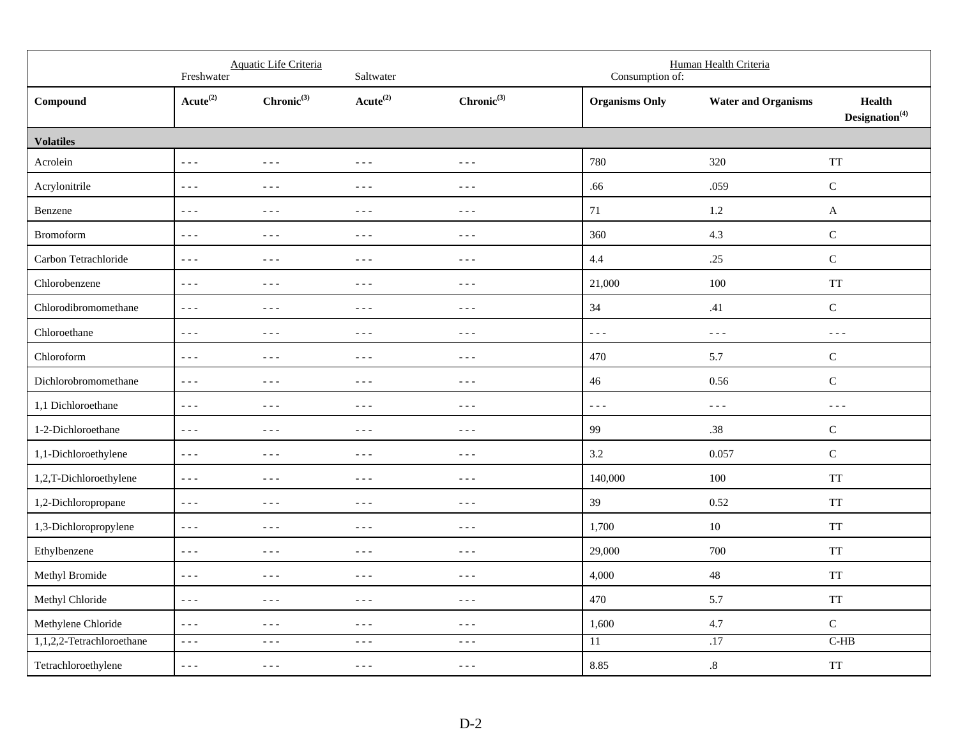|                           | Freshwater              | Aquatic Life Criteria                                                                                                                                                                                                                                                                                                                                                                        | Saltwater                                                                                                                                                                                                                                                                                                                                                                                    |                                                                                                                                                                                                                                                                                                                                                                                              | Consumption of:         | Human Health Criteria      |                                             |
|---------------------------|-------------------------|----------------------------------------------------------------------------------------------------------------------------------------------------------------------------------------------------------------------------------------------------------------------------------------------------------------------------------------------------------------------------------------------|----------------------------------------------------------------------------------------------------------------------------------------------------------------------------------------------------------------------------------------------------------------------------------------------------------------------------------------------------------------------------------------------|----------------------------------------------------------------------------------------------------------------------------------------------------------------------------------------------------------------------------------------------------------------------------------------------------------------------------------------------------------------------------------------------|-------------------------|----------------------------|---------------------------------------------|
| Compound                  | $Acute^{(2)}$           | $Chronic^{(3)}$                                                                                                                                                                                                                                                                                                                                                                              | $Acute^{(2)}$                                                                                                                                                                                                                                                                                                                                                                                | $Chronic^{(3)}$                                                                                                                                                                                                                                                                                                                                                                              | <b>Organisms Only</b>   | <b>Water and Organisms</b> | <b>Health</b><br>Designation <sup>(4)</sup> |
| <b>Volatiles</b>          |                         |                                                                                                                                                                                                                                                                                                                                                                                              |                                                                                                                                                                                                                                                                                                                                                                                              |                                                                                                                                                                                                                                                                                                                                                                                              |                         |                            |                                             |
| Acrolein                  | $- - -$                 | $\frac{1}{2} \frac{1}{2} \frac{1}{2} \frac{1}{2} \frac{1}{2} \frac{1}{2} \frac{1}{2} \frac{1}{2} \frac{1}{2} \frac{1}{2} \frac{1}{2} \frac{1}{2} \frac{1}{2} \frac{1}{2} \frac{1}{2} \frac{1}{2} \frac{1}{2} \frac{1}{2} \frac{1}{2} \frac{1}{2} \frac{1}{2} \frac{1}{2} \frac{1}{2} \frac{1}{2} \frac{1}{2} \frac{1}{2} \frac{1}{2} \frac{1}{2} \frac{1}{2} \frac{1}{2} \frac{1}{2} \frac{$ | $\sim$ $\sim$ $\sim$                                                                                                                                                                                                                                                                                                                                                                         | $- - -$                                                                                                                                                                                                                                                                                                                                                                                      | 780                     | 320                        | <b>TT</b>                                   |
| Acrylonitrile             | $\omega \equiv \omega$  | $- - -$                                                                                                                                                                                                                                                                                                                                                                                      | $\sim$ $\sim$ $\sim$                                                                                                                                                                                                                                                                                                                                                                         | $- - -$                                                                                                                                                                                                                                                                                                                                                                                      | .66                     | .059                       | $\mathsf C$                                 |
| Benzene                   | $- - -$                 | $- - -$                                                                                                                                                                                                                                                                                                                                                                                      | $- - -$                                                                                                                                                                                                                                                                                                                                                                                      | $- - -$                                                                                                                                                                                                                                                                                                                                                                                      | $71\,$                  | 1.2                        | $\mathbf{A}$                                |
| Bromoform                 | $- - -$                 | $- - -$                                                                                                                                                                                                                                                                                                                                                                                      | $\frac{1}{2} \frac{1}{2} \frac{1}{2} \frac{1}{2} \frac{1}{2} \frac{1}{2} \frac{1}{2} \frac{1}{2} \frac{1}{2} \frac{1}{2} \frac{1}{2} \frac{1}{2} \frac{1}{2} \frac{1}{2} \frac{1}{2} \frac{1}{2} \frac{1}{2} \frac{1}{2} \frac{1}{2} \frac{1}{2} \frac{1}{2} \frac{1}{2} \frac{1}{2} \frac{1}{2} \frac{1}{2} \frac{1}{2} \frac{1}{2} \frac{1}{2} \frac{1}{2} \frac{1}{2} \frac{1}{2} \frac{$ | $- - -$                                                                                                                                                                                                                                                                                                                                                                                      | 360                     | 4.3                        | $\mathsf C$                                 |
| Carbon Tetrachloride      | $- - -$                 | $- - -$                                                                                                                                                                                                                                                                                                                                                                                      | $  -$                                                                                                                                                                                                                                                                                                                                                                                        | $- - -$                                                                                                                                                                                                                                                                                                                                                                                      | 4.4                     | .25                        | $\mathbf C$                                 |
| Chlorobenzene             | $- - -$                 | $- - -$                                                                                                                                                                                                                                                                                                                                                                                      | $\frac{1}{2} \frac{1}{2} \frac{1}{2} \frac{1}{2} \frac{1}{2} \frac{1}{2} \frac{1}{2} \frac{1}{2} \frac{1}{2} \frac{1}{2} \frac{1}{2} \frac{1}{2} \frac{1}{2} \frac{1}{2} \frac{1}{2} \frac{1}{2} \frac{1}{2} \frac{1}{2} \frac{1}{2} \frac{1}{2} \frac{1}{2} \frac{1}{2} \frac{1}{2} \frac{1}{2} \frac{1}{2} \frac{1}{2} \frac{1}{2} \frac{1}{2} \frac{1}{2} \frac{1}{2} \frac{1}{2} \frac{$ | $- - -$                                                                                                                                                                                                                                                                                                                                                                                      | 21,000                  | 100                        | <b>TT</b>                                   |
| Chlorodibromomethane      | $\perp$ $\perp$ $\perp$ | $\frac{1}{2} \frac{1}{2} \frac{1}{2} \frac{1}{2} \frac{1}{2} \frac{1}{2} \frac{1}{2} \frac{1}{2} \frac{1}{2} \frac{1}{2} \frac{1}{2} \frac{1}{2} \frac{1}{2} \frac{1}{2} \frac{1}{2} \frac{1}{2} \frac{1}{2} \frac{1}{2} \frac{1}{2} \frac{1}{2} \frac{1}{2} \frac{1}{2} \frac{1}{2} \frac{1}{2} \frac{1}{2} \frac{1}{2} \frac{1}{2} \frac{1}{2} \frac{1}{2} \frac{1}{2} \frac{1}{2} \frac{$ | $\sim$ $\sim$ $\sim$                                                                                                                                                                                                                                                                                                                                                                         | $- - -$                                                                                                                                                                                                                                                                                                                                                                                      | 34                      | .41                        | $\mathbf C$                                 |
| Chloroethane              | $- - -$                 | $\sim$ $\sim$ $\sim$                                                                                                                                                                                                                                                                                                                                                                         | $\sim$ $\sim$ $\sim$                                                                                                                                                                                                                                                                                                                                                                         | $- - -$                                                                                                                                                                                                                                                                                                                                                                                      | $- - -$                 | $\omega \equiv \omega$     | $\omega \equiv \omega$                      |
| Chloroform                | $\omega \equiv \omega$  | $\frac{1}{2} \frac{1}{2} \frac{1}{2} \frac{1}{2} \frac{1}{2} \frac{1}{2} \frac{1}{2} \frac{1}{2} \frac{1}{2} \frac{1}{2} \frac{1}{2} \frac{1}{2} \frac{1}{2} \frac{1}{2} \frac{1}{2} \frac{1}{2} \frac{1}{2} \frac{1}{2} \frac{1}{2} \frac{1}{2} \frac{1}{2} \frac{1}{2} \frac{1}{2} \frac{1}{2} \frac{1}{2} \frac{1}{2} \frac{1}{2} \frac{1}{2} \frac{1}{2} \frac{1}{2} \frac{1}{2} \frac{$ | $\frac{1}{2} \frac{1}{2} \frac{1}{2} \frac{1}{2} \frac{1}{2} \frac{1}{2} \frac{1}{2} \frac{1}{2} \frac{1}{2} \frac{1}{2} \frac{1}{2} \frac{1}{2} \frac{1}{2} \frac{1}{2} \frac{1}{2} \frac{1}{2} \frac{1}{2} \frac{1}{2} \frac{1}{2} \frac{1}{2} \frac{1}{2} \frac{1}{2} \frac{1}{2} \frac{1}{2} \frac{1}{2} \frac{1}{2} \frac{1}{2} \frac{1}{2} \frac{1}{2} \frac{1}{2} \frac{1}{2} \frac{$ | $- - -$                                                                                                                                                                                                                                                                                                                                                                                      | 470                     | 5.7                        | ${\bf C}$                                   |
| Dichlorobromomethane      | $\omega \equiv \omega$  | $- - -$                                                                                                                                                                                                                                                                                                                                                                                      | $- - -$                                                                                                                                                                                                                                                                                                                                                                                      | $- - -$                                                                                                                                                                                                                                                                                                                                                                                      | 46                      | 0.56                       | $\mathsf C$                                 |
| 1,1 Dichloroethane        | $\perp$ $\perp$ $\perp$ | $- - -$                                                                                                                                                                                                                                                                                                                                                                                      | $\sim$ $\sim$ $\sim$                                                                                                                                                                                                                                                                                                                                                                         | $- - -$                                                                                                                                                                                                                                                                                                                                                                                      | $\perp$ $\perp$ $\perp$ | $\sim$ $\sim$ $\sim$       | $\sim$ $\sim$ $\sim$                        |
| 1-2-Dichloroethane        | $- - -$                 | $- - -$                                                                                                                                                                                                                                                                                                                                                                                      | $\frac{1}{2} \frac{1}{2} \frac{1}{2} \frac{1}{2} \frac{1}{2} \frac{1}{2} \frac{1}{2} \frac{1}{2} \frac{1}{2} \frac{1}{2} \frac{1}{2} \frac{1}{2} \frac{1}{2} \frac{1}{2} \frac{1}{2} \frac{1}{2} \frac{1}{2} \frac{1}{2} \frac{1}{2} \frac{1}{2} \frac{1}{2} \frac{1}{2} \frac{1}{2} \frac{1}{2} \frac{1}{2} \frac{1}{2} \frac{1}{2} \frac{1}{2} \frac{1}{2} \frac{1}{2} \frac{1}{2} \frac{$ | $\frac{1}{2} \frac{1}{2} \frac{1}{2} \frac{1}{2} \frac{1}{2} \frac{1}{2} \frac{1}{2} \frac{1}{2} \frac{1}{2} \frac{1}{2} \frac{1}{2} \frac{1}{2} \frac{1}{2} \frac{1}{2} \frac{1}{2} \frac{1}{2} \frac{1}{2} \frac{1}{2} \frac{1}{2} \frac{1}{2} \frac{1}{2} \frac{1}{2} \frac{1}{2} \frac{1}{2} \frac{1}{2} \frac{1}{2} \frac{1}{2} \frac{1}{2} \frac{1}{2} \frac{1}{2} \frac{1}{2} \frac{$ | 99                      | .38                        | ${\bf C}$                                   |
| 1,1-Dichloroethylene      | $- - -$                 | $- - -$                                                                                                                                                                                                                                                                                                                                                                                      | $\sim$ $\sim$ $\sim$                                                                                                                                                                                                                                                                                                                                                                         | $- - -$                                                                                                                                                                                                                                                                                                                                                                                      | 3.2                     | 0.057                      | ${\bf C}$                                   |
| 1,2,T-Dichloroethylene    | $\omega \equiv \omega$  | $  -$                                                                                                                                                                                                                                                                                                                                                                                        | $  -$                                                                                                                                                                                                                                                                                                                                                                                        | $  -$                                                                                                                                                                                                                                                                                                                                                                                        | 140,000                 | 100                        | <b>TT</b>                                   |
| 1,2-Dichloropropane       | $- - -$                 | $- - -$                                                                                                                                                                                                                                                                                                                                                                                      | $\sim$ $\sim$ $\sim$                                                                                                                                                                                                                                                                                                                                                                         | $- - -$                                                                                                                                                                                                                                                                                                                                                                                      | 39                      | 0.52                       | <b>TT</b>                                   |
| 1,3-Dichloropropylene     | $\perp$ $\perp$ $\perp$ | $\sim$ $\sim$ $\sim$                                                                                                                                                                                                                                                                                                                                                                         | $\sim$ $ \sim$                                                                                                                                                                                                                                                                                                                                                                               | $- - -$                                                                                                                                                                                                                                                                                                                                                                                      | 1,700                   | 10                         | <b>TT</b>                                   |
| Ethylbenzene              | $- - -$                 | $\sim$ $\sim$ $\sim$                                                                                                                                                                                                                                                                                                                                                                         | $\sim$ $\sim$ $\sim$                                                                                                                                                                                                                                                                                                                                                                         | $\frac{1}{2} \frac{1}{2} \frac{1}{2} \frac{1}{2} \frac{1}{2} \frac{1}{2} \frac{1}{2} \frac{1}{2} \frac{1}{2} \frac{1}{2} \frac{1}{2} \frac{1}{2} \frac{1}{2} \frac{1}{2} \frac{1}{2} \frac{1}{2} \frac{1}{2} \frac{1}{2} \frac{1}{2} \frac{1}{2} \frac{1}{2} \frac{1}{2} \frac{1}{2} \frac{1}{2} \frac{1}{2} \frac{1}{2} \frac{1}{2} \frac{1}{2} \frac{1}{2} \frac{1}{2} \frac{1}{2} \frac{$ | 29,000                  | 700                        | <b>TT</b>                                   |
| Methyl Bromide            | $\omega \equiv \omega$  | $- - -$                                                                                                                                                                                                                                                                                                                                                                                      | $\sim$ $\sim$ $\sim$                                                                                                                                                                                                                                                                                                                                                                         | $- - -$                                                                                                                                                                                                                                                                                                                                                                                      | 4,000                   | 48                         | <b>TT</b>                                   |
| Methyl Chloride           | $\omega \equiv \omega$  | $\frac{1}{2} \frac{1}{2} \frac{1}{2} \frac{1}{2} \frac{1}{2} \frac{1}{2}$                                                                                                                                                                                                                                                                                                                    | $- - -$                                                                                                                                                                                                                                                                                                                                                                                      | $- - -$                                                                                                                                                                                                                                                                                                                                                                                      | 470                     | 5.7                        | <b>TT</b>                                   |
| Methylene Chloride        | $- - -$                 | $\sim$ $\sim$ $\sim$                                                                                                                                                                                                                                                                                                                                                                         | $\sim$ $\sim$ $\sim$                                                                                                                                                                                                                                                                                                                                                                         | $\frac{1}{2} \frac{1}{2} \frac{1}{2} \frac{1}{2} \frac{1}{2} \frac{1}{2} \frac{1}{2} \frac{1}{2} \frac{1}{2} \frac{1}{2} \frac{1}{2} \frac{1}{2} \frac{1}{2} \frac{1}{2} \frac{1}{2} \frac{1}{2} \frac{1}{2} \frac{1}{2} \frac{1}{2} \frac{1}{2} \frac{1}{2} \frac{1}{2} \frac{1}{2} \frac{1}{2} \frac{1}{2} \frac{1}{2} \frac{1}{2} \frac{1}{2} \frac{1}{2} \frac{1}{2} \frac{1}{2} \frac{$ | 1,600                   | 4.7                        | $\mathbf C$                                 |
| 1,1,2,2-Tetrachloroethane | $\omega \equiv \omega$  | $\frac{1}{2} \frac{1}{2} \frac{1}{2} \frac{1}{2} \frac{1}{2} \frac{1}{2} \frac{1}{2} \frac{1}{2} \frac{1}{2} \frac{1}{2} \frac{1}{2} \frac{1}{2} \frac{1}{2} \frac{1}{2} \frac{1}{2} \frac{1}{2} \frac{1}{2} \frac{1}{2} \frac{1}{2} \frac{1}{2} \frac{1}{2} \frac{1}{2} \frac{1}{2} \frac{1}{2} \frac{1}{2} \frac{1}{2} \frac{1}{2} \frac{1}{2} \frac{1}{2} \frac{1}{2} \frac{1}{2} \frac{$ | $\sim$ $\sim$ $\sim$                                                                                                                                                                                                                                                                                                                                                                         | $- - -$                                                                                                                                                                                                                                                                                                                                                                                      | 11                      | .17                        | $C-HB$                                      |
| Tetrachloroethylene       | $\omega = \omega$       | $\frac{1}{2} \frac{1}{2} \frac{1}{2} \frac{1}{2} \frac{1}{2} \frac{1}{2} \frac{1}{2} \frac{1}{2} \frac{1}{2} \frac{1}{2} \frac{1}{2} \frac{1}{2} \frac{1}{2} \frac{1}{2} \frac{1}{2} \frac{1}{2} \frac{1}{2} \frac{1}{2} \frac{1}{2} \frac{1}{2} \frac{1}{2} \frac{1}{2} \frac{1}{2} \frac{1}{2} \frac{1}{2} \frac{1}{2} \frac{1}{2} \frac{1}{2} \frac{1}{2} \frac{1}{2} \frac{1}{2} \frac{$ | $\frac{1}{2} \frac{1}{2} \frac{1}{2} \frac{1}{2} \frac{1}{2} \frac{1}{2} \frac{1}{2} \frac{1}{2} \frac{1}{2} \frac{1}{2} \frac{1}{2} \frac{1}{2} \frac{1}{2} \frac{1}{2} \frac{1}{2} \frac{1}{2} \frac{1}{2} \frac{1}{2} \frac{1}{2} \frac{1}{2} \frac{1}{2} \frac{1}{2} \frac{1}{2} \frac{1}{2} \frac{1}{2} \frac{1}{2} \frac{1}{2} \frac{1}{2} \frac{1}{2} \frac{1}{2} \frac{1}{2} \frac{$ | $\frac{1}{2} \frac{1}{2} \frac{1}{2} \frac{1}{2} \frac{1}{2} \frac{1}{2} \frac{1}{2} \frac{1}{2} \frac{1}{2} \frac{1}{2} \frac{1}{2} \frac{1}{2} \frac{1}{2} \frac{1}{2} \frac{1}{2} \frac{1}{2} \frac{1}{2} \frac{1}{2} \frac{1}{2} \frac{1}{2} \frac{1}{2} \frac{1}{2} \frac{1}{2} \frac{1}{2} \frac{1}{2} \frac{1}{2} \frac{1}{2} \frac{1}{2} \frac{1}{2} \frac{1}{2} \frac{1}{2} \frac{$ | 8.85                    | $\boldsymbol{.8}$          | <b>TT</b>                                   |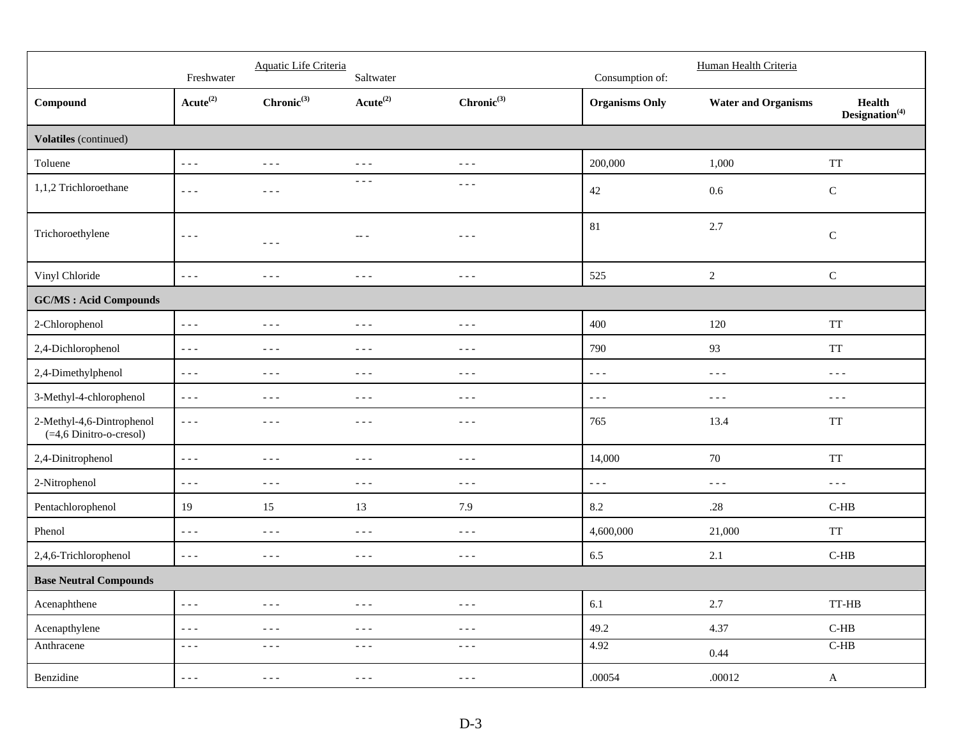|                                                         | Freshwater                                                                                                                                                                                                                                                                                                                                                                                   | Aquatic Life Criteria                                                                                                                                                                                                                                                                                                                                                                        | Saltwater                                                                                                                                                                                                                                                                                                                                                                                    |                                                                                                                                                                                                                                                                                                                                                                                              | Consumption of:         | Human Health Criteria                                                                                                                                                                                                                                                                                                                                                                        |                                             |
|---------------------------------------------------------|----------------------------------------------------------------------------------------------------------------------------------------------------------------------------------------------------------------------------------------------------------------------------------------------------------------------------------------------------------------------------------------------|----------------------------------------------------------------------------------------------------------------------------------------------------------------------------------------------------------------------------------------------------------------------------------------------------------------------------------------------------------------------------------------------|----------------------------------------------------------------------------------------------------------------------------------------------------------------------------------------------------------------------------------------------------------------------------------------------------------------------------------------------------------------------------------------------|----------------------------------------------------------------------------------------------------------------------------------------------------------------------------------------------------------------------------------------------------------------------------------------------------------------------------------------------------------------------------------------------|-------------------------|----------------------------------------------------------------------------------------------------------------------------------------------------------------------------------------------------------------------------------------------------------------------------------------------------------------------------------------------------------------------------------------------|---------------------------------------------|
| Compound                                                | $Acute^{(2)}$                                                                                                                                                                                                                                                                                                                                                                                | $Chronic^{(3)}$                                                                                                                                                                                                                                                                                                                                                                              | $Acute^{(2)}$                                                                                                                                                                                                                                                                                                                                                                                | $Chronic^{(3)}$                                                                                                                                                                                                                                                                                                                                                                              | <b>Organisms Only</b>   | <b>Water and Organisms</b>                                                                                                                                                                                                                                                                                                                                                                   | <b>Health</b><br>Designation <sup>(4)</sup> |
| Volatiles (continued)                                   |                                                                                                                                                                                                                                                                                                                                                                                              |                                                                                                                                                                                                                                                                                                                                                                                              |                                                                                                                                                                                                                                                                                                                                                                                              |                                                                                                                                                                                                                                                                                                                                                                                              |                         |                                                                                                                                                                                                                                                                                                                                                                                              |                                             |
| Toluene                                                 | $\omega = \omega$                                                                                                                                                                                                                                                                                                                                                                            | $\sim$ $\sim$ $\sim$                                                                                                                                                                                                                                                                                                                                                                         | $- - -$                                                                                                                                                                                                                                                                                                                                                                                      | $\frac{1}{2} \frac{1}{2} \frac{1}{2} \frac{1}{2} \frac{1}{2} \frac{1}{2} \frac{1}{2} \frac{1}{2} \frac{1}{2} \frac{1}{2} \frac{1}{2} \frac{1}{2} \frac{1}{2} \frac{1}{2} \frac{1}{2} \frac{1}{2} \frac{1}{2} \frac{1}{2} \frac{1}{2} \frac{1}{2} \frac{1}{2} \frac{1}{2} \frac{1}{2} \frac{1}{2} \frac{1}{2} \frac{1}{2} \frac{1}{2} \frac{1}{2} \frac{1}{2} \frac{1}{2} \frac{1}{2} \frac{$ | 200,000                 | 1,000                                                                                                                                                                                                                                                                                                                                                                                        | <b>TT</b>                                   |
| 1,1,2 Trichloroethane                                   | $\frac{1}{2} \frac{1}{2} \frac{1}{2} \frac{1}{2} \frac{1}{2} \frac{1}{2} \frac{1}{2} \frac{1}{2} \frac{1}{2} \frac{1}{2} \frac{1}{2} \frac{1}{2} \frac{1}{2} \frac{1}{2} \frac{1}{2} \frac{1}{2} \frac{1}{2} \frac{1}{2} \frac{1}{2} \frac{1}{2} \frac{1}{2} \frac{1}{2} \frac{1}{2} \frac{1}{2} \frac{1}{2} \frac{1}{2} \frac{1}{2} \frac{1}{2} \frac{1}{2} \frac{1}{2} \frac{1}{2} \frac{$ | $\frac{1}{2} \frac{1}{2} \frac{1}{2} \frac{1}{2} \frac{1}{2} \frac{1}{2} \frac{1}{2} \frac{1}{2} \frac{1}{2} \frac{1}{2} \frac{1}{2} \frac{1}{2} \frac{1}{2} \frac{1}{2} \frac{1}{2} \frac{1}{2} \frac{1}{2} \frac{1}{2} \frac{1}{2} \frac{1}{2} \frac{1}{2} \frac{1}{2} \frac{1}{2} \frac{1}{2} \frac{1}{2} \frac{1}{2} \frac{1}{2} \frac{1}{2} \frac{1}{2} \frac{1}{2} \frac{1}{2} \frac{$ | $\sim$ $\sim$ $\sim$                                                                                                                                                                                                                                                                                                                                                                         | $\frac{1}{2}$                                                                                                                                                                                                                                                                                                                                                                                | 42                      | 0.6                                                                                                                                                                                                                                                                                                                                                                                          | ${\bf C}$                                   |
| Trichoroethylene                                        | $- - -$                                                                                                                                                                                                                                                                                                                                                                                      | $\frac{1}{2} \frac{1}{2} \frac{1}{2} \frac{1}{2} \frac{1}{2} \frac{1}{2} \frac{1}{2} \frac{1}{2} \frac{1}{2} \frac{1}{2} \frac{1}{2} \frac{1}{2} \frac{1}{2} \frac{1}{2} \frac{1}{2} \frac{1}{2} \frac{1}{2} \frac{1}{2} \frac{1}{2} \frac{1}{2} \frac{1}{2} \frac{1}{2} \frac{1}{2} \frac{1}{2} \frac{1}{2} \frac{1}{2} \frac{1}{2} \frac{1}{2} \frac{1}{2} \frac{1}{2} \frac{1}{2} \frac{$ | $---$                                                                                                                                                                                                                                                                                                                                                                                        | $- - -$                                                                                                                                                                                                                                                                                                                                                                                      | 81                      | 2.7                                                                                                                                                                                                                                                                                                                                                                                          | $\mathbf C$                                 |
| Vinyl Chloride                                          | $\frac{1}{2} \frac{1}{2} \frac{1}{2} \frac{1}{2} \frac{1}{2} \frac{1}{2} \frac{1}{2} \frac{1}{2} \frac{1}{2} \frac{1}{2} \frac{1}{2} \frac{1}{2} \frac{1}{2} \frac{1}{2} \frac{1}{2} \frac{1}{2} \frac{1}{2} \frac{1}{2} \frac{1}{2} \frac{1}{2} \frac{1}{2} \frac{1}{2} \frac{1}{2} \frac{1}{2} \frac{1}{2} \frac{1}{2} \frac{1}{2} \frac{1}{2} \frac{1}{2} \frac{1}{2} \frac{1}{2} \frac{$ | $\frac{1}{2} \frac{1}{2} \frac{1}{2} \frac{1}{2} \frac{1}{2} \frac{1}{2} \frac{1}{2} \frac{1}{2} \frac{1}{2} \frac{1}{2} \frac{1}{2} \frac{1}{2} \frac{1}{2} \frac{1}{2} \frac{1}{2} \frac{1}{2} \frac{1}{2} \frac{1}{2} \frac{1}{2} \frac{1}{2} \frac{1}{2} \frac{1}{2} \frac{1}{2} \frac{1}{2} \frac{1}{2} \frac{1}{2} \frac{1}{2} \frac{1}{2} \frac{1}{2} \frac{1}{2} \frac{1}{2} \frac{$ | $\frac{1}{2} \frac{1}{2} \frac{1}{2} \frac{1}{2} \frac{1}{2} \frac{1}{2} \frac{1}{2} \frac{1}{2} \frac{1}{2} \frac{1}{2} \frac{1}{2} \frac{1}{2} \frac{1}{2} \frac{1}{2} \frac{1}{2} \frac{1}{2} \frac{1}{2} \frac{1}{2} \frac{1}{2} \frac{1}{2} \frac{1}{2} \frac{1}{2} \frac{1}{2} \frac{1}{2} \frac{1}{2} \frac{1}{2} \frac{1}{2} \frac{1}{2} \frac{1}{2} \frac{1}{2} \frac{1}{2} \frac{$ | $\frac{1}{2} \frac{1}{2} \frac{1}{2} \frac{1}{2} \frac{1}{2} \frac{1}{2} \frac{1}{2} \frac{1}{2} \frac{1}{2} \frac{1}{2} \frac{1}{2} \frac{1}{2} \frac{1}{2} \frac{1}{2} \frac{1}{2} \frac{1}{2} \frac{1}{2} \frac{1}{2} \frac{1}{2} \frac{1}{2} \frac{1}{2} \frac{1}{2} \frac{1}{2} \frac{1}{2} \frac{1}{2} \frac{1}{2} \frac{1}{2} \frac{1}{2} \frac{1}{2} \frac{1}{2} \frac{1}{2} \frac{$ | 525                     | $\sqrt{2}$                                                                                                                                                                                                                                                                                                                                                                                   | ${\bf C}$                                   |
| <b>GC/MS: Acid Compounds</b>                            |                                                                                                                                                                                                                                                                                                                                                                                              |                                                                                                                                                                                                                                                                                                                                                                                              |                                                                                                                                                                                                                                                                                                                                                                                              |                                                                                                                                                                                                                                                                                                                                                                                              |                         |                                                                                                                                                                                                                                                                                                                                                                                              |                                             |
| 2-Chlorophenol                                          | $\omega \equiv \omega$                                                                                                                                                                                                                                                                                                                                                                       | $\frac{1}{2} \frac{1}{2} \frac{1}{2} \frac{1}{2} \frac{1}{2} \frac{1}{2} \frac{1}{2} \frac{1}{2} \frac{1}{2} \frac{1}{2} \frac{1}{2} \frac{1}{2} \frac{1}{2} \frac{1}{2} \frac{1}{2} \frac{1}{2} \frac{1}{2} \frac{1}{2} \frac{1}{2} \frac{1}{2} \frac{1}{2} \frac{1}{2} \frac{1}{2} \frac{1}{2} \frac{1}{2} \frac{1}{2} \frac{1}{2} \frac{1}{2} \frac{1}{2} \frac{1}{2} \frac{1}{2} \frac{$ | $\frac{1}{2} \frac{1}{2} \frac{1}{2} \frac{1}{2} \frac{1}{2} \frac{1}{2} \frac{1}{2} \frac{1}{2} \frac{1}{2} \frac{1}{2} \frac{1}{2} \frac{1}{2} \frac{1}{2} \frac{1}{2} \frac{1}{2} \frac{1}{2} \frac{1}{2} \frac{1}{2} \frac{1}{2} \frac{1}{2} \frac{1}{2} \frac{1}{2} \frac{1}{2} \frac{1}{2} \frac{1}{2} \frac{1}{2} \frac{1}{2} \frac{1}{2} \frac{1}{2} \frac{1}{2} \frac{1}{2} \frac{$ | $\frac{1}{2} \frac{1}{2} \frac{1}{2} \frac{1}{2} \frac{1}{2} \frac{1}{2} \frac{1}{2} \frac{1}{2} \frac{1}{2} \frac{1}{2} \frac{1}{2} \frac{1}{2} \frac{1}{2} \frac{1}{2} \frac{1}{2} \frac{1}{2} \frac{1}{2} \frac{1}{2} \frac{1}{2} \frac{1}{2} \frac{1}{2} \frac{1}{2} \frac{1}{2} \frac{1}{2} \frac{1}{2} \frac{1}{2} \frac{1}{2} \frac{1}{2} \frac{1}{2} \frac{1}{2} \frac{1}{2} \frac{$ | 400                     | 120                                                                                                                                                                                                                                                                                                                                                                                          | <b>TT</b>                                   |
| 2,4-Dichlorophenol                                      | $\sim$ $\sim$ $\sim$                                                                                                                                                                                                                                                                                                                                                                         | $\sim$ $ \sim$                                                                                                                                                                                                                                                                                                                                                                               | $- - -$                                                                                                                                                                                                                                                                                                                                                                                      | $- - -$                                                                                                                                                                                                                                                                                                                                                                                      | 790                     | 93                                                                                                                                                                                                                                                                                                                                                                                           | <b>TT</b>                                   |
| 2,4-Dimethylphenol                                      | $\sim$ $\sim$ $\sim$                                                                                                                                                                                                                                                                                                                                                                         | $\frac{1}{2} \frac{1}{2} \frac{1}{2} \frac{1}{2} \frac{1}{2} \frac{1}{2} \frac{1}{2} \frac{1}{2} \frac{1}{2} \frac{1}{2} \frac{1}{2} \frac{1}{2} \frac{1}{2} \frac{1}{2} \frac{1}{2} \frac{1}{2} \frac{1}{2} \frac{1}{2} \frac{1}{2} \frac{1}{2} \frac{1}{2} \frac{1}{2} \frac{1}{2} \frac{1}{2} \frac{1}{2} \frac{1}{2} \frac{1}{2} \frac{1}{2} \frac{1}{2} \frac{1}{2} \frac{1}{2} \frac{$ | $\sim$ $\sim$ $\sim$                                                                                                                                                                                                                                                                                                                                                                         | $- - -$                                                                                                                                                                                                                                                                                                                                                                                      | $- - -$                 | $\frac{1}{2} \frac{1}{2} \frac{1}{2} \frac{1}{2} \frac{1}{2} \frac{1}{2} \frac{1}{2} \frac{1}{2} \frac{1}{2} \frac{1}{2} \frac{1}{2} \frac{1}{2} \frac{1}{2} \frac{1}{2} \frac{1}{2} \frac{1}{2} \frac{1}{2} \frac{1}{2} \frac{1}{2} \frac{1}{2} \frac{1}{2} \frac{1}{2} \frac{1}{2} \frac{1}{2} \frac{1}{2} \frac{1}{2} \frac{1}{2} \frac{1}{2} \frac{1}{2} \frac{1}{2} \frac{1}{2} \frac{$ | $\sim$ $\sim$ $\sim$                        |
| 3-Methyl-4-chlorophenol                                 | $- - -$                                                                                                                                                                                                                                                                                                                                                                                      | $\frac{1}{2}$                                                                                                                                                                                                                                                                                                                                                                                | $- - -$                                                                                                                                                                                                                                                                                                                                                                                      | $\frac{1}{2}$                                                                                                                                                                                                                                                                                                                                                                                | $- - -$                 | $- - -$                                                                                                                                                                                                                                                                                                                                                                                      | $- - -$                                     |
| 2-Methyl-4,6-Dintrophenol<br>$(=4, 6$ Dinitro-o-cresol) | $\sim$ $\sim$ $\sim$                                                                                                                                                                                                                                                                                                                                                                         | $- - -$                                                                                                                                                                                                                                                                                                                                                                                      | $- - -$                                                                                                                                                                                                                                                                                                                                                                                      | $\frac{1}{2} \frac{1}{2} \frac{1}{2} \frac{1}{2} \frac{1}{2} \frac{1}{2} \frac{1}{2} \frac{1}{2} \frac{1}{2} \frac{1}{2} \frac{1}{2} \frac{1}{2} \frac{1}{2} \frac{1}{2} \frac{1}{2} \frac{1}{2} \frac{1}{2} \frac{1}{2} \frac{1}{2} \frac{1}{2} \frac{1}{2} \frac{1}{2} \frac{1}{2} \frac{1}{2} \frac{1}{2} \frac{1}{2} \frac{1}{2} \frac{1}{2} \frac{1}{2} \frac{1}{2} \frac{1}{2} \frac{$ | 765                     | 13.4                                                                                                                                                                                                                                                                                                                                                                                         | <b>TT</b>                                   |
| 2,4-Dinitrophenol                                       | $\sim$ $\sim$ $\sim$                                                                                                                                                                                                                                                                                                                                                                         | $\frac{1}{2} \frac{1}{2} \frac{1}{2} \frac{1}{2} \frac{1}{2} \frac{1}{2} \frac{1}{2} \frac{1}{2} \frac{1}{2} \frac{1}{2} \frac{1}{2} \frac{1}{2} \frac{1}{2} \frac{1}{2} \frac{1}{2} \frac{1}{2} \frac{1}{2} \frac{1}{2} \frac{1}{2} \frac{1}{2} \frac{1}{2} \frac{1}{2} \frac{1}{2} \frac{1}{2} \frac{1}{2} \frac{1}{2} \frac{1}{2} \frac{1}{2} \frac{1}{2} \frac{1}{2} \frac{1}{2} \frac{$ | $- - -$                                                                                                                                                                                                                                                                                                                                                                                      | $- - -$                                                                                                                                                                                                                                                                                                                                                                                      | 14,000                  | 70                                                                                                                                                                                                                                                                                                                                                                                           | <b>TT</b>                                   |
| 2-Nitrophenol                                           | $\sim$ $\sim$ $\sim$                                                                                                                                                                                                                                                                                                                                                                         | $\sim$ $\sim$ $\sim$                                                                                                                                                                                                                                                                                                                                                                         | $\frac{1}{2} \frac{1}{2} \frac{1}{2} \frac{1}{2} \frac{1}{2} \frac{1}{2} \frac{1}{2} \frac{1}{2} \frac{1}{2} \frac{1}{2} \frac{1}{2} \frac{1}{2} \frac{1}{2} \frac{1}{2} \frac{1}{2} \frac{1}{2} \frac{1}{2} \frac{1}{2} \frac{1}{2} \frac{1}{2} \frac{1}{2} \frac{1}{2} \frac{1}{2} \frac{1}{2} \frac{1}{2} \frac{1}{2} \frac{1}{2} \frac{1}{2} \frac{1}{2} \frac{1}{2} \frac{1}{2} \frac{$ | $\frac{1}{2} \frac{1}{2} \frac{1}{2} \frac{1}{2} \frac{1}{2} \frac{1}{2} \frac{1}{2} \frac{1}{2} \frac{1}{2} \frac{1}{2} \frac{1}{2} \frac{1}{2} \frac{1}{2} \frac{1}{2} \frac{1}{2} \frac{1}{2} \frac{1}{2} \frac{1}{2} \frac{1}{2} \frac{1}{2} \frac{1}{2} \frac{1}{2} \frac{1}{2} \frac{1}{2} \frac{1}{2} \frac{1}{2} \frac{1}{2} \frac{1}{2} \frac{1}{2} \frac{1}{2} \frac{1}{2} \frac{$ | $\perp$ $\perp$ $\perp$ | $\frac{1}{2} \frac{1}{2} \frac{1}{2} \frac{1}{2} \frac{1}{2} \frac{1}{2} \frac{1}{2} \frac{1}{2} \frac{1}{2} \frac{1}{2} \frac{1}{2} \frac{1}{2} \frac{1}{2} \frac{1}{2} \frac{1}{2} \frac{1}{2} \frac{1}{2} \frac{1}{2} \frac{1}{2} \frac{1}{2} \frac{1}{2} \frac{1}{2} \frac{1}{2} \frac{1}{2} \frac{1}{2} \frac{1}{2} \frac{1}{2} \frac{1}{2} \frac{1}{2} \frac{1}{2} \frac{1}{2} \frac{$ | $\sim$ $\sim$ $\sim$                        |
| Pentachlorophenol                                       | 19                                                                                                                                                                                                                                                                                                                                                                                           | 15                                                                                                                                                                                                                                                                                                                                                                                           | 13                                                                                                                                                                                                                                                                                                                                                                                           | 7.9                                                                                                                                                                                                                                                                                                                                                                                          | 8.2                     | .28                                                                                                                                                                                                                                                                                                                                                                                          | $C-HB$                                      |
| Phenol                                                  | $\frac{1}{2} \frac{1}{2} \frac{1}{2} \frac{1}{2} \frac{1}{2} \frac{1}{2} \frac{1}{2} \frac{1}{2} \frac{1}{2} \frac{1}{2} \frac{1}{2} \frac{1}{2} \frac{1}{2} \frac{1}{2} \frac{1}{2} \frac{1}{2} \frac{1}{2} \frac{1}{2} \frac{1}{2} \frac{1}{2} \frac{1}{2} \frac{1}{2} \frac{1}{2} \frac{1}{2} \frac{1}{2} \frac{1}{2} \frac{1}{2} \frac{1}{2} \frac{1}{2} \frac{1}{2} \frac{1}{2} \frac{$ | $\sim$ $\sim$ $\sim$                                                                                                                                                                                                                                                                                                                                                                         | $\frac{1}{2} \frac{1}{2} \frac{1}{2} \frac{1}{2} \frac{1}{2} \frac{1}{2} \frac{1}{2} \frac{1}{2} \frac{1}{2} \frac{1}{2} \frac{1}{2} \frac{1}{2} \frac{1}{2} \frac{1}{2} \frac{1}{2} \frac{1}{2} \frac{1}{2} \frac{1}{2} \frac{1}{2} \frac{1}{2} \frac{1}{2} \frac{1}{2} \frac{1}{2} \frac{1}{2} \frac{1}{2} \frac{1}{2} \frac{1}{2} \frac{1}{2} \frac{1}{2} \frac{1}{2} \frac{1}{2} \frac{$ | $\frac{1}{2} \frac{1}{2} \frac{1}{2} \frac{1}{2} \frac{1}{2} \frac{1}{2} \frac{1}{2} \frac{1}{2} \frac{1}{2} \frac{1}{2} \frac{1}{2} \frac{1}{2} \frac{1}{2} \frac{1}{2} \frac{1}{2} \frac{1}{2} \frac{1}{2} \frac{1}{2} \frac{1}{2} \frac{1}{2} \frac{1}{2} \frac{1}{2} \frac{1}{2} \frac{1}{2} \frac{1}{2} \frac{1}{2} \frac{1}{2} \frac{1}{2} \frac{1}{2} \frac{1}{2} \frac{1}{2} \frac{$ | 4,600,000               | 21,000                                                                                                                                                                                                                                                                                                                                                                                       | <b>TT</b>                                   |
| 2,4,6-Trichlorophenol                                   | $\omega \omega \omega$                                                                                                                                                                                                                                                                                                                                                                       | $\sim$ $\sim$ $\sim$                                                                                                                                                                                                                                                                                                                                                                         | $\frac{1}{2} \frac{1}{2} \frac{1}{2} \frac{1}{2} \frac{1}{2} \frac{1}{2} \frac{1}{2} \frac{1}{2} \frac{1}{2} \frac{1}{2} \frac{1}{2} \frac{1}{2} \frac{1}{2} \frac{1}{2} \frac{1}{2} \frac{1}{2} \frac{1}{2} \frac{1}{2} \frac{1}{2} \frac{1}{2} \frac{1}{2} \frac{1}{2} \frac{1}{2} \frac{1}{2} \frac{1}{2} \frac{1}{2} \frac{1}{2} \frac{1}{2} \frac{1}{2} \frac{1}{2} \frac{1}{2} \frac{$ | $- - -$                                                                                                                                                                                                                                                                                                                                                                                      | 6.5                     | 2.1                                                                                                                                                                                                                                                                                                                                                                                          | $C-HB$                                      |
| <b>Base Neutral Compounds</b>                           |                                                                                                                                                                                                                                                                                                                                                                                              |                                                                                                                                                                                                                                                                                                                                                                                              |                                                                                                                                                                                                                                                                                                                                                                                              |                                                                                                                                                                                                                                                                                                                                                                                              |                         |                                                                                                                                                                                                                                                                                                                                                                                              |                                             |
| Acenaphthene                                            | $\sim$ $\sim$ $\sim$                                                                                                                                                                                                                                                                                                                                                                         | $\frac{1}{2} \frac{1}{2} \frac{1}{2} \frac{1}{2} \frac{1}{2} \frac{1}{2} \frac{1}{2} \frac{1}{2} \frac{1}{2} \frac{1}{2} \frac{1}{2} \frac{1}{2} \frac{1}{2} \frac{1}{2} \frac{1}{2} \frac{1}{2} \frac{1}{2} \frac{1}{2} \frac{1}{2} \frac{1}{2} \frac{1}{2} \frac{1}{2} \frac{1}{2} \frac{1}{2} \frac{1}{2} \frac{1}{2} \frac{1}{2} \frac{1}{2} \frac{1}{2} \frac{1}{2} \frac{1}{2} \frac{$ | $\frac{1}{2} \frac{1}{2} \frac{1}{2} \frac{1}{2} \frac{1}{2} \frac{1}{2} \frac{1}{2} \frac{1}{2} \frac{1}{2} \frac{1}{2} \frac{1}{2} \frac{1}{2} \frac{1}{2} \frac{1}{2} \frac{1}{2} \frac{1}{2} \frac{1}{2} \frac{1}{2} \frac{1}{2} \frac{1}{2} \frac{1}{2} \frac{1}{2} \frac{1}{2} \frac{1}{2} \frac{1}{2} \frac{1}{2} \frac{1}{2} \frac{1}{2} \frac{1}{2} \frac{1}{2} \frac{1}{2} \frac{$ | $\frac{1}{2} \frac{1}{2} \frac{1}{2} \frac{1}{2} \frac{1}{2} \frac{1}{2} \frac{1}{2} \frac{1}{2} \frac{1}{2} \frac{1}{2} \frac{1}{2} \frac{1}{2} \frac{1}{2} \frac{1}{2} \frac{1}{2} \frac{1}{2} \frac{1}{2} \frac{1}{2} \frac{1}{2} \frac{1}{2} \frac{1}{2} \frac{1}{2} \frac{1}{2} \frac{1}{2} \frac{1}{2} \frac{1}{2} \frac{1}{2} \frac{1}{2} \frac{1}{2} \frac{1}{2} \frac{1}{2} \frac{$ | $6.1\,$                 | $2.7\,$                                                                                                                                                                                                                                                                                                                                                                                      | $TT-HB$                                     |
| Acenapthylene                                           | $\sim$ $\sim$ $\sim$                                                                                                                                                                                                                                                                                                                                                                         | $\sim$ $\sim$ $\sim$                                                                                                                                                                                                                                                                                                                                                                         | $\sim$ $ \sim$                                                                                                                                                                                                                                                                                                                                                                               | $\sim$ $\sim$ $\sim$                                                                                                                                                                                                                                                                                                                                                                         | 49.2                    | 4.37                                                                                                                                                                                                                                                                                                                                                                                         | $C-HB$                                      |
| Anthracene                                              | $\sim$ $ \sim$                                                                                                                                                                                                                                                                                                                                                                               | $\sim$ $ \sim$                                                                                                                                                                                                                                                                                                                                                                               | $\sim$ $ \sim$                                                                                                                                                                                                                                                                                                                                                                               | $\sim$ $ \sim$                                                                                                                                                                                                                                                                                                                                                                               | 4.92                    | 0.44                                                                                                                                                                                                                                                                                                                                                                                         | $C-HB$                                      |
| Benzidine                                               | $\sim$ $\sim$ $\sim$                                                                                                                                                                                                                                                                                                                                                                         | $\sim$ $ \sim$                                                                                                                                                                                                                                                                                                                                                                               | $\sim$ $ \sim$                                                                                                                                                                                                                                                                                                                                                                               | $\sim$ $\sim$ $\sim$                                                                                                                                                                                                                                                                                                                                                                         | .00054                  | .00012                                                                                                                                                                                                                                                                                                                                                                                       | $\mathbf A$                                 |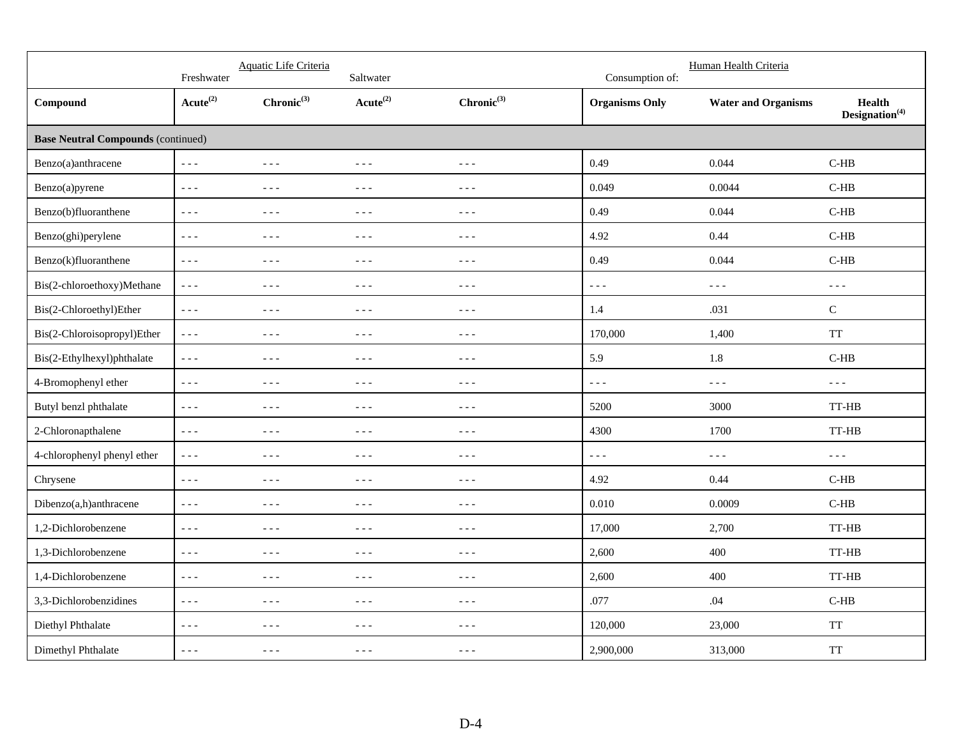|                                           | Freshwater              | Aquatic Life Criteria                                                                                                                                                                                                                                                                                                                                                                        | Saltwater                                                                                                                                                                                                                                                                                                                                                                                    |                                                                                                                                                                                                                                                                                                                                                                                              | Consumption of:                                                                                                                                                                                                                                                                                                                                                                              | Human Health Criteria      |                                                                                                                                                                                                                                                                                                                                                                                              |
|-------------------------------------------|-------------------------|----------------------------------------------------------------------------------------------------------------------------------------------------------------------------------------------------------------------------------------------------------------------------------------------------------------------------------------------------------------------------------------------|----------------------------------------------------------------------------------------------------------------------------------------------------------------------------------------------------------------------------------------------------------------------------------------------------------------------------------------------------------------------------------------------|----------------------------------------------------------------------------------------------------------------------------------------------------------------------------------------------------------------------------------------------------------------------------------------------------------------------------------------------------------------------------------------------|----------------------------------------------------------------------------------------------------------------------------------------------------------------------------------------------------------------------------------------------------------------------------------------------------------------------------------------------------------------------------------------------|----------------------------|----------------------------------------------------------------------------------------------------------------------------------------------------------------------------------------------------------------------------------------------------------------------------------------------------------------------------------------------------------------------------------------------|
| Compound                                  | $Acute^{(2)}$           | $Chronic^{(3)}$                                                                                                                                                                                                                                                                                                                                                                              | $Acute^{(2)}$                                                                                                                                                                                                                                                                                                                                                                                | $Chronic^{(3)}$                                                                                                                                                                                                                                                                                                                                                                              | <b>Organisms Only</b>                                                                                                                                                                                                                                                                                                                                                                        | <b>Water and Organisms</b> | <b>Health</b><br>$\mathbf{Designation}^{(4)}$                                                                                                                                                                                                                                                                                                                                                |
| <b>Base Neutral Compounds (continued)</b> |                         |                                                                                                                                                                                                                                                                                                                                                                                              |                                                                                                                                                                                                                                                                                                                                                                                              |                                                                                                                                                                                                                                                                                                                                                                                              |                                                                                                                                                                                                                                                                                                                                                                                              |                            |                                                                                                                                                                                                                                                                                                                                                                                              |
| Benzo(a)anthracene                        | $\omega \equiv \omega$  | $\sim$ $\sim$ $\sim$                                                                                                                                                                                                                                                                                                                                                                         | $\sim$ $ \sim$                                                                                                                                                                                                                                                                                                                                                                               | $- - -$                                                                                                                                                                                                                                                                                                                                                                                      | 0.49                                                                                                                                                                                                                                                                                                                                                                                         | 0.044                      | $C-HB$                                                                                                                                                                                                                                                                                                                                                                                       |
| Benzo(a)pyrene                            | $\omega = \omega$       | $\sim$ $\sim$ $\sim$                                                                                                                                                                                                                                                                                                                                                                         | $\sim$ $\sim$ $\sim$                                                                                                                                                                                                                                                                                                                                                                         | $  -$                                                                                                                                                                                                                                                                                                                                                                                        | 0.049                                                                                                                                                                                                                                                                                                                                                                                        | 0.0044                     | $C-HB$                                                                                                                                                                                                                                                                                                                                                                                       |
| Benzo(b)fluoranthene                      | $\perp$ $\perp$ $\perp$ | $\sim$ $\sim$ $\sim$                                                                                                                                                                                                                                                                                                                                                                         | $\sim$ $\sim$ $\sim$                                                                                                                                                                                                                                                                                                                                                                         | $- - -$                                                                                                                                                                                                                                                                                                                                                                                      | 0.49                                                                                                                                                                                                                                                                                                                                                                                         | 0.044                      | $C-HB$                                                                                                                                                                                                                                                                                                                                                                                       |
| Benzo(ghi)perylene                        | $\sim$ $\sim$ $\sim$    | $\sim$ $\sim$ $\sim$                                                                                                                                                                                                                                                                                                                                                                         | $\frac{1}{2}$                                                                                                                                                                                                                                                                                                                                                                                | $- - -$                                                                                                                                                                                                                                                                                                                                                                                      | 4.92                                                                                                                                                                                                                                                                                                                                                                                         | 0.44                       | $C-HB$                                                                                                                                                                                                                                                                                                                                                                                       |
| Benzo(k)fluoranthene                      | $\omega = \omega$       | $\frac{1}{2} \frac{1}{2} \frac{1}{2} \frac{1}{2} \frac{1}{2} \frac{1}{2} \frac{1}{2} \frac{1}{2} \frac{1}{2} \frac{1}{2} \frac{1}{2} \frac{1}{2} \frac{1}{2} \frac{1}{2} \frac{1}{2} \frac{1}{2} \frac{1}{2} \frac{1}{2} \frac{1}{2} \frac{1}{2} \frac{1}{2} \frac{1}{2} \frac{1}{2} \frac{1}{2} \frac{1}{2} \frac{1}{2} \frac{1}{2} \frac{1}{2} \frac{1}{2} \frac{1}{2} \frac{1}{2} \frac{$ | $\sim$ $\sim$ $\sim$                                                                                                                                                                                                                                                                                                                                                                         | $- - -$                                                                                                                                                                                                                                                                                                                                                                                      | 0.49                                                                                                                                                                                                                                                                                                                                                                                         | 0.044                      | $C-HB$                                                                                                                                                                                                                                                                                                                                                                                       |
| Bis(2-chloroethoxy)Methane                | $\sim$ $\sim$ $\sim$    | $\frac{1}{2} \frac{1}{2} \frac{1}{2} \frac{1}{2} \frac{1}{2} \frac{1}{2} \frac{1}{2} \frac{1}{2} \frac{1}{2} \frac{1}{2} \frac{1}{2} \frac{1}{2} \frac{1}{2} \frac{1}{2} \frac{1}{2} \frac{1}{2} \frac{1}{2} \frac{1}{2} \frac{1}{2} \frac{1}{2} \frac{1}{2} \frac{1}{2} \frac{1}{2} \frac{1}{2} \frac{1}{2} \frac{1}{2} \frac{1}{2} \frac{1}{2} \frac{1}{2} \frac{1}{2} \frac{1}{2} \frac{$ | $\sim$ $\sim$ $\sim$                                                                                                                                                                                                                                                                                                                                                                         | $- - -$                                                                                                                                                                                                                                                                                                                                                                                      | $- - -$                                                                                                                                                                                                                                                                                                                                                                                      | $- - -$                    | $\sim$ $\sim$ $\sim$                                                                                                                                                                                                                                                                                                                                                                         |
| Bis(2-Chloroethyl)Ether                   | $\omega = \omega$       | $\frac{1}{2} \frac{1}{2} \frac{1}{2} \frac{1}{2} \frac{1}{2} \frac{1}{2} \frac{1}{2} \frac{1}{2} \frac{1}{2} \frac{1}{2} \frac{1}{2} \frac{1}{2} \frac{1}{2} \frac{1}{2} \frac{1}{2} \frac{1}{2} \frac{1}{2} \frac{1}{2} \frac{1}{2} \frac{1}{2} \frac{1}{2} \frac{1}{2} \frac{1}{2} \frac{1}{2} \frac{1}{2} \frac{1}{2} \frac{1}{2} \frac{1}{2} \frac{1}{2} \frac{1}{2} \frac{1}{2} \frac{$ | $\sim$ $\sim$ $\sim$                                                                                                                                                                                                                                                                                                                                                                         | $- - -$                                                                                                                                                                                                                                                                                                                                                                                      | 1.4                                                                                                                                                                                                                                                                                                                                                                                          | .031                       | $\mathbf C$                                                                                                                                                                                                                                                                                                                                                                                  |
| Bis(2-Chloroisopropyl)Ether               | $\sim$ $\sim$ $\sim$    | $\frac{1}{2} \frac{1}{2} \frac{1}{2} \frac{1}{2} \frac{1}{2} \frac{1}{2} \frac{1}{2} \frac{1}{2} \frac{1}{2} \frac{1}{2} \frac{1}{2} \frac{1}{2} \frac{1}{2} \frac{1}{2} \frac{1}{2} \frac{1}{2} \frac{1}{2} \frac{1}{2} \frac{1}{2} \frac{1}{2} \frac{1}{2} \frac{1}{2} \frac{1}{2} \frac{1}{2} \frac{1}{2} \frac{1}{2} \frac{1}{2} \frac{1}{2} \frac{1}{2} \frac{1}{2} \frac{1}{2} \frac{$ | $\sim$ $\sim$ $\sim$                                                                                                                                                                                                                                                                                                                                                                         | $- - -$                                                                                                                                                                                                                                                                                                                                                                                      | 170,000                                                                                                                                                                                                                                                                                                                                                                                      | 1,400                      | <b>TT</b>                                                                                                                                                                                                                                                                                                                                                                                    |
| Bis(2-Ethylhexyl)phthalate                | $\sim$ $\sim$ $\sim$    | $\frac{1}{2} \frac{1}{2} \frac{1}{2} \frac{1}{2} \frac{1}{2} \frac{1}{2} \frac{1}{2} \frac{1}{2} \frac{1}{2} \frac{1}{2} \frac{1}{2} \frac{1}{2} \frac{1}{2} \frac{1}{2} \frac{1}{2} \frac{1}{2} \frac{1}{2} \frac{1}{2} \frac{1}{2} \frac{1}{2} \frac{1}{2} \frac{1}{2} \frac{1}{2} \frac{1}{2} \frac{1}{2} \frac{1}{2} \frac{1}{2} \frac{1}{2} \frac{1}{2} \frac{1}{2} \frac{1}{2} \frac{$ | $\sim$ $\sim$ $\sim$                                                                                                                                                                                                                                                                                                                                                                         | $- - -$                                                                                                                                                                                                                                                                                                                                                                                      | 5.9                                                                                                                                                                                                                                                                                                                                                                                          | 1.8                        | $C-HB$                                                                                                                                                                                                                                                                                                                                                                                       |
| 4-Bromophenyl ether                       | $\sim$ $\sim$ $\sim$    | $\frac{1}{2} \frac{1}{2} \frac{1}{2} \frac{1}{2} \frac{1}{2} \frac{1}{2} \frac{1}{2} \frac{1}{2} \frac{1}{2} \frac{1}{2} \frac{1}{2} \frac{1}{2} \frac{1}{2} \frac{1}{2} \frac{1}{2} \frac{1}{2} \frac{1}{2} \frac{1}{2} \frac{1}{2} \frac{1}{2} \frac{1}{2} \frac{1}{2} \frac{1}{2} \frac{1}{2} \frac{1}{2} \frac{1}{2} \frac{1}{2} \frac{1}{2} \frac{1}{2} \frac{1}{2} \frac{1}{2} \frac{$ | $\sim$ $\sim$ $\sim$                                                                                                                                                                                                                                                                                                                                                                         | $- - -$                                                                                                                                                                                                                                                                                                                                                                                      | $\frac{1}{2} \frac{1}{2} \frac{1}{2} \frac{1}{2} \frac{1}{2} \frac{1}{2} \frac{1}{2} \frac{1}{2} \frac{1}{2} \frac{1}{2} \frac{1}{2} \frac{1}{2} \frac{1}{2} \frac{1}{2} \frac{1}{2} \frac{1}{2} \frac{1}{2} \frac{1}{2} \frac{1}{2} \frac{1}{2} \frac{1}{2} \frac{1}{2} \frac{1}{2} \frac{1}{2} \frac{1}{2} \frac{1}{2} \frac{1}{2} \frac{1}{2} \frac{1}{2} \frac{1}{2} \frac{1}{2} \frac{$ | $- - -$                    | $\frac{1}{2} \frac{1}{2} \frac{1}{2} \frac{1}{2} \frac{1}{2} \frac{1}{2} \frac{1}{2} \frac{1}{2} \frac{1}{2} \frac{1}{2} \frac{1}{2} \frac{1}{2} \frac{1}{2} \frac{1}{2} \frac{1}{2} \frac{1}{2} \frac{1}{2} \frac{1}{2} \frac{1}{2} \frac{1}{2} \frac{1}{2} \frac{1}{2} \frac{1}{2} \frac{1}{2} \frac{1}{2} \frac{1}{2} \frac{1}{2} \frac{1}{2} \frac{1}{2} \frac{1}{2} \frac{1}{2} \frac{$ |
| Butyl benzl phthalate                     | $\omega \equiv \omega$  | $\frac{1}{2} \frac{1}{2} \frac{1}{2} \frac{1}{2} \frac{1}{2} \frac{1}{2} \frac{1}{2} \frac{1}{2} \frac{1}{2} \frac{1}{2} \frac{1}{2} \frac{1}{2} \frac{1}{2} \frac{1}{2} \frac{1}{2} \frac{1}{2} \frac{1}{2} \frac{1}{2} \frac{1}{2} \frac{1}{2} \frac{1}{2} \frac{1}{2} \frac{1}{2} \frac{1}{2} \frac{1}{2} \frac{1}{2} \frac{1}{2} \frac{1}{2} \frac{1}{2} \frac{1}{2} \frac{1}{2} \frac{$ | $\sim$ $\sim$ $\sim$                                                                                                                                                                                                                                                                                                                                                                         | $\frac{1}{2} \frac{1}{2} \frac{1}{2} \frac{1}{2} \frac{1}{2} \frac{1}{2} \frac{1}{2} \frac{1}{2} \frac{1}{2} \frac{1}{2} \frac{1}{2} \frac{1}{2} \frac{1}{2} \frac{1}{2} \frac{1}{2} \frac{1}{2} \frac{1}{2} \frac{1}{2} \frac{1}{2} \frac{1}{2} \frac{1}{2} \frac{1}{2} \frac{1}{2} \frac{1}{2} \frac{1}{2} \frac{1}{2} \frac{1}{2} \frac{1}{2} \frac{1}{2} \frac{1}{2} \frac{1}{2} \frac{$ | 5200                                                                                                                                                                                                                                                                                                                                                                                         | 3000                       | TT-HB                                                                                                                                                                                                                                                                                                                                                                                        |
| 2-Chloronapthalene                        | $\perp$ $\perp$ $\perp$ | $\frac{1}{2} \frac{1}{2} \frac{1}{2} \frac{1}{2} \frac{1}{2} \frac{1}{2} \frac{1}{2} \frac{1}{2} \frac{1}{2} \frac{1}{2} \frac{1}{2} \frac{1}{2} \frac{1}{2} \frac{1}{2} \frac{1}{2} \frac{1}{2} \frac{1}{2} \frac{1}{2} \frac{1}{2} \frac{1}{2} \frac{1}{2} \frac{1}{2} \frac{1}{2} \frac{1}{2} \frac{1}{2} \frac{1}{2} \frac{1}{2} \frac{1}{2} \frac{1}{2} \frac{1}{2} \frac{1}{2} \frac{$ | $\sim$ $\sim$ $\sim$                                                                                                                                                                                                                                                                                                                                                                         | $- - -$                                                                                                                                                                                                                                                                                                                                                                                      | 4300                                                                                                                                                                                                                                                                                                                                                                                         | 1700                       | TT-HB                                                                                                                                                                                                                                                                                                                                                                                        |
| 4-chlorophenyl phenyl ether               | $\omega \equiv \omega$  | $\frac{1}{2} \frac{1}{2} \frac{1}{2} \frac{1}{2} \frac{1}{2} \frac{1}{2} \frac{1}{2} \frac{1}{2} \frac{1}{2} \frac{1}{2} \frac{1}{2} \frac{1}{2} \frac{1}{2} \frac{1}{2} \frac{1}{2} \frac{1}{2} \frac{1}{2} \frac{1}{2} \frac{1}{2} \frac{1}{2} \frac{1}{2} \frac{1}{2} \frac{1}{2} \frac{1}{2} \frac{1}{2} \frac{1}{2} \frac{1}{2} \frac{1}{2} \frac{1}{2} \frac{1}{2} \frac{1}{2} \frac{$ | $\sim$ $\sim$ $\sim$                                                                                                                                                                                                                                                                                                                                                                         | $- - -$                                                                                                                                                                                                                                                                                                                                                                                      | $\omega = \omega$                                                                                                                                                                                                                                                                                                                                                                            | $\omega = \omega$          | $\omega \equiv \omega$                                                                                                                                                                                                                                                                                                                                                                       |
| Chrysene                                  | $\omega \equiv \omega$  | $  -$                                                                                                                                                                                                                                                                                                                                                                                        | $\frac{1}{2} \frac{1}{2} \frac{1}{2} \frac{1}{2} \frac{1}{2}$                                                                                                                                                                                                                                                                                                                                | $\frac{1}{2}$                                                                                                                                                                                                                                                                                                                                                                                | 4.92                                                                                                                                                                                                                                                                                                                                                                                         | 0.44                       | $C-HB$                                                                                                                                                                                                                                                                                                                                                                                       |
| Dibenzo(a,h)anthracene                    | $\omega = \omega$       | $\frac{1}{2} \frac{1}{2} \frac{1}{2} \frac{1}{2} \frac{1}{2} \frac{1}{2} \frac{1}{2} \frac{1}{2} \frac{1}{2} \frac{1}{2} \frac{1}{2} \frac{1}{2} \frac{1}{2} \frac{1}{2} \frac{1}{2} \frac{1}{2} \frac{1}{2} \frac{1}{2} \frac{1}{2} \frac{1}{2} \frac{1}{2} \frac{1}{2} \frac{1}{2} \frac{1}{2} \frac{1}{2} \frac{1}{2} \frac{1}{2} \frac{1}{2} \frac{1}{2} \frac{1}{2} \frac{1}{2} \frac{$ | $\frac{1}{2} \frac{1}{2} \frac{1}{2} \frac{1}{2} \frac{1}{2} \frac{1}{2} \frac{1}{2} \frac{1}{2} \frac{1}{2} \frac{1}{2} \frac{1}{2} \frac{1}{2} \frac{1}{2} \frac{1}{2} \frac{1}{2} \frac{1}{2} \frac{1}{2} \frac{1}{2} \frac{1}{2} \frac{1}{2} \frac{1}{2} \frac{1}{2} \frac{1}{2} \frac{1}{2} \frac{1}{2} \frac{1}{2} \frac{1}{2} \frac{1}{2} \frac{1}{2} \frac{1}{2} \frac{1}{2} \frac{$ | $- - -$                                                                                                                                                                                                                                                                                                                                                                                      | 0.010                                                                                                                                                                                                                                                                                                                                                                                        | 0.0009                     | $C-HB$                                                                                                                                                                                                                                                                                                                                                                                       |
| 1,2-Dichlorobenzene                       | $\omega = \omega$       | $- - -$                                                                                                                                                                                                                                                                                                                                                                                      | $- - -$                                                                                                                                                                                                                                                                                                                                                                                      | $- - -$                                                                                                                                                                                                                                                                                                                                                                                      | 17,000                                                                                                                                                                                                                                                                                                                                                                                       | 2,700                      | TT-HB                                                                                                                                                                                                                                                                                                                                                                                        |
| 1,3-Dichlorobenzene                       | $\omega \sim \omega$    | $\frac{1}{2} \frac{1}{2} \frac{1}{2} \frac{1}{2} \frac{1}{2} \frac{1}{2} \frac{1}{2} \frac{1}{2} \frac{1}{2} \frac{1}{2} \frac{1}{2} \frac{1}{2} \frac{1}{2} \frac{1}{2} \frac{1}{2} \frac{1}{2} \frac{1}{2} \frac{1}{2} \frac{1}{2} \frac{1}{2} \frac{1}{2} \frac{1}{2} \frac{1}{2} \frac{1}{2} \frac{1}{2} \frac{1}{2} \frac{1}{2} \frac{1}{2} \frac{1}{2} \frac{1}{2} \frac{1}{2} \frac{$ | $- - -$                                                                                                                                                                                                                                                                                                                                                                                      | $- - -$                                                                                                                                                                                                                                                                                                                                                                                      | 2,600                                                                                                                                                                                                                                                                                                                                                                                        | 400                        | TT-HB                                                                                                                                                                                                                                                                                                                                                                                        |
| 1,4-Dichlorobenzene                       | $\omega \sim \omega$    | $- - -$                                                                                                                                                                                                                                                                                                                                                                                      | $- - -$                                                                                                                                                                                                                                                                                                                                                                                      | $- - -$                                                                                                                                                                                                                                                                                                                                                                                      | 2,600                                                                                                                                                                                                                                                                                                                                                                                        | 400                        | TT-HB                                                                                                                                                                                                                                                                                                                                                                                        |
| 3,3-Dichlorobenzidines                    | $\omega \equiv \omega$  | $\frac{1}{2} \frac{1}{2} \frac{1}{2} \frac{1}{2} \frac{1}{2} \frac{1}{2} \frac{1}{2} \frac{1}{2} \frac{1}{2} \frac{1}{2} \frac{1}{2} \frac{1}{2} \frac{1}{2} \frac{1}{2} \frac{1}{2} \frac{1}{2} \frac{1}{2} \frac{1}{2} \frac{1}{2} \frac{1}{2} \frac{1}{2} \frac{1}{2} \frac{1}{2} \frac{1}{2} \frac{1}{2} \frac{1}{2} \frac{1}{2} \frac{1}{2} \frac{1}{2} \frac{1}{2} \frac{1}{2} \frac{$ | $\sim$ $\sim$ $\sim$                                                                                                                                                                                                                                                                                                                                                                         | $- - -$                                                                                                                                                                                                                                                                                                                                                                                      | .077                                                                                                                                                                                                                                                                                                                                                                                         | .04                        | $C-HB$                                                                                                                                                                                                                                                                                                                                                                                       |
| Diethyl Phthalate                         | $- - -$                 | $\frac{1}{2} \frac{1}{2} \frac{1}{2} \frac{1}{2} \frac{1}{2} \frac{1}{2} \frac{1}{2} \frac{1}{2} \frac{1}{2} \frac{1}{2} \frac{1}{2} \frac{1}{2} \frac{1}{2} \frac{1}{2} \frac{1}{2} \frac{1}{2} \frac{1}{2} \frac{1}{2} \frac{1}{2} \frac{1}{2} \frac{1}{2} \frac{1}{2} \frac{1}{2} \frac{1}{2} \frac{1}{2} \frac{1}{2} \frac{1}{2} \frac{1}{2} \frac{1}{2} \frac{1}{2} \frac{1}{2} \frac{$ | $\frac{1}{2}$                                                                                                                                                                                                                                                                                                                                                                                | $- - -$                                                                                                                                                                                                                                                                                                                                                                                      | 120,000                                                                                                                                                                                                                                                                                                                                                                                      | 23,000                     | $\ensuremath{\mathsf{T}}\ensuremath{\mathsf{T}}$                                                                                                                                                                                                                                                                                                                                             |
| Dimethyl Phthalate                        | $- - -$                 | $\frac{1}{2} \frac{1}{2} \frac{1}{2} \frac{1}{2} \frac{1}{2} \frac{1}{2} \frac{1}{2} \frac{1}{2} \frac{1}{2} \frac{1}{2} \frac{1}{2} \frac{1}{2} \frac{1}{2} \frac{1}{2} \frac{1}{2} \frac{1}{2} \frac{1}{2} \frac{1}{2} \frac{1}{2} \frac{1}{2} \frac{1}{2} \frac{1}{2} \frac{1}{2} \frac{1}{2} \frac{1}{2} \frac{1}{2} \frac{1}{2} \frac{1}{2} \frac{1}{2} \frac{1}{2} \frac{1}{2} \frac{$ | $\frac{1}{2} \frac{1}{2} \frac{1}{2} \frac{1}{2} \frac{1}{2} \frac{1}{2} \frac{1}{2} \frac{1}{2} \frac{1}{2} \frac{1}{2} \frac{1}{2} \frac{1}{2} \frac{1}{2} \frac{1}{2} \frac{1}{2} \frac{1}{2} \frac{1}{2} \frac{1}{2} \frac{1}{2} \frac{1}{2} \frac{1}{2} \frac{1}{2} \frac{1}{2} \frac{1}{2} \frac{1}{2} \frac{1}{2} \frac{1}{2} \frac{1}{2} \frac{1}{2} \frac{1}{2} \frac{1}{2} \frac{$ | $- - -$                                                                                                                                                                                                                                                                                                                                                                                      | 2,900,000                                                                                                                                                                                                                                                                                                                                                                                    | 313,000                    | $\ensuremath{\mathsf{T}}\ensuremath{\mathsf{T}}$                                                                                                                                                                                                                                                                                                                                             |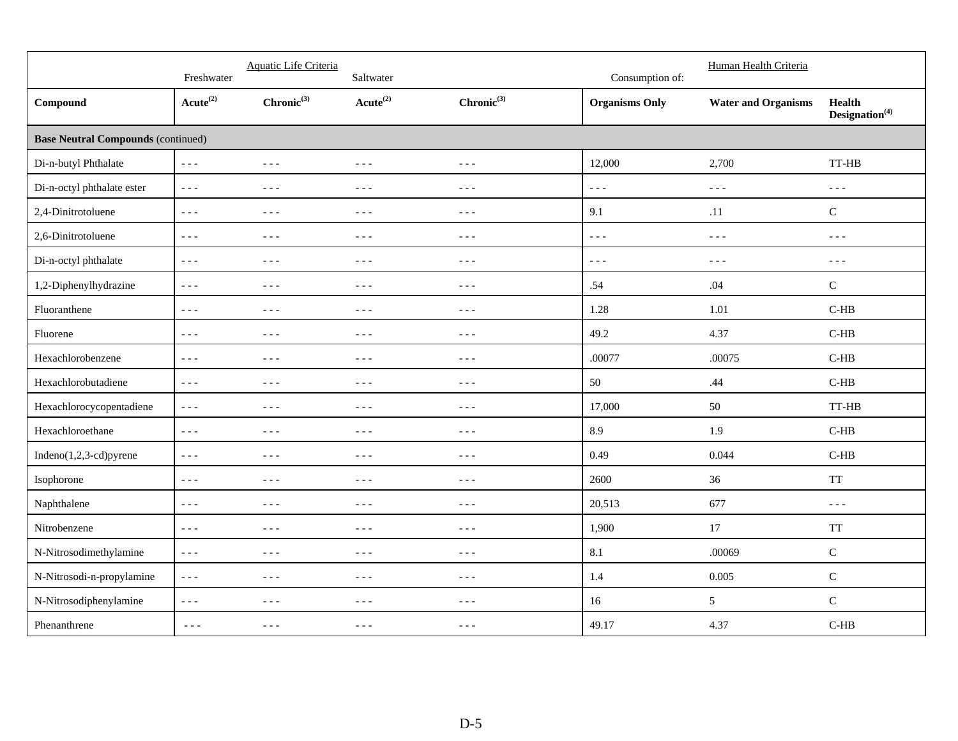|                                           | Freshwater                 | Aquatic Life Criteria                                                                                                                                                                                                                                                                                                                                                                        | Saltwater                                                                                                                                                                                                                                                                                                                                                                                    |                                                                                                                                                                                                                                                                                                                                                                                              | Consumption of:         | Human Health Criteria      |                                                   |
|-------------------------------------------|----------------------------|----------------------------------------------------------------------------------------------------------------------------------------------------------------------------------------------------------------------------------------------------------------------------------------------------------------------------------------------------------------------------------------------|----------------------------------------------------------------------------------------------------------------------------------------------------------------------------------------------------------------------------------------------------------------------------------------------------------------------------------------------------------------------------------------------|----------------------------------------------------------------------------------------------------------------------------------------------------------------------------------------------------------------------------------------------------------------------------------------------------------------------------------------------------------------------------------------------|-------------------------|----------------------------|---------------------------------------------------|
| Compound                                  | $Acute^{(2)}$              | $Chronic^{(3)}$                                                                                                                                                                                                                                                                                                                                                                              | $Acute^{(2)}$                                                                                                                                                                                                                                                                                                                                                                                | $Chronic^{(3)}$                                                                                                                                                                                                                                                                                                                                                                              | <b>Organisms Only</b>   | <b>Water and Organisms</b> | <b>Health</b><br>$\mathbf{Designation}^{(4)}$     |
| <b>Base Neutral Compounds (continued)</b> |                            |                                                                                                                                                                                                                                                                                                                                                                                              |                                                                                                                                                                                                                                                                                                                                                                                              |                                                                                                                                                                                                                                                                                                                                                                                              |                         |                            |                                                   |
| Di-n-butyl Phthalate                      | $\omega \equiv \omega$     | $\frac{1}{2} \frac{1}{2} \frac{1}{2} \frac{1}{2} \frac{1}{2} \frac{1}{2} \frac{1}{2} \frac{1}{2} \frac{1}{2} \frac{1}{2} \frac{1}{2} \frac{1}{2} \frac{1}{2} \frac{1}{2} \frac{1}{2} \frac{1}{2} \frac{1}{2} \frac{1}{2} \frac{1}{2} \frac{1}{2} \frac{1}{2} \frac{1}{2} \frac{1}{2} \frac{1}{2} \frac{1}{2} \frac{1}{2} \frac{1}{2} \frac{1}{2} \frac{1}{2} \frac{1}{2} \frac{1}{2} \frac{$ | $\frac{1}{2} \frac{1}{2} \frac{1}{2} \frac{1}{2} \frac{1}{2} \frac{1}{2} \frac{1}{2} \frac{1}{2} \frac{1}{2} \frac{1}{2} \frac{1}{2} \frac{1}{2} \frac{1}{2} \frac{1}{2} \frac{1}{2} \frac{1}{2} \frac{1}{2} \frac{1}{2} \frac{1}{2} \frac{1}{2} \frac{1}{2} \frac{1}{2} \frac{1}{2} \frac{1}{2} \frac{1}{2} \frac{1}{2} \frac{1}{2} \frac{1}{2} \frac{1}{2} \frac{1}{2} \frac{1}{2} \frac{$ | $\frac{1}{2} \frac{1}{2} \frac{1}{2} \frac{1}{2} \frac{1}{2} \frac{1}{2} \frac{1}{2} \frac{1}{2} \frac{1}{2} \frac{1}{2} \frac{1}{2} \frac{1}{2} \frac{1}{2} \frac{1}{2} \frac{1}{2} \frac{1}{2} \frac{1}{2} \frac{1}{2} \frac{1}{2} \frac{1}{2} \frac{1}{2} \frac{1}{2} \frac{1}{2} \frac{1}{2} \frac{1}{2} \frac{1}{2} \frac{1}{2} \frac{1}{2} \frac{1}{2} \frac{1}{2} \frac{1}{2} \frac{$ | 12,000                  | 2,700                      | TT-HB                                             |
| Di-n-octyl phthalate ester                | $\omega = \omega$          | $\sim$ $\sim$ $\sim$                                                                                                                                                                                                                                                                                                                                                                         | $\sim$ $\sim$ $\sim$                                                                                                                                                                                                                                                                                                                                                                         | $- - -$                                                                                                                                                                                                                                                                                                                                                                                      | $\perp$ $\perp$ $\perp$ | $\sim$ $\sim$ $\sim$       | $\sim$ $\sim$ $\sim$                              |
| 2,4-Dinitrotoluene                        | $\sim$ $\sim$ $\sim$       | $\frac{1}{2} \frac{1}{2} \frac{1}{2} \frac{1}{2} \frac{1}{2} \frac{1}{2} \frac{1}{2} \frac{1}{2} \frac{1}{2} \frac{1}{2} \frac{1}{2} \frac{1}{2} \frac{1}{2} \frac{1}{2} \frac{1}{2} \frac{1}{2} \frac{1}{2} \frac{1}{2} \frac{1}{2} \frac{1}{2} \frac{1}{2} \frac{1}{2} \frac{1}{2} \frac{1}{2} \frac{1}{2} \frac{1}{2} \frac{1}{2} \frac{1}{2} \frac{1}{2} \frac{1}{2} \frac{1}{2} \frac{$ | $- - -$                                                                                                                                                                                                                                                                                                                                                                                      | $\frac{1}{2} \frac{1}{2} \frac{1}{2} \frac{1}{2} \frac{1}{2} \frac{1}{2} \frac{1}{2} \frac{1}{2} \frac{1}{2} \frac{1}{2} \frac{1}{2} \frac{1}{2} \frac{1}{2} \frac{1}{2} \frac{1}{2} \frac{1}{2} \frac{1}{2} \frac{1}{2} \frac{1}{2} \frac{1}{2} \frac{1}{2} \frac{1}{2} \frac{1}{2} \frac{1}{2} \frac{1}{2} \frac{1}{2} \frac{1}{2} \frac{1}{2} \frac{1}{2} \frac{1}{2} \frac{1}{2} \frac{$ | 9.1                     | .11                        | ${\bf C}$                                         |
| 2,6-Dinitrotoluene                        | $\omega \equiv \omega$     | $\frac{1}{2} \frac{1}{2} \frac{1}{2} \frac{1}{2} \frac{1}{2}$                                                                                                                                                                                                                                                                                                                                | $\frac{1}{2}$                                                                                                                                                                                                                                                                                                                                                                                | $- - -$                                                                                                                                                                                                                                                                                                                                                                                      | $- - -$                 | $\sim$ $\sim$ $\sim$       | $\frac{1}{2} \frac{1}{2} \frac{1}{2} \frac{1}{2}$ |
| Di-n-octyl phthalate                      | $- - -$                    | $- - -$                                                                                                                                                                                                                                                                                                                                                                                      | $\frac{1}{2}$                                                                                                                                                                                                                                                                                                                                                                                | $- - -$                                                                                                                                                                                                                                                                                                                                                                                      | $- - -$                 | $- - -$                    | $\frac{1}{2}$                                     |
| 1,2-Diphenylhydrazine                     | $- - -$                    | $- - -$                                                                                                                                                                                                                                                                                                                                                                                      | $\frac{1}{2}$                                                                                                                                                                                                                                                                                                                                                                                | $\frac{1}{2}$                                                                                                                                                                                                                                                                                                                                                                                | .54                     | .04                        | ${\bf C}$                                         |
| Fluoranthene                              | $\omega \sim \omega$       | $- - -$                                                                                                                                                                                                                                                                                                                                                                                      | $- - -$                                                                                                                                                                                                                                                                                                                                                                                      | $- - -$                                                                                                                                                                                                                                                                                                                                                                                      | 1.28                    | 1.01                       | $C-HB$                                            |
| Fluorene                                  | $\frac{1}{2}$              | $\frac{1}{2}$                                                                                                                                                                                                                                                                                                                                                                                | $\frac{1}{2}$                                                                                                                                                                                                                                                                                                                                                                                | $\frac{1}{2}$                                                                                                                                                                                                                                                                                                                                                                                | 49.2                    | 4.37                       | $C-HB$                                            |
| Hexachlorobenzene                         | $\sim$ $\sim$ $\sim$       | $\frac{1}{2} \frac{1}{2} \frac{1}{2} \frac{1}{2} \frac{1}{2} \frac{1}{2} \frac{1}{2} \frac{1}{2} \frac{1}{2} \frac{1}{2} \frac{1}{2} \frac{1}{2} \frac{1}{2} \frac{1}{2} \frac{1}{2} \frac{1}{2} \frac{1}{2} \frac{1}{2} \frac{1}{2} \frac{1}{2} \frac{1}{2} \frac{1}{2} \frac{1}{2} \frac{1}{2} \frac{1}{2} \frac{1}{2} \frac{1}{2} \frac{1}{2} \frac{1}{2} \frac{1}{2} \frac{1}{2} \frac{$ | $\sim$ $\sim$ $\sim$                                                                                                                                                                                                                                                                                                                                                                         | $- - -$                                                                                                                                                                                                                                                                                                                                                                                      | .00077                  | .00075                     | $C-HB$                                            |
| Hexachlorobutadiene                       | $\omega \equiv \omega$     | $\frac{1}{2} \frac{1}{2} \frac{1}{2} \frac{1}{2} \frac{1}{2} \frac{1}{2} \frac{1}{2} \frac{1}{2} \frac{1}{2} \frac{1}{2} \frac{1}{2} \frac{1}{2} \frac{1}{2} \frac{1}{2} \frac{1}{2} \frac{1}{2} \frac{1}{2} \frac{1}{2} \frac{1}{2} \frac{1}{2} \frac{1}{2} \frac{1}{2} \frac{1}{2} \frac{1}{2} \frac{1}{2} \frac{1}{2} \frac{1}{2} \frac{1}{2} \frac{1}{2} \frac{1}{2} \frac{1}{2} \frac{$ | $- - -$                                                                                                                                                                                                                                                                                                                                                                                      | $\frac{1}{2} \frac{1}{2} \frac{1}{2} \frac{1}{2} \frac{1}{2} \frac{1}{2} \frac{1}{2} \frac{1}{2} \frac{1}{2} \frac{1}{2} \frac{1}{2} \frac{1}{2} \frac{1}{2} \frac{1}{2} \frac{1}{2} \frac{1}{2} \frac{1}{2} \frac{1}{2} \frac{1}{2} \frac{1}{2} \frac{1}{2} \frac{1}{2} \frac{1}{2} \frac{1}{2} \frac{1}{2} \frac{1}{2} \frac{1}{2} \frac{1}{2} \frac{1}{2} \frac{1}{2} \frac{1}{2} \frac{$ | 50                      | .44                        | $C-HB$                                            |
| Hexachlorocycopentadiene                  | $\omega$ $\omega$ $\omega$ | $\frac{1}{2} \frac{1}{2} \frac{1}{2} \frac{1}{2} \frac{1}{2} \frac{1}{2} \frac{1}{2} \frac{1}{2} \frac{1}{2} \frac{1}{2} \frac{1}{2} \frac{1}{2} \frac{1}{2} \frac{1}{2} \frac{1}{2} \frac{1}{2} \frac{1}{2} \frac{1}{2} \frac{1}{2} \frac{1}{2} \frac{1}{2} \frac{1}{2} \frac{1}{2} \frac{1}{2} \frac{1}{2} \frac{1}{2} \frac{1}{2} \frac{1}{2} \frac{1}{2} \frac{1}{2} \frac{1}{2} \frac{$ | $- - -$                                                                                                                                                                                                                                                                                                                                                                                      | $\frac{1}{2} \frac{1}{2} \frac{1}{2} \frac{1}{2} \frac{1}{2} \frac{1}{2} \frac{1}{2} \frac{1}{2} \frac{1}{2} \frac{1}{2} \frac{1}{2} \frac{1}{2} \frac{1}{2} \frac{1}{2} \frac{1}{2} \frac{1}{2} \frac{1}{2} \frac{1}{2} \frac{1}{2} \frac{1}{2} \frac{1}{2} \frac{1}{2} \frac{1}{2} \frac{1}{2} \frac{1}{2} \frac{1}{2} \frac{1}{2} \frac{1}{2} \frac{1}{2} \frac{1}{2} \frac{1}{2} \frac{$ | 17,000                  | 50                         | TT-HB                                             |
| Hexachloroethane                          | $\omega \equiv \omega$     | $\frac{1}{2} \frac{1}{2} \frac{1}{2} \frac{1}{2} \frac{1}{2} \frac{1}{2} \frac{1}{2} \frac{1}{2} \frac{1}{2} \frac{1}{2} \frac{1}{2} \frac{1}{2} \frac{1}{2} \frac{1}{2} \frac{1}{2} \frac{1}{2} \frac{1}{2} \frac{1}{2} \frac{1}{2} \frac{1}{2} \frac{1}{2} \frac{1}{2} \frac{1}{2} \frac{1}{2} \frac{1}{2} \frac{1}{2} \frac{1}{2} \frac{1}{2} \frac{1}{2} \frac{1}{2} \frac{1}{2} \frac{$ | $\sim$ $\sim$ $\sim$                                                                                                                                                                                                                                                                                                                                                                         | $- - -$                                                                                                                                                                                                                                                                                                                                                                                      | 8.9                     | 1.9                        | $C-HB$                                            |
| Indeno(1,2,3-cd)pyrene                    | $\omega \equiv \omega$     | $\frac{1}{2} \frac{1}{2} \frac{1}{2} \frac{1}{2} \frac{1}{2} \frac{1}{2} \frac{1}{2} \frac{1}{2} \frac{1}{2} \frac{1}{2} \frac{1}{2} \frac{1}{2} \frac{1}{2} \frac{1}{2} \frac{1}{2} \frac{1}{2} \frac{1}{2} \frac{1}{2} \frac{1}{2} \frac{1}{2} \frac{1}{2} \frac{1}{2} \frac{1}{2} \frac{1}{2} \frac{1}{2} \frac{1}{2} \frac{1}{2} \frac{1}{2} \frac{1}{2} \frac{1}{2} \frac{1}{2} \frac{$ | $- - -$                                                                                                                                                                                                                                                                                                                                                                                      | $\frac{1}{2} \frac{1}{2} \frac{1}{2} \frac{1}{2} \frac{1}{2} \frac{1}{2} \frac{1}{2} \frac{1}{2} \frac{1}{2} \frac{1}{2} \frac{1}{2} \frac{1}{2} \frac{1}{2} \frac{1}{2} \frac{1}{2} \frac{1}{2} \frac{1}{2} \frac{1}{2} \frac{1}{2} \frac{1}{2} \frac{1}{2} \frac{1}{2} \frac{1}{2} \frac{1}{2} \frac{1}{2} \frac{1}{2} \frac{1}{2} \frac{1}{2} \frac{1}{2} \frac{1}{2} \frac{1}{2} \frac{$ | 0.49                    | 0.044                      | $C-HB$                                            |
| Isophorone                                | $\omega \equiv \omega$     | $\sim$ $\sim$ $\sim$                                                                                                                                                                                                                                                                                                                                                                         | $- - -$                                                                                                                                                                                                                                                                                                                                                                                      | $- - -$                                                                                                                                                                                                                                                                                                                                                                                      | 2600                    | 36                         | <b>TT</b>                                         |
| Naphthalene                               | $- - -$                    | $- - -$                                                                                                                                                                                                                                                                                                                                                                                      | $- - -$                                                                                                                                                                                                                                                                                                                                                                                      | $\frac{1}{2} \frac{1}{2} \frac{1}{2} \frac{1}{2} \frac{1}{2} \frac{1}{2} \frac{1}{2} \frac{1}{2} \frac{1}{2} \frac{1}{2} \frac{1}{2} \frac{1}{2} \frac{1}{2} \frac{1}{2} \frac{1}{2} \frac{1}{2} \frac{1}{2} \frac{1}{2} \frac{1}{2} \frac{1}{2} \frac{1}{2} \frac{1}{2} \frac{1}{2} \frac{1}{2} \frac{1}{2} \frac{1}{2} \frac{1}{2} \frac{1}{2} \frac{1}{2} \frac{1}{2} \frac{1}{2} \frac{$ | 20,513                  | 677                        | $\sim$ $\sim$ $\sim$                              |
| Nitrobenzene                              | $- - -$                    | $- - -$                                                                                                                                                                                                                                                                                                                                                                                      | $- - -$                                                                                                                                                                                                                                                                                                                                                                                      | $- - -$                                                                                                                                                                                                                                                                                                                                                                                      | 1,900                   | 17                         | <b>TT</b>                                         |
| N-Nitrosodimethylamine                    | $\omega \sim \omega$       | $- - -$                                                                                                                                                                                                                                                                                                                                                                                      | $\omega \equiv \omega$                                                                                                                                                                                                                                                                                                                                                                       | $- - -$                                                                                                                                                                                                                                                                                                                                                                                      | 8.1                     | .00069                     | ${\bf C}$                                         |
| N-Nitrosodi-n-propylamine                 | $\sim$ $\sim$ $\sim$       | $\frac{1}{2} \frac{1}{2} \frac{1}{2} \frac{1}{2} \frac{1}{2} \frac{1}{2} \frac{1}{2} \frac{1}{2} \frac{1}{2} \frac{1}{2} \frac{1}{2} \frac{1}{2} \frac{1}{2} \frac{1}{2} \frac{1}{2} \frac{1}{2} \frac{1}{2} \frac{1}{2} \frac{1}{2} \frac{1}{2} \frac{1}{2} \frac{1}{2} \frac{1}{2} \frac{1}{2} \frac{1}{2} \frac{1}{2} \frac{1}{2} \frac{1}{2} \frac{1}{2} \frac{1}{2} \frac{1}{2} \frac{$ | $\frac{1}{2}$                                                                                                                                                                                                                                                                                                                                                                                | $\frac{1}{2} \frac{1}{2} \frac{1}{2} \frac{1}{2} \frac{1}{2} \frac{1}{2} \frac{1}{2} \frac{1}{2} \frac{1}{2} \frac{1}{2} \frac{1}{2} \frac{1}{2} \frac{1}{2} \frac{1}{2} \frac{1}{2} \frac{1}{2} \frac{1}{2} \frac{1}{2} \frac{1}{2} \frac{1}{2} \frac{1}{2} \frac{1}{2} \frac{1}{2} \frac{1}{2} \frac{1}{2} \frac{1}{2} \frac{1}{2} \frac{1}{2} \frac{1}{2} \frac{1}{2} \frac{1}{2} \frac{$ | 1.4                     | 0.005                      | $\mathbf C$                                       |
| N-Nitrosodiphenylamine                    | $\sim$ $\sim$ $\sim$       | $\frac{1}{2} \frac{1}{2} \frac{1}{2} \frac{1}{2} \frac{1}{2} \frac{1}{2} \frac{1}{2} \frac{1}{2} \frac{1}{2} \frac{1}{2} \frac{1}{2} \frac{1}{2} \frac{1}{2} \frac{1}{2} \frac{1}{2} \frac{1}{2} \frac{1}{2} \frac{1}{2} \frac{1}{2} \frac{1}{2} \frac{1}{2} \frac{1}{2} \frac{1}{2} \frac{1}{2} \frac{1}{2} \frac{1}{2} \frac{1}{2} \frac{1}{2} \frac{1}{2} \frac{1}{2} \frac{1}{2} \frac{$ | $\frac{1}{2}$                                                                                                                                                                                                                                                                                                                                                                                | $\frac{1}{2} \frac{1}{2} \frac{1}{2} \frac{1}{2} \frac{1}{2} \frac{1}{2} \frac{1}{2} \frac{1}{2} \frac{1}{2} \frac{1}{2} \frac{1}{2} \frac{1}{2} \frac{1}{2} \frac{1}{2} \frac{1}{2} \frac{1}{2} \frac{1}{2} \frac{1}{2} \frac{1}{2} \frac{1}{2} \frac{1}{2} \frac{1}{2} \frac{1}{2} \frac{1}{2} \frac{1}{2} \frac{1}{2} \frac{1}{2} \frac{1}{2} \frac{1}{2} \frac{1}{2} \frac{1}{2} \frac{$ | 16                      | 5                          | ${\bf C}$                                         |
| Phenanthrene                              | $- - -$                    | $- - -$                                                                                                                                                                                                                                                                                                                                                                                      | $- - -$                                                                                                                                                                                                                                                                                                                                                                                      | $\frac{1}{2} \frac{1}{2} \frac{1}{2} \frac{1}{2} \frac{1}{2} \frac{1}{2} \frac{1}{2} \frac{1}{2} \frac{1}{2} \frac{1}{2} \frac{1}{2} \frac{1}{2} \frac{1}{2} \frac{1}{2} \frac{1}{2} \frac{1}{2} \frac{1}{2} \frac{1}{2} \frac{1}{2} \frac{1}{2} \frac{1}{2} \frac{1}{2} \frac{1}{2} \frac{1}{2} \frac{1}{2} \frac{1}{2} \frac{1}{2} \frac{1}{2} \frac{1}{2} \frac{1}{2} \frac{1}{2} \frac{$ | 49.17                   | 4.37                       | $C-HB$                                            |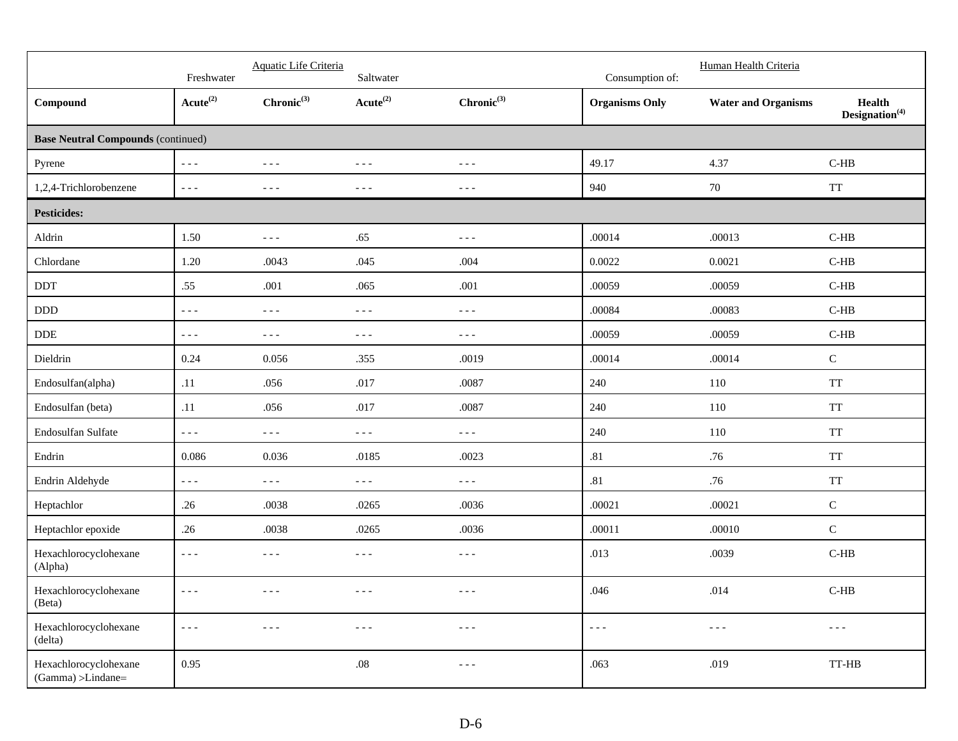|                                            | Freshwater           | Aquatic Life Criteria                                                                                                                                                                                                                                                                                                                                                                        | Saltwater                                                                                                                                                                                                                                                                                                                                                                                    |                                                                                                                                                                                                                                                                                                                                                                                              | Consumption of:       | Human Health Criteria                                                                                                                                                                                                                                                                                                                                                                        |                                                                                                                                                                                                                                                                                                                                                                                              |
|--------------------------------------------|----------------------|----------------------------------------------------------------------------------------------------------------------------------------------------------------------------------------------------------------------------------------------------------------------------------------------------------------------------------------------------------------------------------------------|----------------------------------------------------------------------------------------------------------------------------------------------------------------------------------------------------------------------------------------------------------------------------------------------------------------------------------------------------------------------------------------------|----------------------------------------------------------------------------------------------------------------------------------------------------------------------------------------------------------------------------------------------------------------------------------------------------------------------------------------------------------------------------------------------|-----------------------|----------------------------------------------------------------------------------------------------------------------------------------------------------------------------------------------------------------------------------------------------------------------------------------------------------------------------------------------------------------------------------------------|----------------------------------------------------------------------------------------------------------------------------------------------------------------------------------------------------------------------------------------------------------------------------------------------------------------------------------------------------------------------------------------------|
| Compound                                   | $Acute^{(2)}$        | $Chronic^{(3)}$                                                                                                                                                                                                                                                                                                                                                                              | $Acute^{(2)}$                                                                                                                                                                                                                                                                                                                                                                                | $Chronic^{(3)}$                                                                                                                                                                                                                                                                                                                                                                              | <b>Organisms Only</b> | <b>Water and Organisms</b>                                                                                                                                                                                                                                                                                                                                                                   | Health<br>$\mathbf{Designation}^{(4)}$                                                                                                                                                                                                                                                                                                                                                       |
| <b>Base Neutral Compounds (continued)</b>  |                      |                                                                                                                                                                                                                                                                                                                                                                                              |                                                                                                                                                                                                                                                                                                                                                                                              |                                                                                                                                                                                                                                                                                                                                                                                              |                       |                                                                                                                                                                                                                                                                                                                                                                                              |                                                                                                                                                                                                                                                                                                                                                                                              |
| Pyrene                                     | $- - -$              | $- - -$                                                                                                                                                                                                                                                                                                                                                                                      | $\frac{1}{2} \frac{1}{2} \frac{1}{2} \frac{1}{2} \frac{1}{2} \frac{1}{2} \frac{1}{2} \frac{1}{2} \frac{1}{2} \frac{1}{2} \frac{1}{2} \frac{1}{2} \frac{1}{2} \frac{1}{2} \frac{1}{2} \frac{1}{2} \frac{1}{2} \frac{1}{2} \frac{1}{2} \frac{1}{2} \frac{1}{2} \frac{1}{2} \frac{1}{2} \frac{1}{2} \frac{1}{2} \frac{1}{2} \frac{1}{2} \frac{1}{2} \frac{1}{2} \frac{1}{2} \frac{1}{2} \frac{$ | $\sim$ $\sim$ $\sim$                                                                                                                                                                                                                                                                                                                                                                         | 49.17                 | 4.37                                                                                                                                                                                                                                                                                                                                                                                         | $C-HB$                                                                                                                                                                                                                                                                                                                                                                                       |
| 1,2,4-Trichlorobenzene                     | $- - -$              | $- - -$                                                                                                                                                                                                                                                                                                                                                                                      | $- - -$                                                                                                                                                                                                                                                                                                                                                                                      | $\frac{1}{2}$                                                                                                                                                                                                                                                                                                                                                                                | 940                   | $70\,$                                                                                                                                                                                                                                                                                                                                                                                       | <b>TT</b>                                                                                                                                                                                                                                                                                                                                                                                    |
| <b>Pesticides:</b>                         |                      |                                                                                                                                                                                                                                                                                                                                                                                              |                                                                                                                                                                                                                                                                                                                                                                                              |                                                                                                                                                                                                                                                                                                                                                                                              |                       |                                                                                                                                                                                                                                                                                                                                                                                              |                                                                                                                                                                                                                                                                                                                                                                                              |
| Aldrin                                     | 1.50                 | $- - -$                                                                                                                                                                                                                                                                                                                                                                                      | .65                                                                                                                                                                                                                                                                                                                                                                                          | $\frac{1}{2} \frac{1}{2} \frac{1}{2} \frac{1}{2} \frac{1}{2} \frac{1}{2} \frac{1}{2} \frac{1}{2} \frac{1}{2} \frac{1}{2} \frac{1}{2} \frac{1}{2} \frac{1}{2} \frac{1}{2} \frac{1}{2} \frac{1}{2} \frac{1}{2} \frac{1}{2} \frac{1}{2} \frac{1}{2} \frac{1}{2} \frac{1}{2} \frac{1}{2} \frac{1}{2} \frac{1}{2} \frac{1}{2} \frac{1}{2} \frac{1}{2} \frac{1}{2} \frac{1}{2} \frac{1}{2} \frac{$ | .00014                | .00013                                                                                                                                                                                                                                                                                                                                                                                       | $C-HB$                                                                                                                                                                                                                                                                                                                                                                                       |
| Chlordane                                  | 1.20                 | .0043                                                                                                                                                                                                                                                                                                                                                                                        | .045                                                                                                                                                                                                                                                                                                                                                                                         | .004                                                                                                                                                                                                                                                                                                                                                                                         | 0.0022                | 0.0021                                                                                                                                                                                                                                                                                                                                                                                       | $C-HB$                                                                                                                                                                                                                                                                                                                                                                                       |
| DDT                                        | .55                  | .001                                                                                                                                                                                                                                                                                                                                                                                         | .065                                                                                                                                                                                                                                                                                                                                                                                         | .001                                                                                                                                                                                                                                                                                                                                                                                         | .00059                | .00059                                                                                                                                                                                                                                                                                                                                                                                       | $C-HB$                                                                                                                                                                                                                                                                                                                                                                                       |
| $\rm DDD$                                  | $- - -$              | $\sim$ $\sim$ $\sim$                                                                                                                                                                                                                                                                                                                                                                         | $- - -$                                                                                                                                                                                                                                                                                                                                                                                      | $\sim$ $\sim$ $\sim$                                                                                                                                                                                                                                                                                                                                                                         | .00084                | .00083                                                                                                                                                                                                                                                                                                                                                                                       | $C-HB$                                                                                                                                                                                                                                                                                                                                                                                       |
| $\ensuremath{\mathsf{DDE}}$                | $- - -$              | $\frac{1}{2} \frac{1}{2} \frac{1}{2} \frac{1}{2} \frac{1}{2} \frac{1}{2} \frac{1}{2} \frac{1}{2} \frac{1}{2} \frac{1}{2} \frac{1}{2} \frac{1}{2} \frac{1}{2} \frac{1}{2} \frac{1}{2} \frac{1}{2} \frac{1}{2} \frac{1}{2} \frac{1}{2} \frac{1}{2} \frac{1}{2} \frac{1}{2} \frac{1}{2} \frac{1}{2} \frac{1}{2} \frac{1}{2} \frac{1}{2} \frac{1}{2} \frac{1}{2} \frac{1}{2} \frac{1}{2} \frac{$ | $\frac{1}{2} \frac{1}{2} \frac{1}{2} \frac{1}{2} \frac{1}{2} \frac{1}{2} \frac{1}{2} \frac{1}{2} \frac{1}{2} \frac{1}{2} \frac{1}{2} \frac{1}{2} \frac{1}{2} \frac{1}{2} \frac{1}{2} \frac{1}{2} \frac{1}{2} \frac{1}{2} \frac{1}{2} \frac{1}{2} \frac{1}{2} \frac{1}{2} \frac{1}{2} \frac{1}{2} \frac{1}{2} \frac{1}{2} \frac{1}{2} \frac{1}{2} \frac{1}{2} \frac{1}{2} \frac{1}{2} \frac{$ | $\sim$ $\sim$ $\sim$                                                                                                                                                                                                                                                                                                                                                                         | .00059                | .00059                                                                                                                                                                                                                                                                                                                                                                                       | $C-HB$                                                                                                                                                                                                                                                                                                                                                                                       |
| Dieldrin                                   | 0.24                 | 0.056                                                                                                                                                                                                                                                                                                                                                                                        | .355                                                                                                                                                                                                                                                                                                                                                                                         | .0019                                                                                                                                                                                                                                                                                                                                                                                        | .00014                | .00014                                                                                                                                                                                                                                                                                                                                                                                       | ${\bf C}$                                                                                                                                                                                                                                                                                                                                                                                    |
| Endosulfan(alpha)                          | .11                  | .056                                                                                                                                                                                                                                                                                                                                                                                         | $.017$                                                                                                                                                                                                                                                                                                                                                                                       | .0087                                                                                                                                                                                                                                                                                                                                                                                        | 240                   | 110                                                                                                                                                                                                                                                                                                                                                                                          | <b>TT</b>                                                                                                                                                                                                                                                                                                                                                                                    |
| Endosulfan (beta)                          | .11                  | .056                                                                                                                                                                                                                                                                                                                                                                                         | .017                                                                                                                                                                                                                                                                                                                                                                                         | .0087                                                                                                                                                                                                                                                                                                                                                                                        | 240                   | 110                                                                                                                                                                                                                                                                                                                                                                                          | <b>TT</b>                                                                                                                                                                                                                                                                                                                                                                                    |
| Endosulfan Sulfate                         | $- - -$              | $\frac{1}{2} \frac{1}{2} \frac{1}{2} \frac{1}{2} \frac{1}{2} \frac{1}{2} \frac{1}{2} \frac{1}{2} \frac{1}{2} \frac{1}{2} \frac{1}{2} \frac{1}{2} \frac{1}{2} \frac{1}{2} \frac{1}{2} \frac{1}{2} \frac{1}{2} \frac{1}{2} \frac{1}{2} \frac{1}{2} \frac{1}{2} \frac{1}{2} \frac{1}{2} \frac{1}{2} \frac{1}{2} \frac{1}{2} \frac{1}{2} \frac{1}{2} \frac{1}{2} \frac{1}{2} \frac{1}{2} \frac{$ | $\sim$ $\sim$ $\sim$                                                                                                                                                                                                                                                                                                                                                                         | $\sim$ $\sim$ $\sim$                                                                                                                                                                                                                                                                                                                                                                         | 240                   | 110                                                                                                                                                                                                                                                                                                                                                                                          | <b>TT</b>                                                                                                                                                                                                                                                                                                                                                                                    |
| Endrin                                     | 0.086                | 0.036                                                                                                                                                                                                                                                                                                                                                                                        | .0185                                                                                                                                                                                                                                                                                                                                                                                        | .0023                                                                                                                                                                                                                                                                                                                                                                                        | .81                   | .76                                                                                                                                                                                                                                                                                                                                                                                          | <b>TT</b>                                                                                                                                                                                                                                                                                                                                                                                    |
| Endrin Aldehyde                            | $- - -$              | $\sim$ $\sim$ $\sim$                                                                                                                                                                                                                                                                                                                                                                         | $- - -$                                                                                                                                                                                                                                                                                                                                                                                      | $\sim$ $\sim$ $\sim$                                                                                                                                                                                                                                                                                                                                                                         | .81                   | .76                                                                                                                                                                                                                                                                                                                                                                                          | <b>TT</b>                                                                                                                                                                                                                                                                                                                                                                                    |
| Heptachlor                                 | .26                  | .0038                                                                                                                                                                                                                                                                                                                                                                                        | .0265                                                                                                                                                                                                                                                                                                                                                                                        | .0036                                                                                                                                                                                                                                                                                                                                                                                        | .00021                | .00021                                                                                                                                                                                                                                                                                                                                                                                       | ${\bf C}$                                                                                                                                                                                                                                                                                                                                                                                    |
| Heptachlor epoxide                         | .26                  | .0038                                                                                                                                                                                                                                                                                                                                                                                        | .0265                                                                                                                                                                                                                                                                                                                                                                                        | .0036                                                                                                                                                                                                                                                                                                                                                                                        | .00011                | .00010                                                                                                                                                                                                                                                                                                                                                                                       | $\mathsf C$                                                                                                                                                                                                                                                                                                                                                                                  |
| Hexachlorocyclohexane<br>(Alpha)           | $- - -$              | $- - -$                                                                                                                                                                                                                                                                                                                                                                                      | $- - -$                                                                                                                                                                                                                                                                                                                                                                                      | $\sim$ $\sim$ $\sim$                                                                                                                                                                                                                                                                                                                                                                         | .013                  | .0039                                                                                                                                                                                                                                                                                                                                                                                        | $C-HB$                                                                                                                                                                                                                                                                                                                                                                                       |
| Hexachlorocyclohexane<br>(Beta)            | $\omega = \omega$    | ---                                                                                                                                                                                                                                                                                                                                                                                          | ---                                                                                                                                                                                                                                                                                                                                                                                          | $- - -$                                                                                                                                                                                                                                                                                                                                                                                      | .046                  | .014                                                                                                                                                                                                                                                                                                                                                                                         | $C-HB$                                                                                                                                                                                                                                                                                                                                                                                       |
| Hexachlorocyclohexane<br>(delta)           | $\sim$ $\sim$ $\sim$ | $\frac{1}{2} \frac{1}{2} \frac{1}{2} \frac{1}{2} \frac{1}{2} \frac{1}{2} \frac{1}{2} \frac{1}{2} \frac{1}{2} \frac{1}{2} \frac{1}{2} \frac{1}{2} \frac{1}{2} \frac{1}{2} \frac{1}{2} \frac{1}{2} \frac{1}{2} \frac{1}{2} \frac{1}{2} \frac{1}{2} \frac{1}{2} \frac{1}{2} \frac{1}{2} \frac{1}{2} \frac{1}{2} \frac{1}{2} \frac{1}{2} \frac{1}{2} \frac{1}{2} \frac{1}{2} \frac{1}{2} \frac{$ | $\frac{1}{2} \frac{1}{2} \frac{1}{2} \frac{1}{2} \frac{1}{2} \frac{1}{2} \frac{1}{2} \frac{1}{2} \frac{1}{2} \frac{1}{2} \frac{1}{2} \frac{1}{2} \frac{1}{2} \frac{1}{2} \frac{1}{2} \frac{1}{2} \frac{1}{2} \frac{1}{2} \frac{1}{2} \frac{1}{2} \frac{1}{2} \frac{1}{2} \frac{1}{2} \frac{1}{2} \frac{1}{2} \frac{1}{2} \frac{1}{2} \frac{1}{2} \frac{1}{2} \frac{1}{2} \frac{1}{2} \frac{$ | $\sim$ $ \sim$                                                                                                                                                                                                                                                                                                                                                                               | $\sim$ $\sim$ $\sim$  | $\frac{1}{2} \frac{1}{2} \frac{1}{2} \frac{1}{2} \frac{1}{2} \frac{1}{2} \frac{1}{2} \frac{1}{2} \frac{1}{2} \frac{1}{2} \frac{1}{2} \frac{1}{2} \frac{1}{2} \frac{1}{2} \frac{1}{2} \frac{1}{2} \frac{1}{2} \frac{1}{2} \frac{1}{2} \frac{1}{2} \frac{1}{2} \frac{1}{2} \frac{1}{2} \frac{1}{2} \frac{1}{2} \frac{1}{2} \frac{1}{2} \frac{1}{2} \frac{1}{2} \frac{1}{2} \frac{1}{2} \frac{$ | $\frac{1}{2} \frac{1}{2} \frac{1}{2} \frac{1}{2} \frac{1}{2} \frac{1}{2} \frac{1}{2} \frac{1}{2} \frac{1}{2} \frac{1}{2} \frac{1}{2} \frac{1}{2} \frac{1}{2} \frac{1}{2} \frac{1}{2} \frac{1}{2} \frac{1}{2} \frac{1}{2} \frac{1}{2} \frac{1}{2} \frac{1}{2} \frac{1}{2} \frac{1}{2} \frac{1}{2} \frac{1}{2} \frac{1}{2} \frac{1}{2} \frac{1}{2} \frac{1}{2} \frac{1}{2} \frac{1}{2} \frac{$ |
| Hexachlorocyclohexane<br>(Gamma) >Lindane= | 0.95                 |                                                                                                                                                                                                                                                                                                                                                                                              | $.08\,$                                                                                                                                                                                                                                                                                                                                                                                      | $\sim$ $ \sim$                                                                                                                                                                                                                                                                                                                                                                               | .063                  | .019                                                                                                                                                                                                                                                                                                                                                                                         | TT-HB                                                                                                                                                                                                                                                                                                                                                                                        |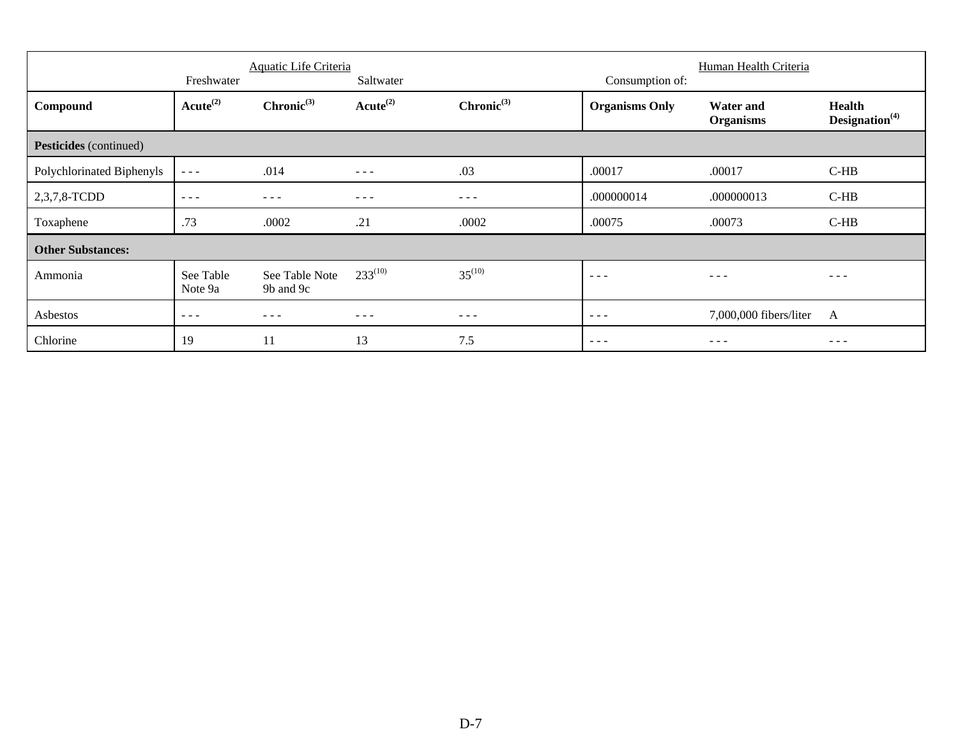|                           | Aquatic Life Criteria       |                             |                            |                 | Human Health Criteria |                        |                   |
|---------------------------|-----------------------------|-----------------------------|----------------------------|-----------------|-----------------------|------------------------|-------------------|
|                           | Freshwater<br>$Acute^{(2)}$ | $Chronic^{(3)}$             | Saltwater<br>$Acute^{(2)}$ | $Chronic^{(3)}$ | Consumption of:       | <b>Water and</b>       | <b>Health</b>     |
| Compound                  |                             |                             |                            |                 | <b>Organisms Only</b> | <b>Organisms</b>       | Designation $(4)$ |
| Pesticides (continued)    |                             |                             |                            |                 |                       |                        |                   |
| Polychlorinated Biphenyls | $\sim$ $\sim$ $\sim$        | .014                        | $\frac{1}{2}$              | .03             | .00017                | .00017                 | $C-HB$            |
| 2,3,7,8-TCDD              | $  -$                       | $\frac{1}{2}$               | $\frac{1}{2}$              | $\frac{1}{2}$   | .000000014            | .000000013             | $C-HB$            |
| Toxaphene                 | .73                         | .0002                       | .21                        | .0002           | .00075                | .00073                 | $C-HB$            |
| <b>Other Substances:</b>  |                             |                             |                            |                 |                       |                        |                   |
| Ammonia                   | See Table<br>Note 9a        | See Table Note<br>9b and 9c | $233^{(10)}$               | $35^{(10)}$     | $ -$                  | - - -                  | - - -             |
| Asbestos                  | $  -$                       | $- - -$                     | $- - - -$                  | $- - -$         | $\frac{1}{2}$         | 7,000,000 fibers/liter | A                 |
| Chlorine                  | 19                          | 11                          | 13                         | 7.5             | $  -$                 |                        |                   |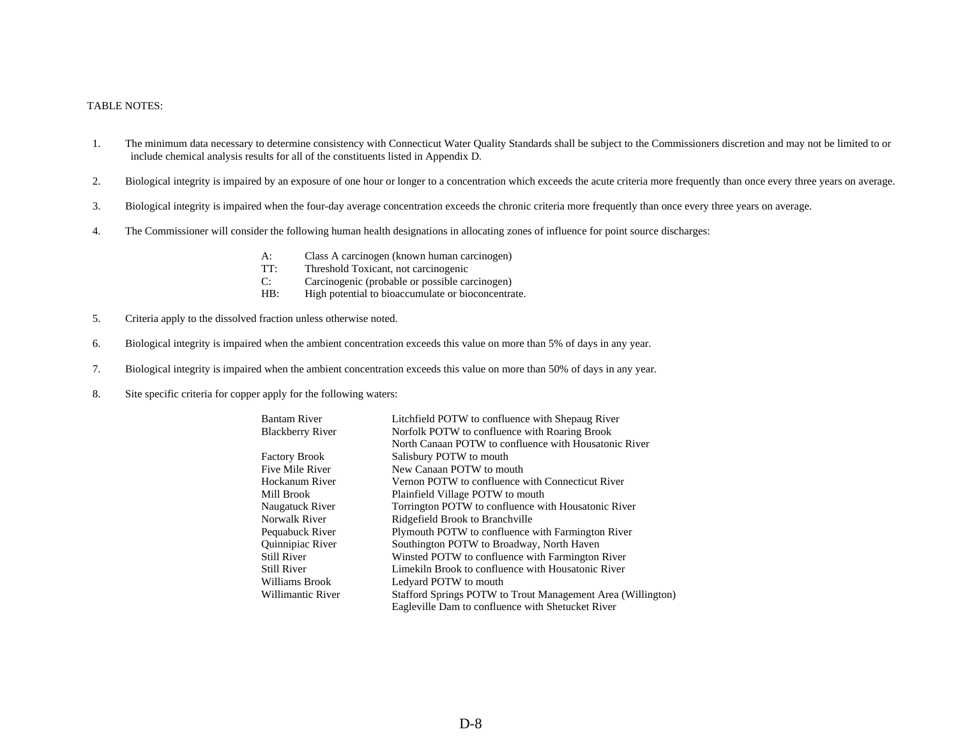### TABLE NOTES:

- 1. The minimum data necessary to determine consistency with Connecticut Water Quality Standards shall be subject to the Commissioners discretion and may not be limited to or include chemical analysis results for all of the constituents listed in Appendix D.
- 2. Biological integrity is impaired by an exposure of one hour or longer to a concentration which exceeds the acute criteria more frequently than once every three years on average.
- 3. Biological integrity is impaired when the four-day average concentration exceeds the chronic criteria more frequently than once every three years on average.
- 4. The Commissioner will consider the following human health designations in allocating zones of influence for point source discharges:
	- A: Class A carcinogen (known human carcinogen)<br>TI: Threshold Toxicant. not carcinogenic
	- Threshold Toxicant, not carcinogenic
	- C: Carcinogenic (probable or possible carcinogen)
	- HB: High potential to bioaccumulate or bioconcentrate.
- 5. Criteria apply to the dissolved fraction unless otherwise noted.
- 6. Biological integrity is impaired when the ambient concentration exceeds this value on more than 5% of days in any year.
- 7. Biological integrity is impaired when the ambient concentration exceeds this value on more than 50% of days in any year.
- 8. Site specific criteria for copper apply for the following waters:

| <b>Bantam River</b>     |                   | Litchfield POTW to confluence with Shepaug River            |
|-------------------------|-------------------|-------------------------------------------------------------|
| <b>Blackberry River</b> |                   | Norfolk POTW to confluence with Roaring Brook               |
|                         |                   | North Canaan POTW to confluence with Housatonic River       |
| <b>Factory Brook</b>    |                   | Salisbury POTW to mouth                                     |
| Five Mile River         |                   | New Canaan POTW to mouth                                    |
| Hockanum River          |                   | Vernon POTW to confluence with Connecticut River            |
| Mill Brook              |                   | Plainfield Village POTW to mouth                            |
| Naugatuck River         |                   | Torrington POTW to confluence with Housatonic River         |
| Norwalk River           |                   | Ridgefield Brook to Branchville                             |
| Pequabuck River         |                   | Plymouth POTW to confluence with Farmington River           |
| Quinnipiac River        |                   | Southington POTW to Broadway, North Haven                   |
| <b>Still River</b>      |                   | Winsted POTW to confluence with Farmington River            |
| <b>Still River</b>      |                   | Limekiln Brook to confluence with Housatonic River          |
| Williams Brook          |                   | Ledyard POTW to mouth                                       |
|                         | Willimantic River | Stafford Springs POTW to Trout Management Area (Willington) |
|                         |                   | Eagleville Dam to confluence with Shetucket River           |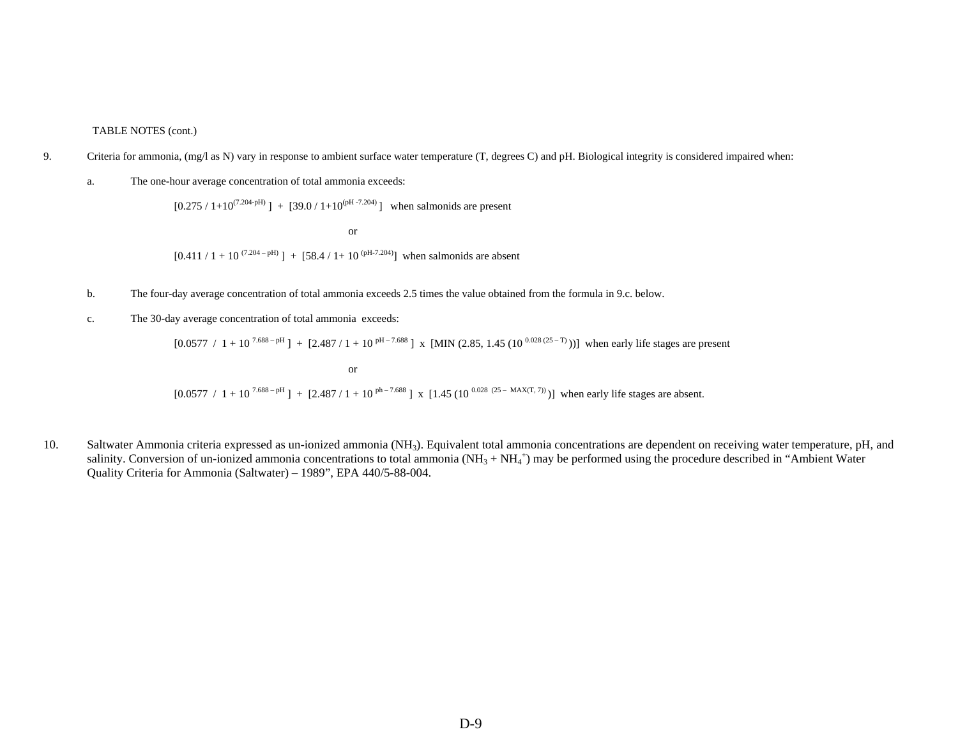### TABLE NOTES (cont.)

- 9. Criteria for ammonia, (mg/l as N) vary in response to ambient surface water temperature (T, degrees C) and pH. Biological integrity is considered impaired when:
	- a. The one-hour average concentration of total ammonia exceeds:

 $[0.275 / 1+10^{(7.204-pH)}] + [39.0 / 1+10^{(pH-7.204)}]$  when salmonids are present

or  $[0.411 / 1 + 10^{(7.204 - pH)}]$  +  $[58.4 / 1 + 10^{(pH-7.204)}]$  when salmonids are absent

or

- b. The four-day average concentration of total ammonia exceeds 2.5 times the value obtained from the formula in 9.c. below.
- c. The 30-day average concentration of total ammonia exceeds:

 $[0.0577 / 1 + 10^{7.688 - pH}] + [2.487 / 1 + 10^{ pH -7.688}]$  x [MIN (2.85, 1.45 (10<sup>0.028 (25 – T)</sup>))] when early life stages are present

 $[0.0577 / 1 + 10^{7.688 - pH}] + [2.487 / 1 + 10^{ph-7.688}]$  x  $[1.45 (10^{0.028 (25 - MAX(T, 7))})]$  when early life stages are absent.

10. Saltwater Ammonia criteria expressed as un-ionized ammonia (NH<sub>3</sub>). Equivalent total ammonia concentrations are dependent on receiving water temperature, pH, and salinity. Conversion of un-ionized ammonia concentrations to total ammonia  $(NH_3 + NH_4^+)$  may be performed using the procedure described in "Ambient Water" Quality Criteria for Ammonia (Saltwater) – 1989", EPA 440/5-88-004.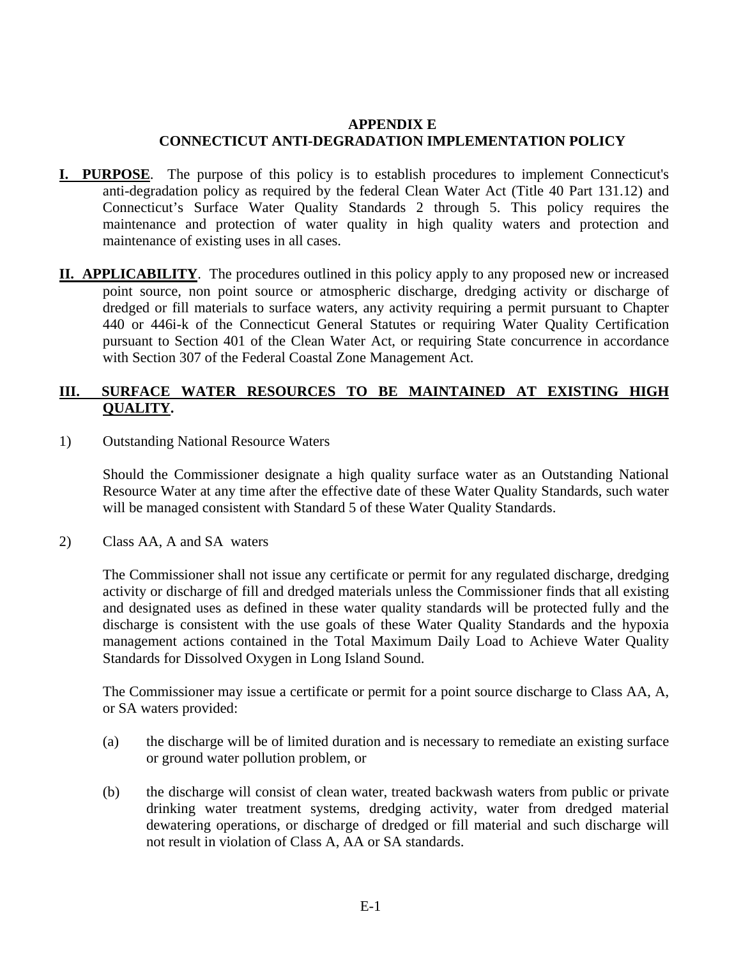## **APPENDIX E CONNECTICUT ANTI-DEGRADATION IMPLEMENTATION POLICY**

- **I. PURPOSE**. The purpose of this policy is to establish procedures to implement Connecticut's anti-degradation policy as required by the federal Clean Water Act (Title 40 Part 131.12) and Connecticut's Surface Water Quality Standards 2 through 5. This policy requires the maintenance and protection of water quality in high quality waters and protection and maintenance of existing uses in all cases.
- **II. APPLICABILITY**. The procedures outlined in this policy apply to any proposed new or increased point source, non point source or atmospheric discharge, dredging activity or discharge of dredged or fill materials to surface waters, any activity requiring a permit pursuant to Chapter 440 or 446i-k of the Connecticut General Statutes or requiring Water Quality Certification pursuant to Section 401 of the Clean Water Act, or requiring State concurrence in accordance with Section 307 of the Federal Coastal Zone Management Act.

## **III. SURFACE WATER RESOURCES TO BE MAINTAINED AT EXISTING HIGH QUALITY.**

1) Outstanding National Resource Waters

Should the Commissioner designate a high quality surface water as an Outstanding National Resource Water at any time after the effective date of these Water Quality Standards, such water will be managed consistent with Standard 5 of these Water Quality Standards.

2) Class AA, A and SA waters

The Commissioner shall not issue any certificate or permit for any regulated discharge, dredging activity or discharge of fill and dredged materials unless the Commissioner finds that all existing and designated uses as defined in these water quality standards will be protected fully and the discharge is consistent with the use goals of these Water Quality Standards and the hypoxia management actions contained in the Total Maximum Daily Load to Achieve Water Quality Standards for Dissolved Oxygen in Long Island Sound.

The Commissioner may issue a certificate or permit for a point source discharge to Class AA, A, or SA waters provided:

- (a) the discharge will be of limited duration and is necessary to remediate an existing surface or ground water pollution problem, or
- (b) the discharge will consist of clean water, treated backwash waters from public or private drinking water treatment systems, dredging activity, water from dredged material dewatering operations, or discharge of dredged or fill material and such discharge will not result in violation of Class A, AA or SA standards.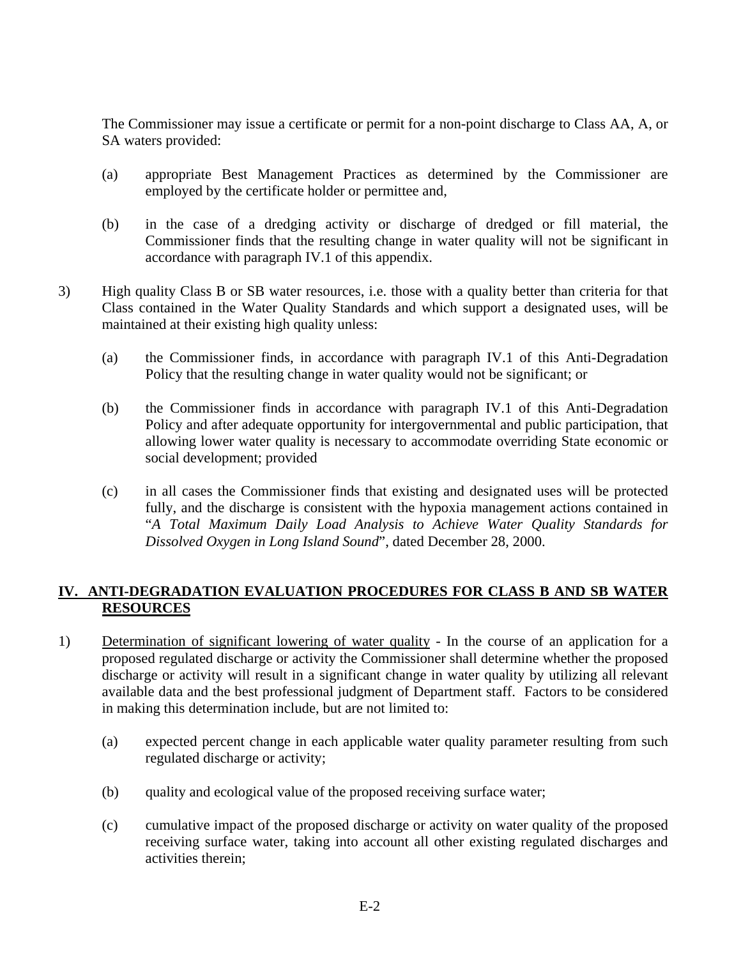The Commissioner may issue a certificate or permit for a non-point discharge to Class AA, A, or SA waters provided:

- (a) appropriate Best Management Practices as determined by the Commissioner are employed by the certificate holder or permittee and,
- (b) in the case of a dredging activity or discharge of dredged or fill material, the Commissioner finds that the resulting change in water quality will not be significant in accordance with paragraph IV.1 of this appendix.
- 3) High quality Class B or SB water resources, i.e. those with a quality better than criteria for that Class contained in the Water Quality Standards and which support a designated uses, will be maintained at their existing high quality unless:
	- (a) the Commissioner finds, in accordance with paragraph IV.1 of this Anti-Degradation Policy that the resulting change in water quality would not be significant; or
	- (b) the Commissioner finds in accordance with paragraph IV.1 of this Anti-Degradation Policy and after adequate opportunity for intergovernmental and public participation, that allowing lower water quality is necessary to accommodate overriding State economic or social development; provided
	- (c) in all cases the Commissioner finds that existing and designated uses will be protected fully, and the discharge is consistent with the hypoxia management actions contained in "*A Total Maximum Daily Load Analysis to Achieve Water Quality Standards for Dissolved Oxygen in Long Island Sound*", dated December 28, 2000.

## **IV. ANTI-DEGRADATION EVALUATION PROCEDURES FOR CLASS B AND SB WATER RESOURCES**

- 1) Determination of significant lowering of water quality In the course of an application for a proposed regulated discharge or activity the Commissioner shall determine whether the proposed discharge or activity will result in a significant change in water quality by utilizing all relevant available data and the best professional judgment of Department staff. Factors to be considered in making this determination include, but are not limited to:
	- (a) expected percent change in each applicable water quality parameter resulting from such regulated discharge or activity;
	- (b) quality and ecological value of the proposed receiving surface water;
	- (c) cumulative impact of the proposed discharge or activity on water quality of the proposed receiving surface water, taking into account all other existing regulated discharges and activities therein;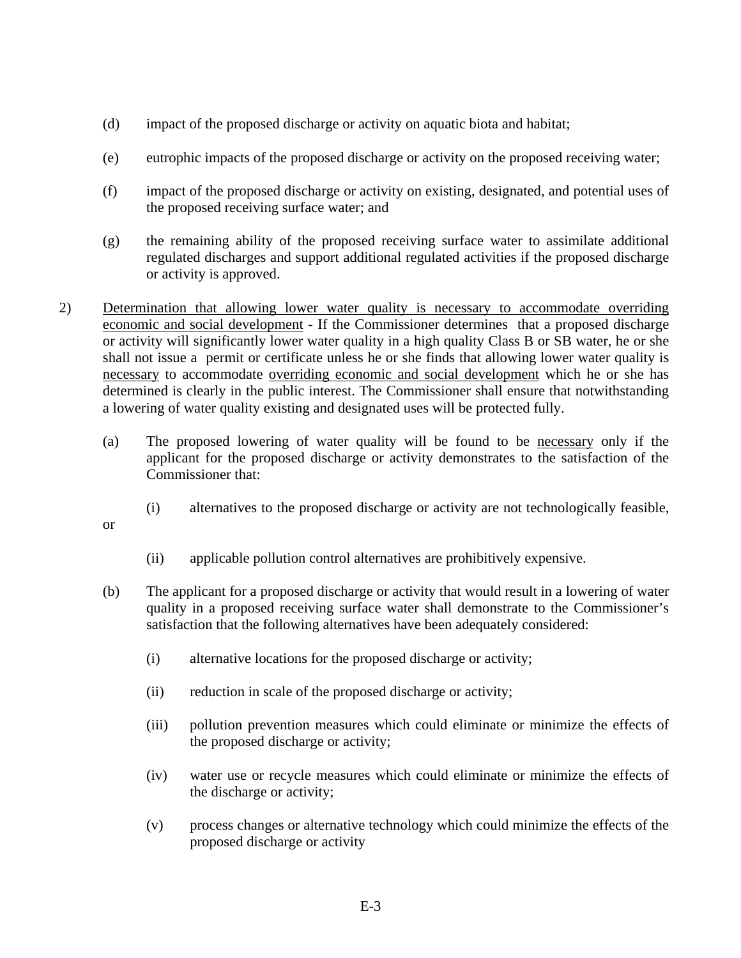- (d) impact of the proposed discharge or activity on aquatic biota and habitat;
- (e) eutrophic impacts of the proposed discharge or activity on the proposed receiving water;
- (f) impact of the proposed discharge or activity on existing, designated, and potential uses of the proposed receiving surface water; and
- (g) the remaining ability of the proposed receiving surface water to assimilate additional regulated discharges and support additional regulated activities if the proposed discharge or activity is approved.
- 2) Determination that allowing lower water quality is necessary to accommodate overriding economic and social development - If the Commissioner determines that a proposed discharge or activity will significantly lower water quality in a high quality Class B or SB water, he or she shall not issue a permit or certificate unless he or she finds that allowing lower water quality is necessary to accommodate overriding economic and social development which he or she has determined is clearly in the public interest. The Commissioner shall ensure that notwithstanding a lowering of water quality existing and designated uses will be protected fully.
	- (a) The proposed lowering of water quality will be found to be necessary only if the applicant for the proposed discharge or activity demonstrates to the satisfaction of the Commissioner that:
		- (i) alternatives to the proposed discharge or activity are not technologically feasible,

or

- (ii) applicable pollution control alternatives are prohibitively expensive.
- (b) The applicant for a proposed discharge or activity that would result in a lowering of water quality in a proposed receiving surface water shall demonstrate to the Commissioner's satisfaction that the following alternatives have been adequately considered:
	- (i) alternative locations for the proposed discharge or activity;
	- (ii) reduction in scale of the proposed discharge or activity;
	- (iii) pollution prevention measures which could eliminate or minimize the effects of the proposed discharge or activity;
	- (iv) water use or recycle measures which could eliminate or minimize the effects of the discharge or activity;
	- (v) process changes or alternative technology which could minimize the effects of the proposed discharge or activity